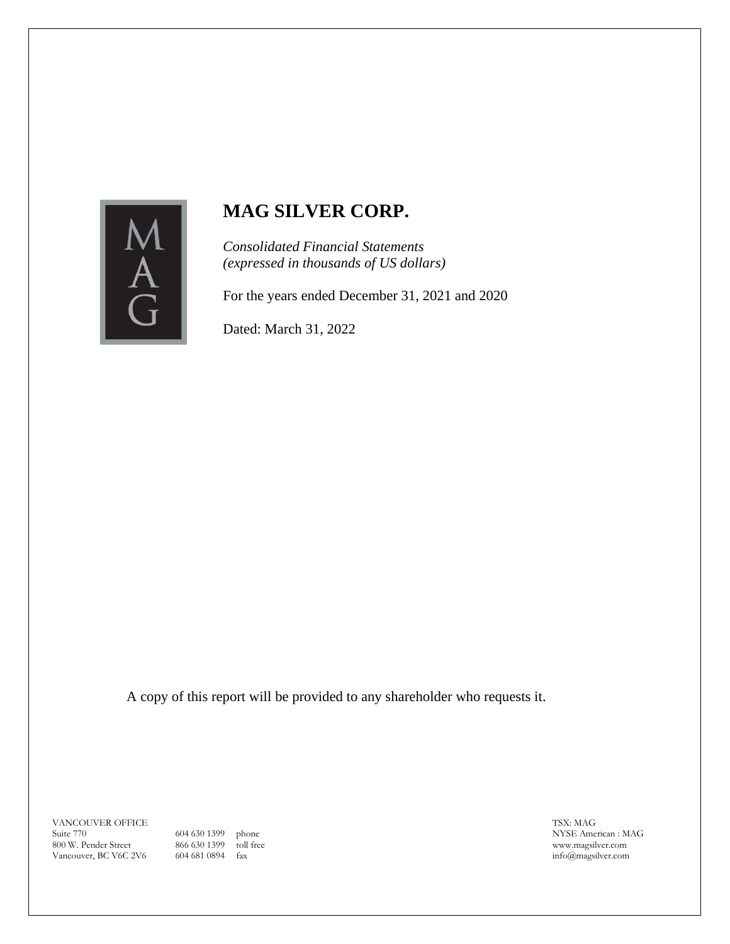

# **MAG SILVER CORP.**

*Consolidated Financial Statements (expressed in thousands of US dollars)*

For the years ended December 31, 2021 and 2020

Dated: March 31, 2022

A copy of this report will be provided to any shareholder who requests it.

VANCOUVER OFFICE Suite 770 800 W. Pender Street Vancouver, BC V6C 2V6

604 630 1399 phone 866 630 1399 toll free 604 681 0894 fax

TSX: MAG NYSE American : MAG www.magsilver.com info@magsilver.com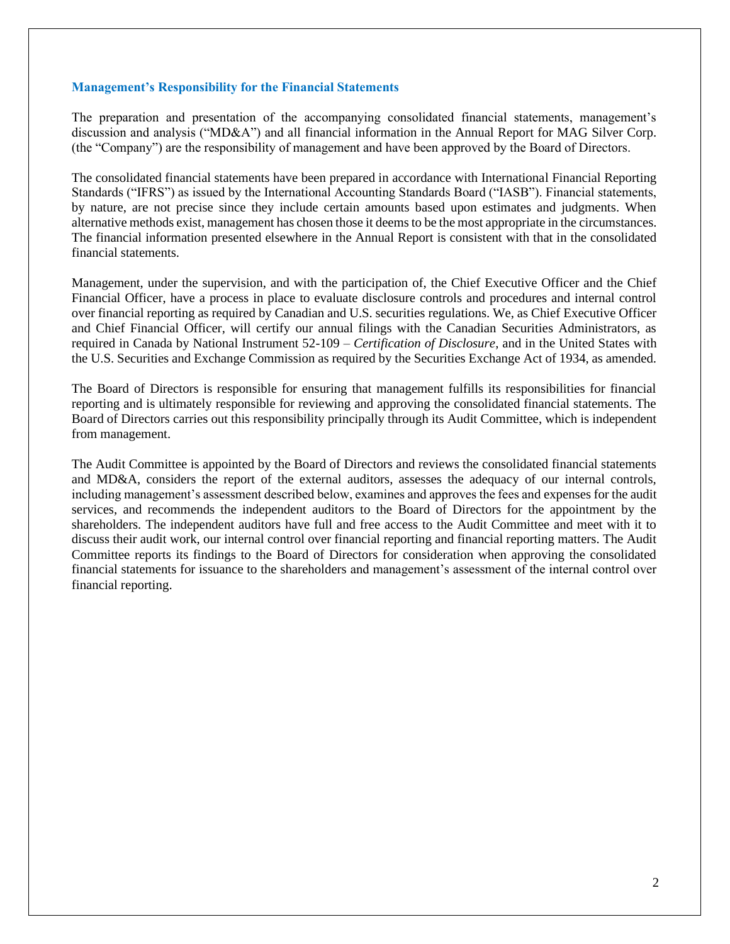#### **Management's Responsibility for the Financial Statements**

The preparation and presentation of the accompanying consolidated financial statements, management's discussion and analysis ("MD&A") and all financial information in the Annual Report for MAG Silver Corp. (the "Company") are the responsibility of management and have been approved by the Board of Directors.

The consolidated financial statements have been prepared in accordance with International Financial Reporting Standards ("IFRS") as issued by the International Accounting Standards Board ("IASB"). Financial statements, by nature, are not precise since they include certain amounts based upon estimates and judgments. When alternative methods exist, management has chosen those it deems to be the most appropriate in the circumstances. The financial information presented elsewhere in the Annual Report is consistent with that in the consolidated financial statements.

Management, under the supervision, and with the participation of, the Chief Executive Officer and the Chief Financial Officer, have a process in place to evaluate disclosure controls and procedures and internal control over financial reporting as required by Canadian and U.S. securities regulations. We, as Chief Executive Officer and Chief Financial Officer, will certify our annual filings with the Canadian Securities Administrators, as required in Canada by National Instrument 52-109 – *Certification of Disclosure*, and in the United States with the U.S. Securities and Exchange Commission as required by the Securities Exchange Act of 1934, as amended.

The Board of Directors is responsible for ensuring that management fulfills its responsibilities for financial reporting and is ultimately responsible for reviewing and approving the consolidated financial statements. The Board of Directors carries out this responsibility principally through its Audit Committee, which is independent from management.

The Audit Committee is appointed by the Board of Directors and reviews the consolidated financial statements and MD&A, considers the report of the external auditors, assesses the adequacy of our internal controls, including management's assessment described below, examines and approves the fees and expenses for the audit services, and recommends the independent auditors to the Board of Directors for the appointment by the shareholders. The independent auditors have full and free access to the Audit Committee and meet with it to discuss their audit work, our internal control over financial reporting and financial reporting matters. The Audit Committee reports its findings to the Board of Directors for consideration when approving the consolidated financial statements for issuance to the shareholders and management's assessment of the internal control over financial reporting.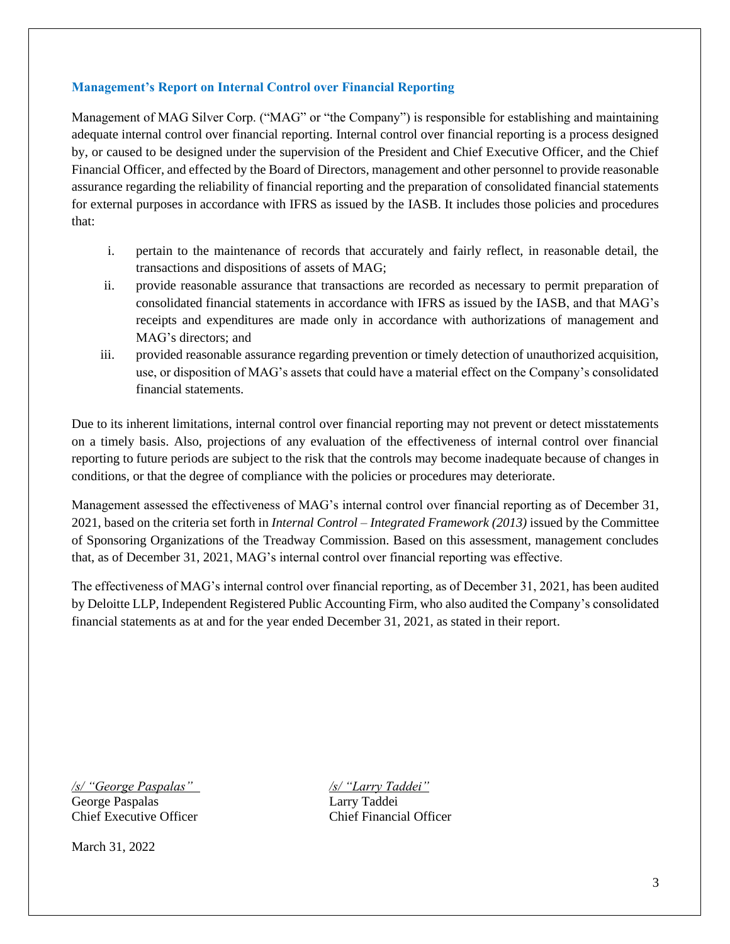# **Management's Report on Internal Control over Financial Reporting**

Management of MAG Silver Corp. ("MAG" or "the Company") is responsible for establishing and maintaining adequate internal control over financial reporting. Internal control over financial reporting is a process designed by, or caused to be designed under the supervision of the President and Chief Executive Officer, and the Chief Financial Officer, and effected by the Board of Directors, management and other personnel to provide reasonable assurance regarding the reliability of financial reporting and the preparation of consolidated financial statements for external purposes in accordance with IFRS as issued by the IASB. It includes those policies and procedures that:

- i. pertain to the maintenance of records that accurately and fairly reflect, in reasonable detail, the transactions and dispositions of assets of MAG;
- ii. provide reasonable assurance that transactions are recorded as necessary to permit preparation of consolidated financial statements in accordance with IFRS as issued by the IASB, and that MAG's receipts and expenditures are made only in accordance with authorizations of management and MAG's directors; and
- iii. provided reasonable assurance regarding prevention or timely detection of unauthorized acquisition, use, or disposition of MAG's assets that could have a material effect on the Company's consolidated financial statements.

Due to its inherent limitations, internal control over financial reporting may not prevent or detect misstatements on a timely basis. Also, projections of any evaluation of the effectiveness of internal control over financial reporting to future periods are subject to the risk that the controls may become inadequate because of changes in conditions, or that the degree of compliance with the policies or procedures may deteriorate.

Management assessed the effectiveness of MAG's internal control over financial reporting as of December 31, 2021, based on the criteria set forth in *Internal Control – Integrated Framework (2013)* issued by the Committee of Sponsoring Organizations of the Treadway Commission. Based on this assessment, management concludes that, as of December 31, 2021, MAG's internal control over financial reporting was effective.

The effectiveness of MAG's internal control over financial reporting, as of December 31, 2021, has been audited by Deloitte LLP, Independent Registered Public Accounting Firm, who also audited the Company's consolidated financial statements as at and for the year ended December 31, 2021, as stated in their report.

*/s/ "George Paspalas" /s/ "Larry Taddei"* George Paspalas Larry Taddei Chief Executive Officer Chief Financial Officer

March 31, 2022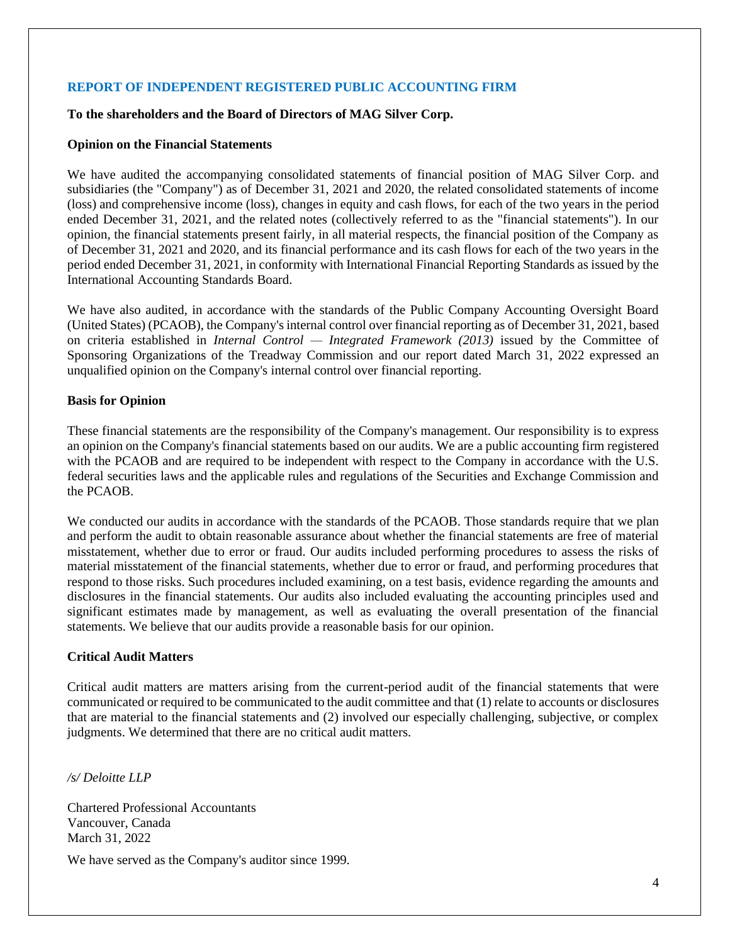# **REPORT OF INDEPENDENT REGISTERED PUBLIC ACCOUNTING FIRM**

# **To the shareholders and the Board of Directors of MAG Silver Corp.**

### **Opinion on the Financial Statements**

We have audited the accompanying consolidated statements of financial position of MAG Silver Corp. and subsidiaries (the "Company") as of December 31, 2021 and 2020, the related consolidated statements of income (loss) and comprehensive income (loss), changes in equity and cash flows, for each of the two years in the period ended December 31, 2021, and the related notes (collectively referred to as the "financial statements"). In our opinion, the financial statements present fairly, in all material respects, the financial position of the Company as of December 31, 2021 and 2020, and its financial performance and its cash flows for each of the two years in the period ended December 31, 2021, in conformity with International Financial Reporting Standards as issued by the International Accounting Standards Board.

We have also audited, in accordance with the standards of the Public Company Accounting Oversight Board (United States) (PCAOB), the Company's internal control over financial reporting as of December 31, 2021, based on criteria established in *Internal Control — Integrated Framework (2013)* issued by the Committee of Sponsoring Organizations of the Treadway Commission and our report dated March 31, 2022 expressed an unqualified opinion on the Company's internal control over financial reporting.

### **Basis for Opinion**

These financial statements are the responsibility of the Company's management. Our responsibility is to express an opinion on the Company's financial statements based on our audits. We are a public accounting firm registered with the PCAOB and are required to be independent with respect to the Company in accordance with the U.S. federal securities laws and the applicable rules and regulations of the Securities and Exchange Commission and the PCAOB.

We conducted our audits in accordance with the standards of the PCAOB. Those standards require that we plan and perform the audit to obtain reasonable assurance about whether the financial statements are free of material misstatement, whether due to error or fraud. Our audits included performing procedures to assess the risks of material misstatement of the financial statements, whether due to error or fraud, and performing procedures that respond to those risks. Such procedures included examining, on a test basis, evidence regarding the amounts and disclosures in the financial statements. Our audits also included evaluating the accounting principles used and significant estimates made by management, as well as evaluating the overall presentation of the financial statements. We believe that our audits provide a reasonable basis for our opinion.

### **Critical Audit Matters**

Critical audit matters are matters arising from the current-period audit of the financial statements that were communicated or required to be communicated to the audit committee and that (1) relate to accounts or disclosures that are material to the financial statements and (2) involved our especially challenging, subjective, or complex judgments. We determined that there are no critical audit matters.

*/s/ Deloitte LLP*

Chartered Professional Accountants Vancouver, Canada March 31, 2022

We have served as the Company's auditor since 1999.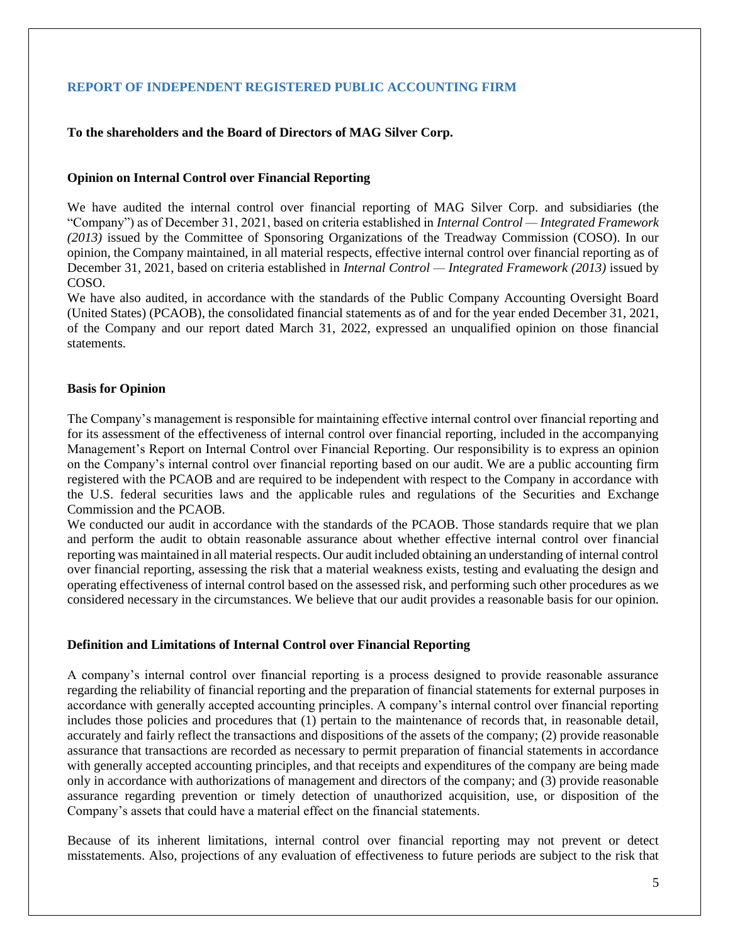### **REPORT OF INDEPENDENT REGISTERED PUBLIC ACCOUNTING FIRM**

#### **To the shareholders and the Board of Directors of MAG Silver Corp.**

#### **Opinion on Internal Control over Financial Reporting**

We have audited the internal control over financial reporting of MAG Silver Corp. and subsidiaries (the "Company") as of December 31, 2021, based on criteria established in *Internal Control — Integrated Framework (2013)* issued by the Committee of Sponsoring Organizations of the Treadway Commission (COSO). In our opinion, the Company maintained, in all material respects, effective internal control over financial reporting as of December 31, 2021, based on criteria established in *Internal Control — Integrated Framework (2013)* issued by COSO.

We have also audited, in accordance with the standards of the Public Company Accounting Oversight Board (United States) (PCAOB), the consolidated financial statements as of and for the year ended December 31, 2021, of the Company and our report dated March 31, 2022*,* expressed an unqualified opinion on those financial statements.

#### **Basis for Opinion**

The Company's management is responsible for maintaining effective internal control over financial reporting and for its assessment of the effectiveness of internal control over financial reporting, included in the accompanying Management's Report on Internal Control over Financial Reporting. Our responsibility is to express an opinion on the Company's internal control over financial reporting based on our audit. We are a public accounting firm registered with the PCAOB and are required to be independent with respect to the Company in accordance with the U.S. federal securities laws and the applicable rules and regulations of the Securities and Exchange Commission and the PCAOB.

We conducted our audit in accordance with the standards of the PCAOB. Those standards require that we plan and perform the audit to obtain reasonable assurance about whether effective internal control over financial reporting was maintained in all material respects. Our audit included obtaining an understanding of internal control over financial reporting, assessing the risk that a material weakness exists, testing and evaluating the design and operating effectiveness of internal control based on the assessed risk, and performing such other procedures as we considered necessary in the circumstances. We believe that our audit provides a reasonable basis for our opinion.

#### **Definition and Limitations of Internal Control over Financial Reporting**

A company's internal control over financial reporting is a process designed to provide reasonable assurance regarding the reliability of financial reporting and the preparation of financial statements for external purposes in accordance with generally accepted accounting principles. A company's internal control over financial reporting includes those policies and procedures that (1) pertain to the maintenance of records that, in reasonable detail, accurately and fairly reflect the transactions and dispositions of the assets of the company; (2) provide reasonable assurance that transactions are recorded as necessary to permit preparation of financial statements in accordance with generally accepted accounting principles, and that receipts and expenditures of the company are being made only in accordance with authorizations of management and directors of the company; and (3) provide reasonable assurance regarding prevention or timely detection of unauthorized acquisition, use, or disposition of the Company's assets that could have a material effect on the financial statements.

Because of its inherent limitations, internal control over financial reporting may not prevent or detect misstatements. Also, projections of any evaluation of effectiveness to future periods are subject to the risk that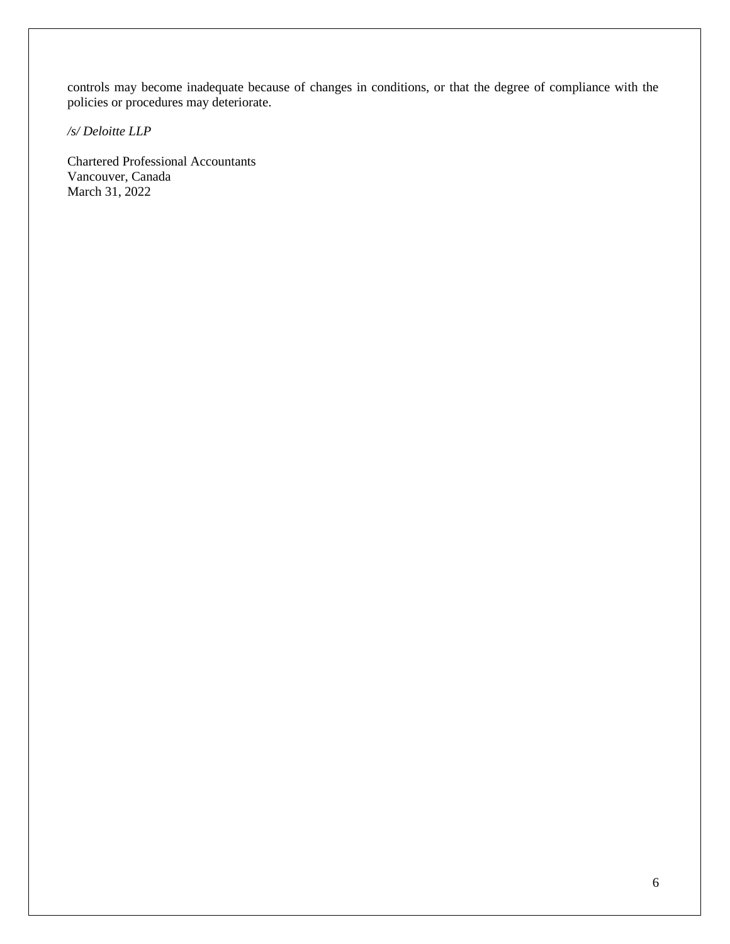controls may become inadequate because of changes in conditions, or that the degree of compliance with the policies or procedures may deteriorate.

*/s/ Deloitte LLP*

Chartered Professional Accountants Vancouver, Canada March 31, 2022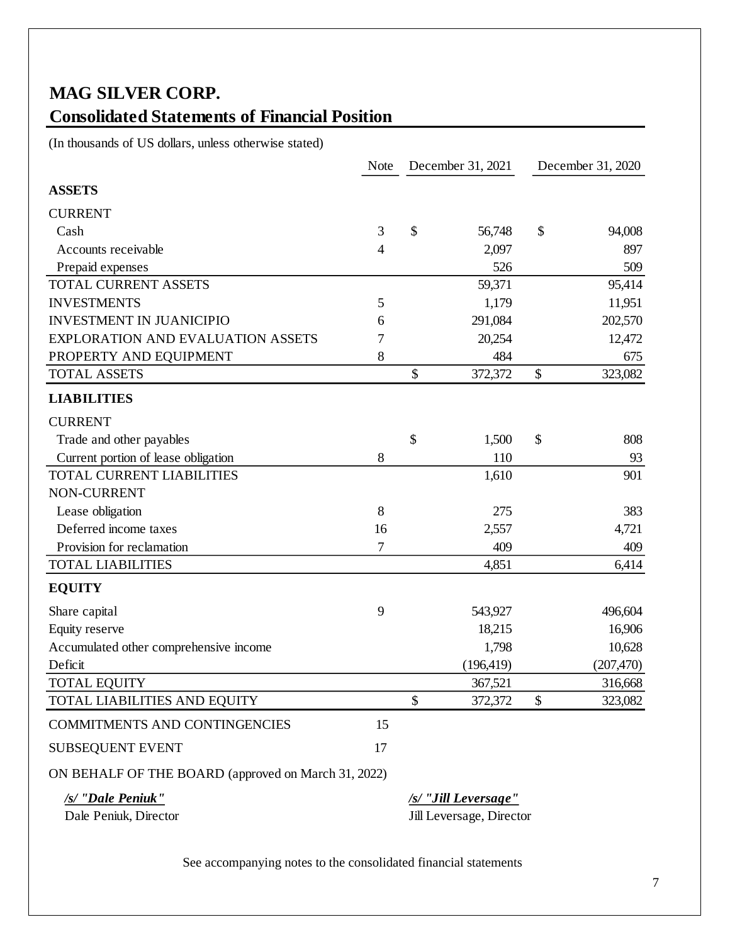# **MAG SILVER CORP. Consolidated Statements of Financial Position**

(In thousands of US dollars, unless otherwise stated)

|                                                     | Note           | December 31, 2021 |                      | December 31, 2020 |
|-----------------------------------------------------|----------------|-------------------|----------------------|-------------------|
| <b>ASSETS</b>                                       |                |                   |                      |                   |
| <b>CURRENT</b>                                      |                |                   |                      |                   |
| Cash                                                | 3              | \$                | 56,748               | \$<br>94,008      |
| Accounts receivable                                 | $\overline{4}$ |                   | 2,097                | 897               |
| Prepaid expenses                                    |                |                   | 526                  | 509               |
| TOTAL CURRENT ASSETS                                |                |                   | 59,371               | 95,414            |
| <b>INVESTMENTS</b>                                  | 5              |                   | 1,179                | 11,951            |
| <b>INVESTMENT IN JUANICIPIO</b>                     | 6              |                   | 291,084              | 202,570           |
| <b>EXPLORATION AND EVALUATION ASSETS</b>            | 7              |                   | 20,254               | 12,472            |
| PROPERTY AND EQUIPMENT                              | 8              |                   | 484                  | 675               |
| <b>TOTAL ASSETS</b>                                 |                | \$                | 372,372              | \$<br>323,082     |
| <b>LIABILITIES</b>                                  |                |                   |                      |                   |
| <b>CURRENT</b>                                      |                |                   |                      |                   |
| Trade and other payables                            |                | \$                | 1,500                | \$<br>808         |
| Current portion of lease obligation                 | 8              |                   | 110                  | 93                |
| TOTAL CURRENT LIABILITIES                           |                |                   | 1,610                | 901               |
| NON-CURRENT                                         |                |                   |                      |                   |
| Lease obligation                                    | 8              |                   | 275                  | 383               |
| Deferred income taxes                               | 16             |                   | 2,557                | 4,721             |
| Provision for reclamation                           | 7              |                   | 409                  | 409               |
| <b>TOTAL LIABILITIES</b>                            |                |                   | 4,851                | 6,414             |
| <b>EQUITY</b>                                       |                |                   |                      |                   |
| Share capital                                       | 9              |                   | 543,927              | 496,604           |
| Equity reserve                                      |                |                   | 18,215               | 16,906            |
| Accumulated other comprehensive income              |                |                   | 1,798                | 10,628            |
| Deficit                                             |                |                   | (196, 419)           | (207, 470)        |
| <b>TOTAL EQUITY</b>                                 |                |                   | 367,521              | 316,668           |
| TOTAL LIABILITIES AND EQUITY                        |                | \$                | 372,372              | \$<br>323,082     |
| <b>COMMITMENTS AND CONTINGENCIES</b>                | 15             |                   |                      |                   |
| <b>SUBSEQUENT EVENT</b>                             | 17             |                   |                      |                   |
| ON BEHALF OF THE BOARD (approved on March 31, 2022) |                |                   |                      |                   |
| /s/ "Dale Peniuk"                                   |                |                   | /s/ "Jill Leversage" |                   |

Dale Peniuk, Director Jill Leversage, Director

See accompanying notes to the consolidated financial statements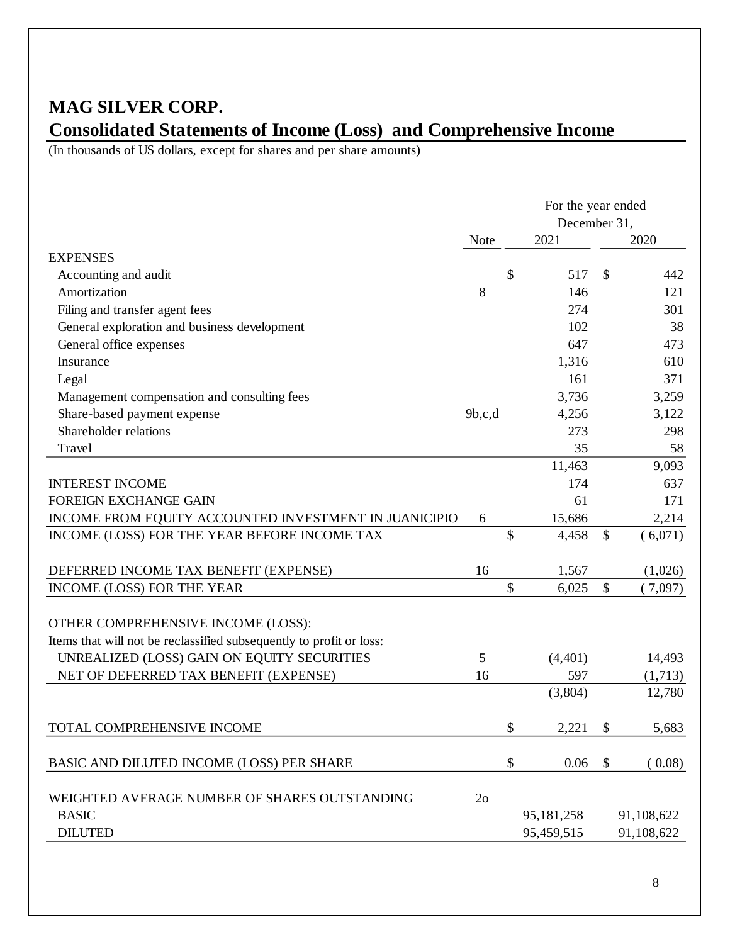# **MAG SILVER CORP. Consolidated Statements of Income (Loss) and Comprehensive Income**

(In thousands of US dollars, except for shares and per share amounts)

|                                                                                                           |                |              | For the year ended<br>December 31, |                           |                          |
|-----------------------------------------------------------------------------------------------------------|----------------|--------------|------------------------------------|---------------------------|--------------------------|
|                                                                                                           | Note           |              | 2021                               |                           | 2020                     |
| <b>EXPENSES</b>                                                                                           |                |              |                                    |                           |                          |
| Accounting and audit                                                                                      |                | \$           | 517                                | $\mathbb{S}$              | 442                      |
| Amortization                                                                                              | 8              |              | 146                                |                           | 121                      |
| Filing and transfer agent fees                                                                            |                |              | 274                                |                           | 301                      |
| General exploration and business development                                                              |                |              | 102                                |                           | 38                       |
| General office expenses                                                                                   |                |              | 647                                |                           | 473                      |
| Insurance                                                                                                 |                |              | 1,316                              |                           | 610                      |
| Legal                                                                                                     |                |              | 161                                |                           | 371                      |
| Management compensation and consulting fees                                                               |                |              | 3,736                              |                           | 3,259                    |
| Share-based payment expense                                                                               | 9b,c,d         |              | 4,256                              |                           | 3,122                    |
| Shareholder relations                                                                                     |                |              | 273                                |                           | 298                      |
| Travel                                                                                                    |                |              | 35                                 |                           | 58                       |
|                                                                                                           |                |              | 11,463                             |                           | 9,093                    |
| <b>INTEREST INCOME</b>                                                                                    |                |              | 174                                |                           | 637                      |
| FOREIGN EXCHANGE GAIN                                                                                     |                |              | 61                                 |                           | 171                      |
| INCOME FROM EQUITY ACCOUNTED INVESTMENT IN JUANICIPIO                                                     | 6              |              | 15,686                             |                           | 2,214                    |
| INCOME (LOSS) FOR THE YEAR BEFORE INCOME TAX                                                              |                | $\mathbb{S}$ | 4,458                              | $\mathbb{S}$              | (6,071)                  |
| DEFERRED INCOME TAX BENEFIT (EXPENSE)                                                                     | 16             |              | 1,567                              |                           | (1,026)                  |
| INCOME (LOSS) FOR THE YEAR                                                                                |                | $\mathbb{S}$ | 6,025                              | \$                        | (7,097)                  |
| OTHER COMPREHENSIVE INCOME (LOSS):<br>Items that will not be reclassified subsequently to profit or loss: |                |              |                                    |                           |                          |
| UNREALIZED (LOSS) GAIN ON EQUITY SECURITIES                                                               | 5              |              | (4,401)                            |                           | 14,493                   |
| NET OF DEFERRED TAX BENEFIT (EXPENSE)                                                                     | 16             |              | 597                                |                           | (1,713)                  |
|                                                                                                           |                |              | (3,804)                            |                           | 12,780                   |
| TOTAL COMPREHENSIVE INCOME                                                                                |                | \$           | 2,221                              | \$                        | 5,683                    |
| BASIC AND DILUTED INCOME (LOSS) PER SHARE                                                                 |                | \$           | 0.06                               | $\boldsymbol{\mathsf{S}}$ | (0.08)                   |
| WEIGHTED AVERAGE NUMBER OF SHARES OUTSTANDING<br><b>BASIC</b><br><b>DILUTED</b>                           | 2 <sub>o</sub> |              | 95,181,258<br>95,459,515           |                           | 91,108,622<br>91,108,622 |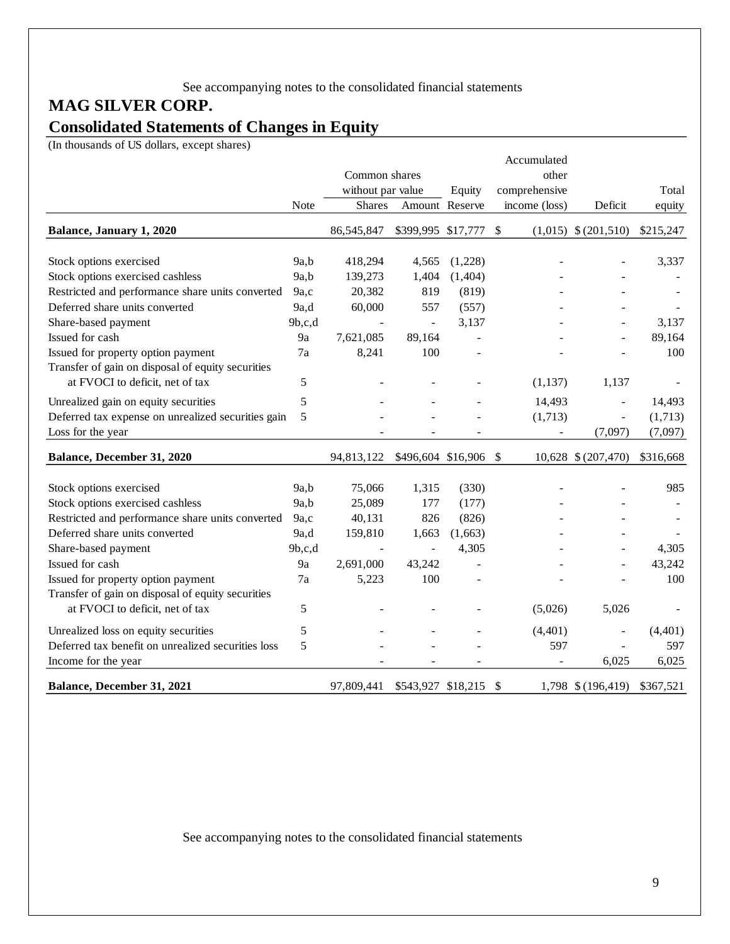# See accompanying notes to the consolidated financial statements

# **MAG SILVER CORP.**

# **Consolidated Statements of Changes in Equity**

(In thousands of US dollars, except shares)

|                                                    |                |                     |                          |                | Accumulated              |                          |           |
|----------------------------------------------------|----------------|---------------------|--------------------------|----------------|--------------------------|--------------------------|-----------|
|                                                    |                | Common shares       |                          |                | other                    |                          |           |
|                                                    |                | without par value   |                          | Equity         | comprehensive            |                          | Total     |
|                                                    | Note           | <b>Shares</b>       |                          | Amount Reserve | income (loss)            | Deficit                  | equity    |
| Balance, January 1, 2020                           |                | 86,545,847          | \$399,995 \$17,777       |                | \$                       | $(1,015)$ \$ $(201,510)$ | \$215,247 |
| Stock options exercised                            | 9a,b           | 418,294             | 4,565                    | (1,228)        |                          |                          | 3,337     |
| Stock options exercised cashless                   | 9a,b           | 139,273             | 1,404                    | (1,404)        |                          |                          |           |
| Restricted and performance share units converted   | 9a,c           | 20,382              | 819                      | (819)          |                          |                          |           |
| Deferred share units converted                     | 9a,d           | 60,000              | 557                      | (557)          |                          |                          |           |
| Share-based payment                                | 9b,c,d         |                     | $\overline{\phantom{a}}$ | 3,137          |                          |                          | 3,137     |
| Issued for cash                                    | 9a             | 7,621,085           | 89,164                   |                |                          |                          | 89,164    |
| Issued for property option payment                 | 7a             | 8,241               | 100                      |                |                          |                          | 100       |
| Transfer of gain on disposal of equity securities  |                |                     |                          |                |                          |                          |           |
| at FVOCI to deficit, net of tax                    | 5              |                     |                          |                | (1, 137)                 | 1,137                    |           |
| Unrealized gain on equity securities               | 5              |                     |                          |                | 14,493                   | $\overline{a}$           | 14,493    |
| Deferred tax expense on unrealized securities gain | 5              |                     |                          |                | (1,713)                  | $\overline{\phantom{a}}$ | (1,713)   |
| Loss for the year                                  |                |                     |                          |                | $\overline{\phantom{a}}$ | (7,097)                  | (7,097)   |
| Balance, December 31, 2020                         |                | 94,813,122          | \$496,604 \$16,906 \$    |                |                          | 10,628 \$ (207,470)      | \$316,668 |
| Stock options exercised                            | 9a,b           | 75,066              | 1,315                    | (330)          |                          |                          | 985       |
| Stock options exercised cashless                   | 9a,b           | 25,089              | 177                      | (177)          |                          |                          |           |
| Restricted and performance share units converted   | 9a,c           | 40,131              | 826                      | (826)          |                          |                          |           |
| Deferred share units converted                     | 9a,d           | 159,810             | 1,663                    | (1,663)        |                          |                          |           |
| Share-based payment                                | 9b,c,d         | $\bar{\phantom{a}}$ | $\equiv$                 | 4,305          |                          |                          | 4,305     |
| Issued for cash                                    | 9a             | 2,691,000           | 43,242                   |                |                          |                          | 43,242    |
| Issued for property option payment                 | 7a             | 5,223               | 100                      |                |                          |                          | 100       |
| Transfer of gain on disposal of equity securities  |                |                     |                          |                |                          |                          |           |
| at FVOCI to deficit, net of tax                    | $\mathfrak s$  |                     |                          |                | (5,026)                  | 5,026                    |           |
| Unrealized loss on equity securities               | $\mathfrak{S}$ |                     |                          |                | (4,401)                  |                          | (4,401)   |
| Deferred tax benefit on unrealized securities loss | 5              |                     |                          |                | 597                      | $\overline{a}$           | 597       |
| Income for the year                                |                |                     |                          |                |                          | 6,025                    | 6,025     |
| <b>Balance, December 31, 2021</b>                  |                | 97,809,441          | \$543,927 \$18,215       |                | \$                       | 1,798 \$ (196,419)       | \$367,521 |

See accompanying notes to the consolidated financial statements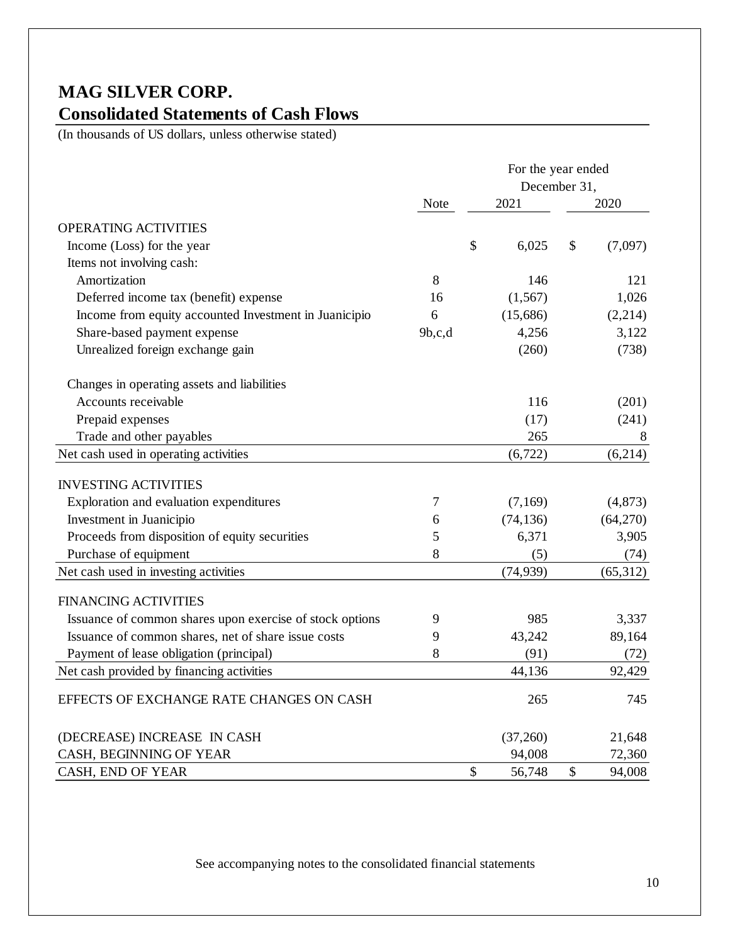# **MAG SILVER CORP. Consolidated Statements of Cash Flows**

(In thousands of US dollars, unless otherwise stated)

|                                                          |             | For the year ended<br>December 31, |              |          |
|----------------------------------------------------------|-------------|------------------------------------|--------------|----------|
|                                                          | <b>Note</b> | 2021                               |              | 2020     |
| <b>OPERATING ACTIVITIES</b>                              |             |                                    |              |          |
| Income (Loss) for the year                               |             | \$<br>6,025                        | $\mathbb{S}$ | (7,097)  |
| Items not involving cash:                                |             |                                    |              |          |
| Amortization                                             | 8           | 146                                |              | 121      |
| Deferred income tax (benefit) expense                    | 16          | (1, 567)                           |              | 1,026    |
| Income from equity accounted Investment in Juanicipio    | 6           | (15,686)                           |              | (2,214)  |
| Share-based payment expense                              | 9b,c,d      | 4,256                              |              | 3,122    |
| Unrealized foreign exchange gain                         |             | (260)                              |              | (738)    |
| Changes in operating assets and liabilities              |             |                                    |              |          |
| Accounts receivable                                      |             | 116                                |              | (201)    |
| Prepaid expenses                                         |             | (17)                               |              | (241)    |
| Trade and other payables                                 |             | 265                                |              | 8        |
| Net cash used in operating activities                    |             | (6, 722)                           |              | (6,214)  |
| <b>INVESTING ACTIVITIES</b>                              |             |                                    |              |          |
| Exploration and evaluation expenditures                  | 7           | (7,169)                            |              | (4,873)  |
| Investment in Juanicipio                                 | 6           | (74, 136)                          |              | (64,270) |
| Proceeds from disposition of equity securities           | 5           | 6,371                              |              | 3,905    |
| Purchase of equipment                                    | 8           | (5)                                |              | (74)     |
| Net cash used in investing activities                    |             | (74, 939)                          |              | (65,312) |
| <b>FINANCING ACTIVITIES</b>                              |             |                                    |              |          |
| Issuance of common shares upon exercise of stock options | 9           | 985                                |              | 3,337    |
| Issuance of common shares, net of share issue costs      | 9           | 43,242                             |              | 89,164   |
| Payment of lease obligation (principal)                  | 8           | (91)                               |              | (72)     |
| Net cash provided by financing activities                |             | 44,136                             |              | 92,429   |
| EFFECTS OF EXCHANGE RATE CHANGES ON CASH                 |             | 265                                |              | 745      |
| (DECREASE) INCREASE IN CASH                              |             | (37,260)                           |              | 21,648   |
| CASH, BEGINNING OF YEAR                                  |             | 94,008                             |              | 72,360   |
| CASH, END OF YEAR                                        |             | \$<br>56,748                       | \$           | 94,008   |

See accompanying notes to the consolidated financial statements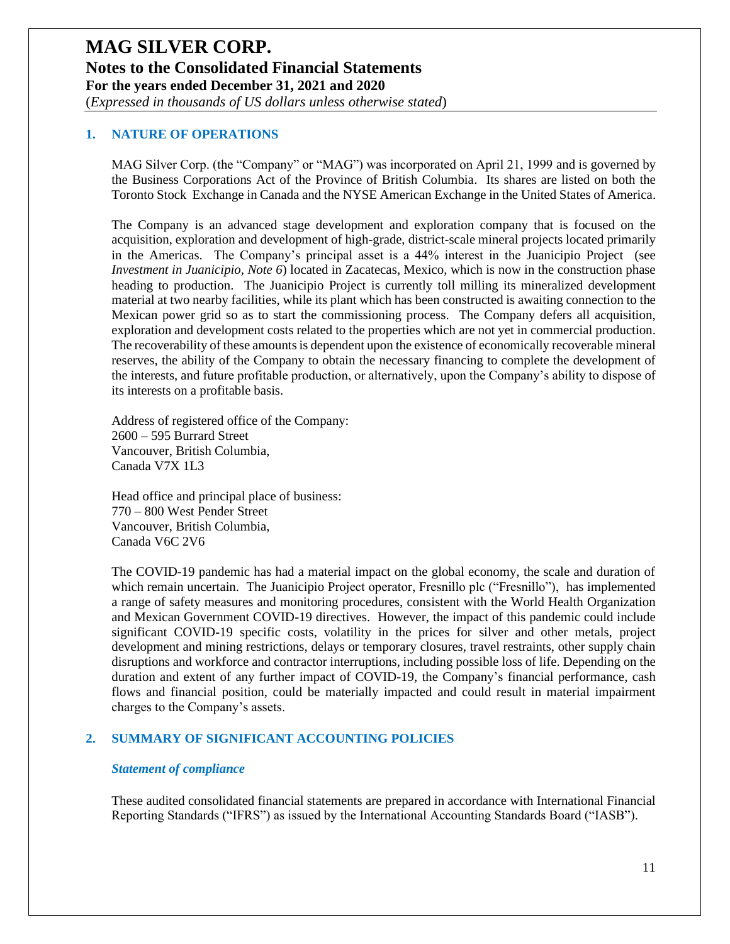# **1. NATURE OF OPERATIONS**

MAG Silver Corp. (the "Company" or "MAG") was incorporated on April 21, 1999 and is governed by the Business Corporations Act of the Province of British Columbia. Its shares are listed on both the Toronto Stock Exchange in Canada and the NYSE American Exchange in the United States of America.

The Company is an advanced stage development and exploration company that is focused on the acquisition, exploration and development of high-grade, district-scale mineral projects located primarily in the Americas. The Company's principal asset is a 44% interest in the Juanicipio Project (see *Investment in Juanicipio, Note 6*) located in Zacatecas, Mexico, which is now in the construction phase heading to production. The Juanicipio Project is currently toll milling its mineralized development material at two nearby facilities, while its plant which has been constructed is awaiting connection to the Mexican power grid so as to start the commissioning process. The Company defers all acquisition, exploration and development costs related to the properties which are not yet in commercial production. The recoverability of these amounts is dependent upon the existence of economically recoverable mineral reserves, the ability of the Company to obtain the necessary financing to complete the development of the interests, and future profitable production, or alternatively, upon the Company's ability to dispose of its interests on a profitable basis.

Address of registered office of the Company: 2600 – 595 Burrard Street Vancouver, British Columbia, Canada V7X 1L3

Head office and principal place of business: 770 – 800 West Pender Street Vancouver, British Columbia, Canada V6C 2V6

The COVID-19 pandemic has had a material impact on the global economy, the scale and duration of which remain uncertain. The Juanicipio Project operator, Fresnillo plc ("Fresnillo"), has implemented a range of safety measures and monitoring procedures, consistent with the World Health Organization and Mexican Government COVID-19 directives. However, the impact of this pandemic could include significant COVID-19 specific costs, volatility in the prices for silver and other metals, project development and mining restrictions, delays or temporary closures, travel restraints, other supply chain disruptions and workforce and contractor interruptions, including possible loss of life. Depending on the duration and extent of any further impact of COVID-19, the Company's financial performance, cash flows and financial position, could be materially impacted and could result in material impairment charges to the Company's assets.

# **2. SUMMARY OF SIGNIFICANT ACCOUNTING POLICIES**

#### *Statement of compliance*

These audited consolidated financial statements are prepared in accordance with International Financial Reporting Standards ("IFRS") as issued by the International Accounting Standards Board ("IASB").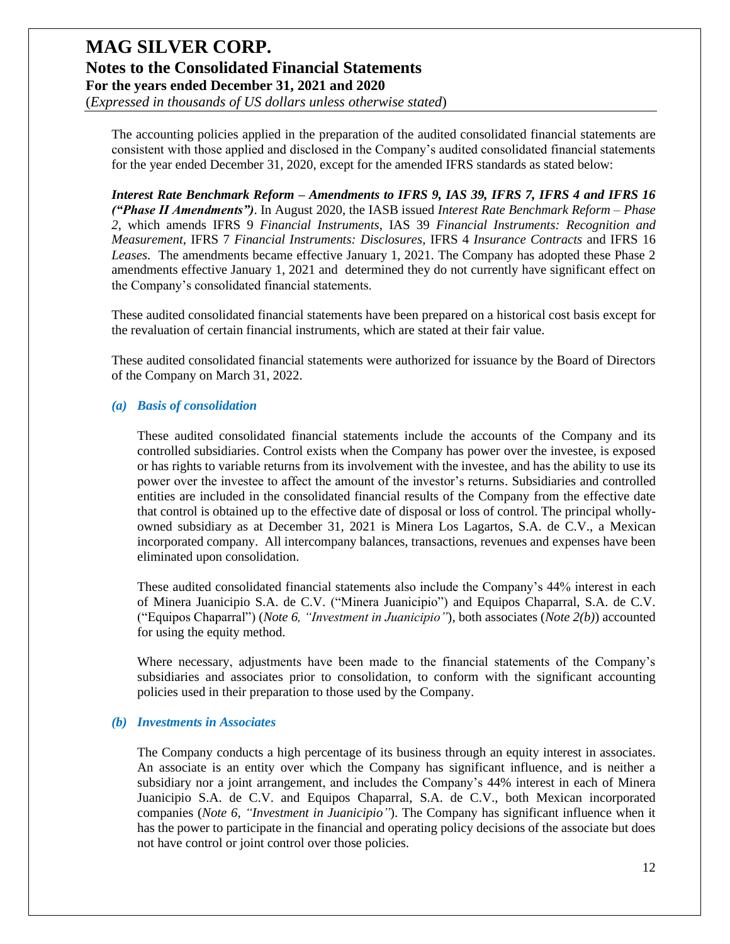The accounting policies applied in the preparation of the audited consolidated financial statements are consistent with those applied and disclosed in the Company's audited consolidated financial statements for the year ended December 31, 2020, except for the amended IFRS standards as stated below:

*Interest Rate Benchmark Reform – Amendments to IFRS 9, IAS 39, IFRS 7, IFRS 4 and IFRS 16 ("Phase II Amendments")*. In August 2020, the IASB issued *Interest Rate Benchmark Reform – Phase 2*, which amends IFRS 9 *Financial Instruments*, IAS 39 *Financial Instruments: Recognition and Measurement*, IFRS 7 *Financial Instruments: Disclosures*, IFRS 4 *Insurance Contracts* and IFRS 16 *Leases*. The amendments became effective January 1, 2021. The Company has adopted these Phase 2 amendments effective January 1, 2021 and determined they do not currently have significant effect on the Company's consolidated financial statements.

These audited consolidated financial statements have been prepared on a historical cost basis except for the revaluation of certain financial instruments, which are stated at their fair value.

These audited consolidated financial statements were authorized for issuance by the Board of Directors of the Company on March 31, 2022.

#### *(a) Basis of consolidation*

These audited consolidated financial statements include the accounts of the Company and its controlled subsidiaries. Control exists when the Company has power over the investee, is exposed or has rights to variable returns from its involvement with the investee, and has the ability to use its power over the investee to affect the amount of the investor's returns. Subsidiaries and controlled entities are included in the consolidated financial results of the Company from the effective date that control is obtained up to the effective date of disposal or loss of control. The principal whollyowned subsidiary as at December 31, 2021 is Minera Los Lagartos, S.A. de C.V., a Mexican incorporated company. All intercompany balances, transactions, revenues and expenses have been eliminated upon consolidation.

These audited consolidated financial statements also include the Company's 44% interest in each of Minera Juanicipio S.A. de C.V. ("Minera Juanicipio") and Equipos Chaparral, S.A. de C.V. ("Equipos Chaparral") (*Note 6, "Investment in Juanicipio"*), both associates (*Note 2(b)*) accounted for using the equity method.

Where necessary, adjustments have been made to the financial statements of the Company's subsidiaries and associates prior to consolidation, to conform with the significant accounting policies used in their preparation to those used by the Company.

#### *(b) Investments in Associates*

The Company conducts a high percentage of its business through an equity interest in associates. An associate is an entity over which the Company has significant influence, and is neither a subsidiary nor a joint arrangement, and includes the Company's 44% interest in each of Minera Juanicipio S.A. de C.V. and Equipos Chaparral, S.A. de C.V., both Mexican incorporated companies (*Note 6, "Investment in Juanicipio"*). The Company has significant influence when it has the power to participate in the financial and operating policy decisions of the associate but does not have control or joint control over those policies.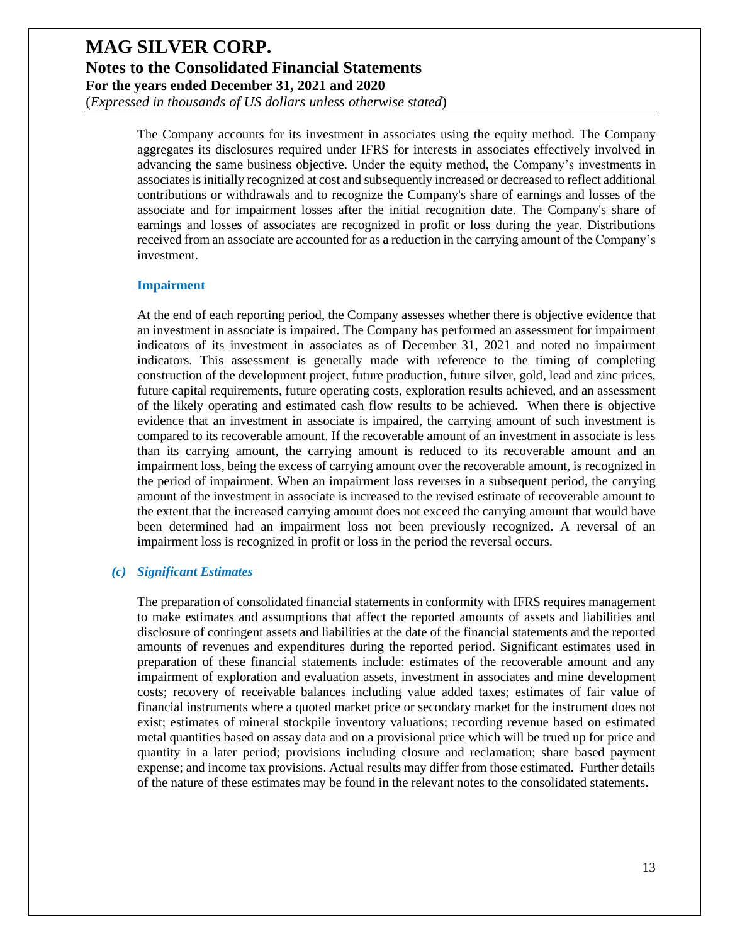The Company accounts for its investment in associates using the equity method. The Company aggregates its disclosures required under IFRS for interests in associates effectively involved in advancing the same business objective. Under the equity method, the Company's investments in associatesis initially recognized at cost and subsequently increased or decreased to reflect additional contributions or withdrawals and to recognize the Company's share of earnings and losses of the associate and for impairment losses after the initial recognition date. The Company's share of earnings and losses of associates are recognized in profit or loss during the year. Distributions received from an associate are accounted for as a reduction in the carrying amount of the Company's investment.

### **Impairment**

At the end of each reporting period, the Company assesses whether there is objective evidence that an investment in associate is impaired. The Company has performed an assessment for impairment indicators of its investment in associates as of December 31, 2021 and noted no impairment indicators. This assessment is generally made with reference to the timing of completing construction of the development project, future production, future silver, gold, lead and zinc prices, future capital requirements, future operating costs, exploration results achieved, and an assessment of the likely operating and estimated cash flow results to be achieved. When there is objective evidence that an investment in associate is impaired, the carrying amount of such investment is compared to its recoverable amount. If the recoverable amount of an investment in associate is less than its carrying amount, the carrying amount is reduced to its recoverable amount and an impairment loss, being the excess of carrying amount over the recoverable amount, is recognized in the period of impairment. When an impairment loss reverses in a subsequent period, the carrying amount of the investment in associate is increased to the revised estimate of recoverable amount to the extent that the increased carrying amount does not exceed the carrying amount that would have been determined had an impairment loss not been previously recognized. A reversal of an impairment loss is recognized in profit or loss in the period the reversal occurs.

# *(c) Significant Estimates*

The preparation of consolidated financial statements in conformity with IFRS requires management to make estimates and assumptions that affect the reported amounts of assets and liabilities and disclosure of contingent assets and liabilities at the date of the financial statements and the reported amounts of revenues and expenditures during the reported period. Significant estimates used in preparation of these financial statements include: estimates of the recoverable amount and any impairment of exploration and evaluation assets, investment in associates and mine development costs; recovery of receivable balances including value added taxes; estimates of fair value of financial instruments where a quoted market price or secondary market for the instrument does not exist; estimates of mineral stockpile inventory valuations; recording revenue based on estimated metal quantities based on assay data and on a provisional price which will be trued up for price and quantity in a later period; provisions including closure and reclamation; share based payment expense; and income tax provisions. Actual results may differ from those estimated. Further details of the nature of these estimates may be found in the relevant notes to the consolidated statements.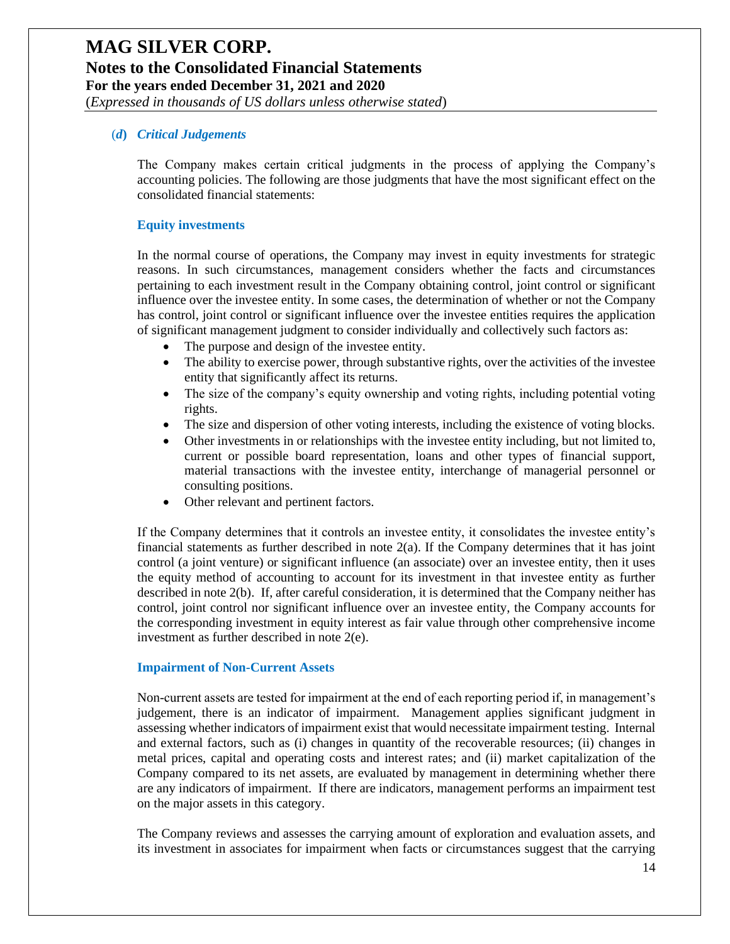# (*d***)** *Critical Judgements*

The Company makes certain critical judgments in the process of applying the Company's accounting policies. The following are those judgments that have the most significant effect on the consolidated financial statements:

# **Equity investments**

In the normal course of operations, the Company may invest in equity investments for strategic reasons. In such circumstances, management considers whether the facts and circumstances pertaining to each investment result in the Company obtaining control, joint control or significant influence over the investee entity. In some cases, the determination of whether or not the Company has control, joint control or significant influence over the investee entities requires the application of significant management judgment to consider individually and collectively such factors as:

- The purpose and design of the investee entity.
- The ability to exercise power, through substantive rights, over the activities of the investee entity that significantly affect its returns.
- The size of the company's equity ownership and voting rights, including potential voting rights.
- The size and dispersion of other voting interests, including the existence of voting blocks.
- Other investments in or relationships with the investee entity including, but not limited to, current or possible board representation, loans and other types of financial support, material transactions with the investee entity, interchange of managerial personnel or consulting positions.
- Other relevant and pertinent factors.

If the Company determines that it controls an investee entity, it consolidates the investee entity's financial statements as further described in note 2(a). If the Company determines that it has joint control (a joint venture) or significant influence (an associate) over an investee entity, then it uses the equity method of accounting to account for its investment in that investee entity as further described in note 2(b). If, after careful consideration, it is determined that the Company neither has control, joint control nor significant influence over an investee entity, the Company accounts for the corresponding investment in equity interest as fair value through other comprehensive income investment as further described in note 2(e).

# **Impairment of Non-Current Assets**

Non-current assets are tested for impairment at the end of each reporting period if, in management's judgement, there is an indicator of impairment. Management applies significant judgment in assessing whether indicators of impairment exist that would necessitate impairment testing. Internal and external factors, such as (i) changes in quantity of the recoverable resources; (ii) changes in metal prices, capital and operating costs and interest rates; and (ii) market capitalization of the Company compared to its net assets, are evaluated by management in determining whether there are any indicators of impairment. If there are indicators, management performs an impairment test on the major assets in this category.

The Company reviews and assesses the carrying amount of exploration and evaluation assets, and its investment in associates for impairment when facts or circumstances suggest that the carrying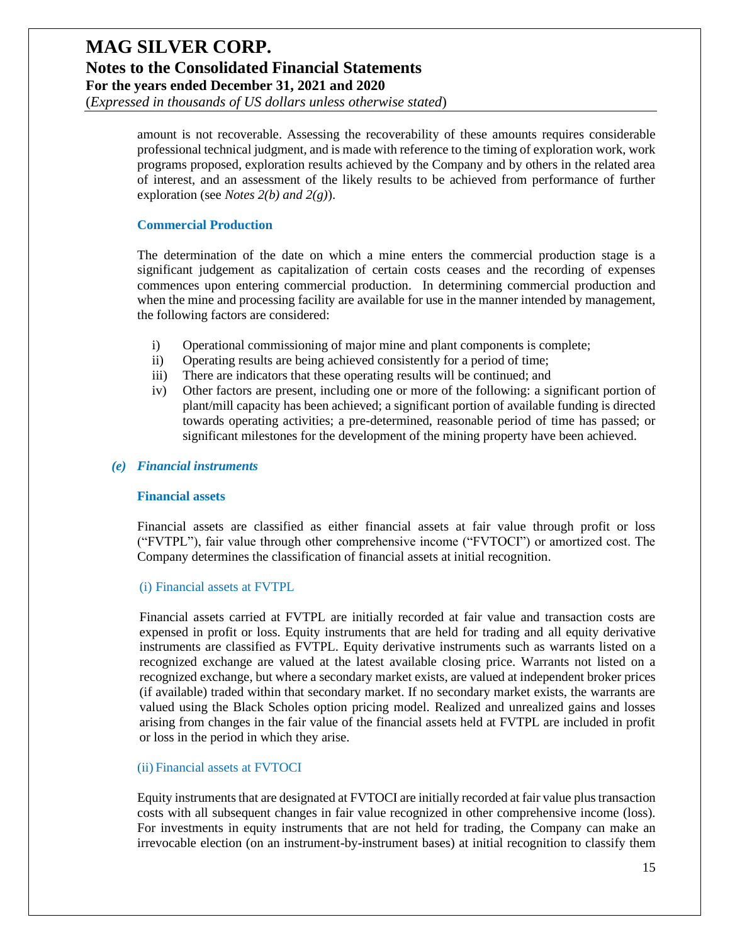amount is not recoverable. Assessing the recoverability of these amounts requires considerable professional technical judgment, and is made with reference to the timing of exploration work, work programs proposed, exploration results achieved by the Company and by others in the related area of interest, and an assessment of the likely results to be achieved from performance of further exploration (see *Notes 2(b) and 2(g)*).

### **Commercial Production**

The determination of the date on which a mine enters the commercial production stage is a significant judgement as capitalization of certain costs ceases and the recording of expenses commences upon entering commercial production. In determining commercial production and when the mine and processing facility are available for use in the manner intended by management, the following factors are considered:

- i) Operational commissioning of major mine and plant components is complete;
- ii) Operating results are being achieved consistently for a period of time;
- iii) There are indicators that these operating results will be continued; and
- iv) Other factors are present, including one or more of the following: a significant portion of plant/mill capacity has been achieved; a significant portion of available funding is directed towards operating activities; a pre-determined, reasonable period of time has passed; or significant milestones for the development of the mining property have been achieved.

### *(e) Financial instruments*

#### **Financial assets**

Financial assets are classified as either financial assets at fair value through profit or loss ("FVTPL"), fair value through other comprehensive income ("FVTOCI") or amortized cost. The Company determines the classification of financial assets at initial recognition.

# (i) Financial assets at FVTPL

Financial assets carried at FVTPL are initially recorded at fair value and transaction costs are expensed in profit or loss. Equity instruments that are held for trading and all equity derivative instruments are classified as FVTPL. Equity derivative instruments such as warrants listed on a recognized exchange are valued at the latest available closing price. Warrants not listed on a recognized exchange, but where a secondary market exists, are valued at independent broker prices (if available) traded within that secondary market. If no secondary market exists, the warrants are valued using the Black Scholes option pricing model. Realized and unrealized gains and losses arising from changes in the fair value of the financial assets held at FVTPL are included in profit or loss in the period in which they arise.

#### (ii) Financial assets at FVTOCI

Equity instruments that are designated at FVTOCI are initially recorded at fair value plus transaction costs with all subsequent changes in fair value recognized in other comprehensive income (loss). For investments in equity instruments that are not held for trading, the Company can make an irrevocable election (on an instrument-by-instrument bases) at initial recognition to classify them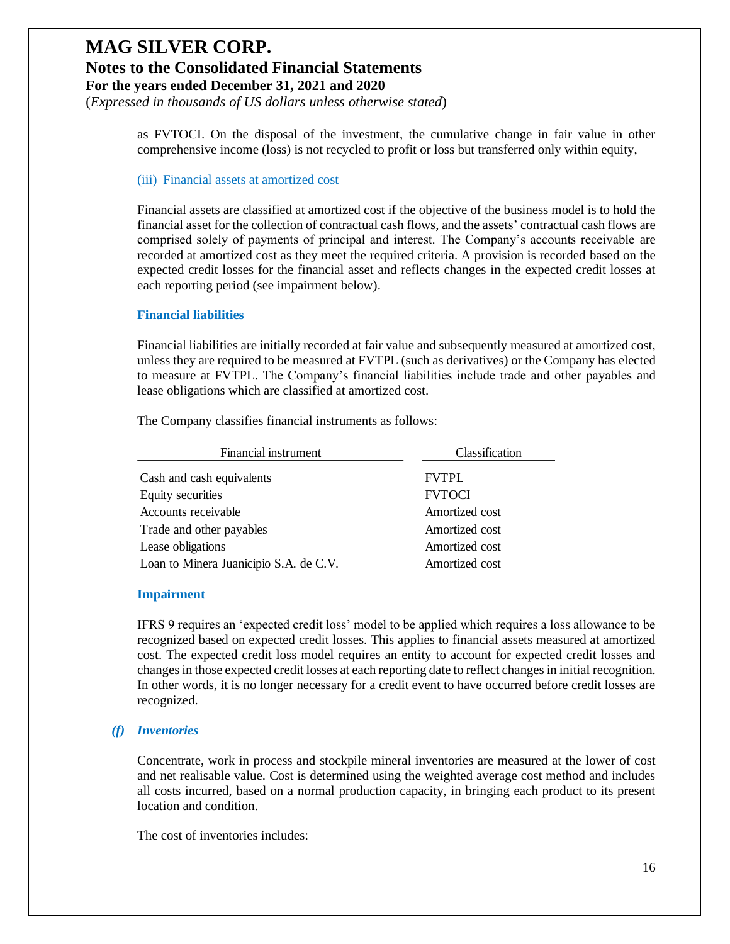as FVTOCI. On the disposal of the investment, the cumulative change in fair value in other comprehensive income (loss) is not recycled to profit or loss but transferred only within equity,

#### (iii) Financial assets at amortized cost

Financial assets are classified at amortized cost if the objective of the business model is to hold the financial asset for the collection of contractual cash flows, and the assets' contractual cash flows are comprised solely of payments of principal and interest. The Company's accounts receivable are recorded at amortized cost as they meet the required criteria. A provision is recorded based on the expected credit losses for the financial asset and reflects changes in the expected credit losses at each reporting period (see impairment below).

### **Financial liabilities**

Financial liabilities are initially recorded at fair value and subsequently measured at amortized cost, unless they are required to be measured at FVTPL (such as derivatives) or the Company has elected to measure at FVTPL. The Company's financial liabilities include trade and other payables and lease obligations which are classified at amortized cost.

The Company classifies financial instruments as follows:

| Classification |
|----------------|
| <b>FVTPL</b>   |
| <b>FVTOCI</b>  |
| Amortized cost |
| Amortized cost |
| Amortized cost |
| Amortized cost |
|                |

# **Impairment**

IFRS 9 requires an 'expected credit loss' model to be applied which requires a loss allowance to be recognized based on expected credit losses. This applies to financial assets measured at amortized cost. The expected credit loss model requires an entity to account for expected credit losses and changes in those expected credit losses at each reporting date to reflect changes in initial recognition. In other words, it is no longer necessary for a credit event to have occurred before credit losses are recognized.

# *(f) Inventories*

Concentrate, work in process and stockpile mineral inventories are measured at the lower of cost and net realisable value. Cost is determined using the weighted average cost method and includes all costs incurred, based on a normal production capacity, in bringing each product to its present location and condition.

The cost of inventories includes: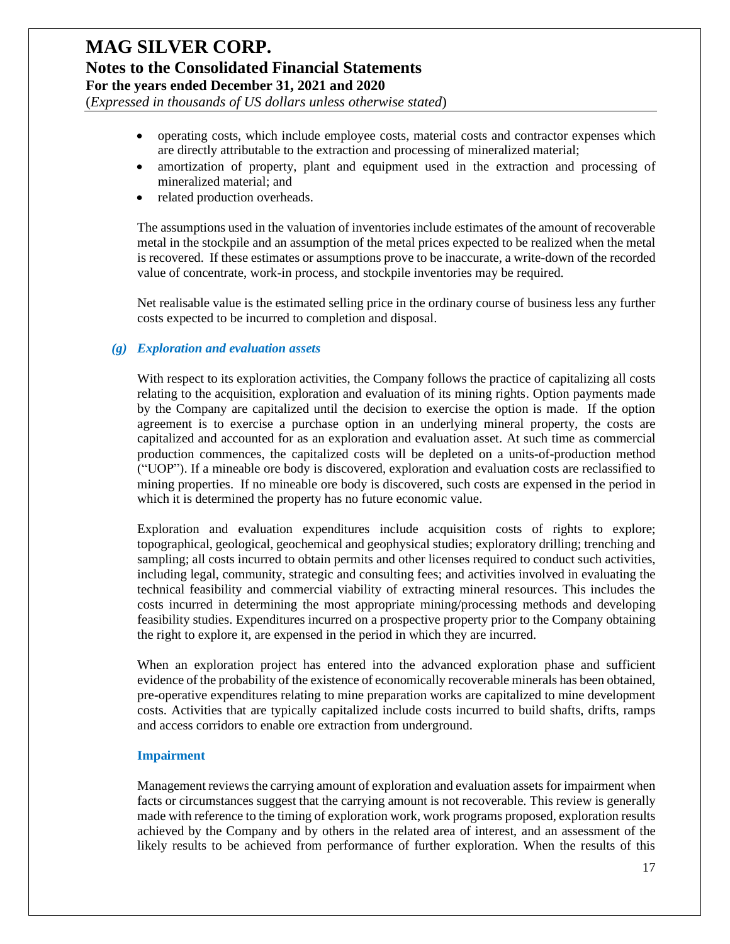(*Expressed in thousands of US dollars unless otherwise stated*)

- operating costs, which include employee costs, material costs and contractor expenses which are directly attributable to the extraction and processing of mineralized material;
- amortization of property, plant and equipment used in the extraction and processing of mineralized material; and
- related production overheads.

The assumptions used in the valuation of inventories include estimates of the amount of recoverable metal in the stockpile and an assumption of the metal prices expected to be realized when the metal is recovered. If these estimates or assumptions prove to be inaccurate, a write-down of the recorded value of concentrate, work-in process, and stockpile inventories may be required.

Net realisable value is the estimated selling price in the ordinary course of business less any further costs expected to be incurred to completion and disposal.

# *(g) Exploration and evaluation assets*

With respect to its exploration activities, the Company follows the practice of capitalizing all costs relating to the acquisition, exploration and evaluation of its mining rights. Option payments made by the Company are capitalized until the decision to exercise the option is made. If the option agreement is to exercise a purchase option in an underlying mineral property, the costs are capitalized and accounted for as an exploration and evaluation asset. At such time as commercial production commences, the capitalized costs will be depleted on a units-of-production method ("UOP"). If a mineable ore body is discovered, exploration and evaluation costs are reclassified to mining properties. If no mineable ore body is discovered, such costs are expensed in the period in which it is determined the property has no future economic value.

Exploration and evaluation expenditures include acquisition costs of rights to explore; topographical, geological, geochemical and geophysical studies; exploratory drilling; trenching and sampling; all costs incurred to obtain permits and other licenses required to conduct such activities, including legal, community, strategic and consulting fees; and activities involved in evaluating the technical feasibility and commercial viability of extracting mineral resources. This includes the costs incurred in determining the most appropriate mining/processing methods and developing feasibility studies. Expenditures incurred on a prospective property prior to the Company obtaining the right to explore it, are expensed in the period in which they are incurred.

When an exploration project has entered into the advanced exploration phase and sufficient evidence of the probability of the existence of economically recoverable minerals has been obtained, pre-operative expenditures relating to mine preparation works are capitalized to mine development costs. Activities that are typically capitalized include costs incurred to build shafts, drifts, ramps and access corridors to enable ore extraction from underground.

# **Impairment**

Management reviews the carrying amount of exploration and evaluation assets for impairment when facts or circumstances suggest that the carrying amount is not recoverable. This review is generally made with reference to the timing of exploration work, work programs proposed, exploration results achieved by the Company and by others in the related area of interest, and an assessment of the likely results to be achieved from performance of further exploration. When the results of this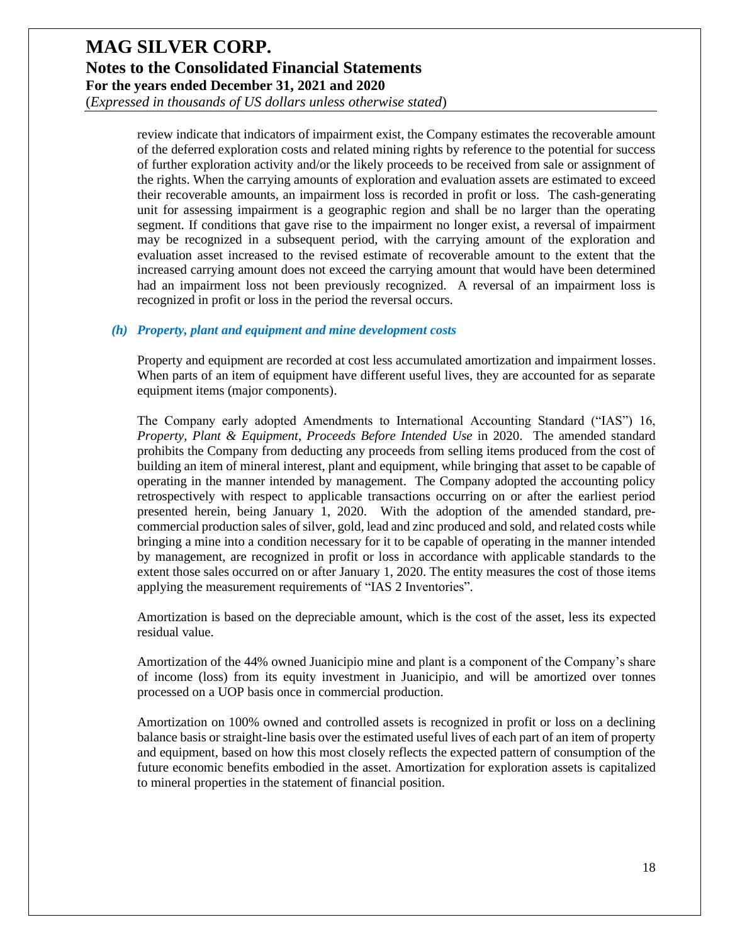review indicate that indicators of impairment exist, the Company estimates the recoverable amount of the deferred exploration costs and related mining rights by reference to the potential for success of further exploration activity and/or the likely proceeds to be received from sale or assignment of the rights. When the carrying amounts of exploration and evaluation assets are estimated to exceed their recoverable amounts, an impairment loss is recorded in profit or loss. The cash-generating unit for assessing impairment is a geographic region and shall be no larger than the operating segment. If conditions that gave rise to the impairment no longer exist, a reversal of impairment may be recognized in a subsequent period, with the carrying amount of the exploration and evaluation asset increased to the revised estimate of recoverable amount to the extent that the increased carrying amount does not exceed the carrying amount that would have been determined had an impairment loss not been previously recognized. A reversal of an impairment loss is recognized in profit or loss in the period the reversal occurs.

# *(h) Property, plant and equipment and mine development costs*

Property and equipment are recorded at cost less accumulated amortization and impairment losses. When parts of an item of equipment have different useful lives, they are accounted for as separate equipment items (major components).

The Company early adopted Amendments to International Accounting Standard ("IAS") 16, *Property, Plant & Equipment, Proceeds Before Intended Use* in 2020. The amended standard prohibits the Company from deducting any proceeds from selling items produced from the cost of building an item of mineral interest, plant and equipment, while bringing that asset to be capable of operating in the manner intended by management. The Company adopted the accounting policy retrospectively with respect to applicable transactions occurring on or after the earliest period presented herein, being January 1, 2020. With the adoption of the amended standard, precommercial production sales of silver, gold, lead and zinc produced and sold, and related costs while bringing a mine into a condition necessary for it to be capable of operating in the manner intended by management, are recognized in profit or loss in accordance with applicable standards to the extent those sales occurred on or after January 1, 2020. The entity measures the cost of those items applying the measurement requirements of "IAS 2 Inventories".

Amortization is based on the depreciable amount, which is the cost of the asset, less its expected residual value.

Amortization of the 44% owned Juanicipio mine and plant is a component of the Company's share of income (loss) from its equity investment in Juanicipio, and will be amortized over tonnes processed on a UOP basis once in commercial production.

Amortization on 100% owned and controlled assets is recognized in profit or loss on a declining balance basis or straight-line basis over the estimated useful lives of each part of an item of property and equipment, based on how this most closely reflects the expected pattern of consumption of the future economic benefits embodied in the asset. Amortization for exploration assets is capitalized to mineral properties in the statement of financial position.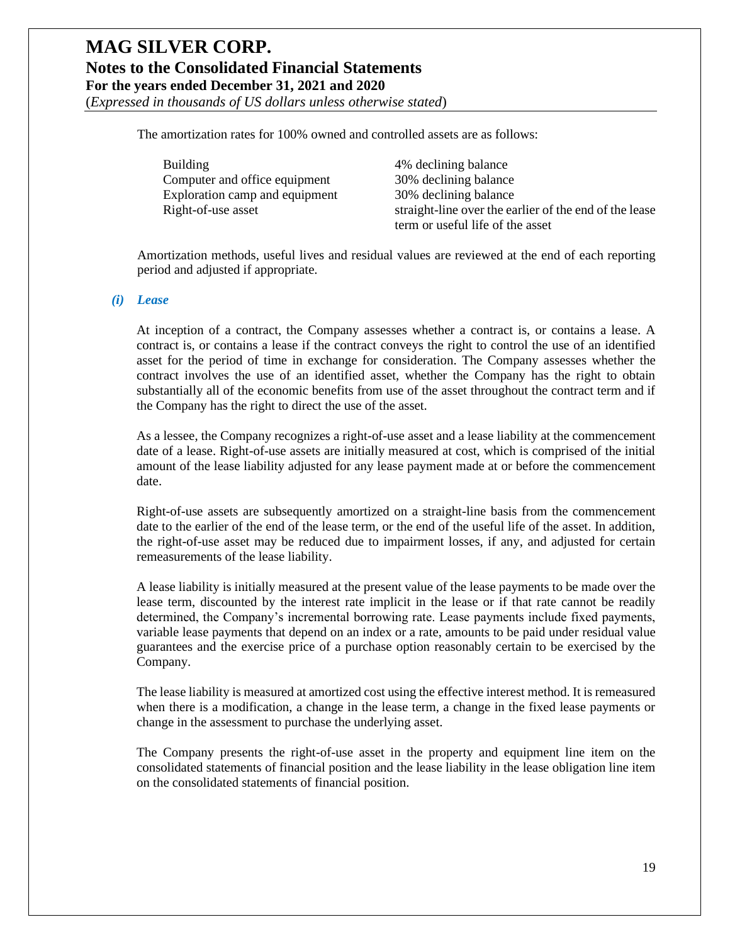The amortization rates for 100% owned and controlled assets are as follows:

| <b>Building</b>                |
|--------------------------------|
| Computer and office equipment  |
| Exploration camp and equipment |
| Right-of-use asset             |

4% declining balance 30% declining balance 30% declining balance straight-line over the earlier of the end of the lease term or useful life of the asset

Amortization methods, useful lives and residual values are reviewed at the end of each reporting period and adjusted if appropriate.

### *(i) Lease*

At inception of a contract, the Company assesses whether a contract is, or contains a lease. A contract is, or contains a lease if the contract conveys the right to control the use of an identified asset for the period of time in exchange for consideration. The Company assesses whether the contract involves the use of an identified asset, whether the Company has the right to obtain substantially all of the economic benefits from use of the asset throughout the contract term and if the Company has the right to direct the use of the asset.

As a lessee, the Company recognizes a right-of-use asset and a lease liability at the commencement date of a lease. Right-of-use assets are initially measured at cost, which is comprised of the initial amount of the lease liability adjusted for any lease payment made at or before the commencement date.

Right-of-use assets are subsequently amortized on a straight-line basis from the commencement date to the earlier of the end of the lease term, or the end of the useful life of the asset. In addition, the right-of-use asset may be reduced due to impairment losses, if any, and adjusted for certain remeasurements of the lease liability.

A lease liability is initially measured at the present value of the lease payments to be made over the lease term, discounted by the interest rate implicit in the lease or if that rate cannot be readily determined, the Company's incremental borrowing rate. Lease payments include fixed payments, variable lease payments that depend on an index or a rate, amounts to be paid under residual value guarantees and the exercise price of a purchase option reasonably certain to be exercised by the Company.

The lease liability is measured at amortized cost using the effective interest method. It is remeasured when there is a modification, a change in the lease term, a change in the fixed lease payments or change in the assessment to purchase the underlying asset.

The Company presents the right-of-use asset in the property and equipment line item on the consolidated statements of financial position and the lease liability in the lease obligation line item on the consolidated statements of financial position.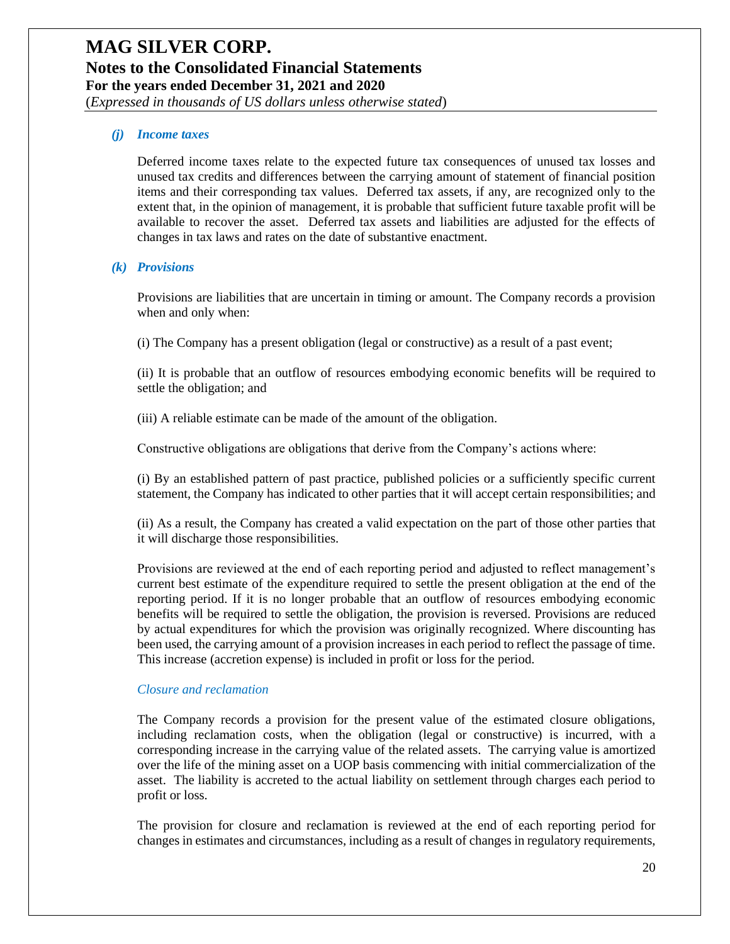# *(j) Income taxes*

Deferred income taxes relate to the expected future tax consequences of unused tax losses and unused tax credits and differences between the carrying amount of statement of financial position items and their corresponding tax values. Deferred tax assets, if any, are recognized only to the extent that, in the opinion of management, it is probable that sufficient future taxable profit will be available to recover the asset. Deferred tax assets and liabilities are adjusted for the effects of changes in tax laws and rates on the date of substantive enactment.

#### *(k) Provisions*

Provisions are liabilities that are uncertain in timing or amount. The Company records a provision when and only when:

(i) The Company has a present obligation (legal or constructive) as a result of a past event;

(ii) It is probable that an outflow of resources embodying economic benefits will be required to settle the obligation; and

(iii) A reliable estimate can be made of the amount of the obligation.

Constructive obligations are obligations that derive from the Company's actions where:

(i) By an established pattern of past practice, published policies or a sufficiently specific current statement, the Company has indicated to other parties that it will accept certain responsibilities; and

(ii) As a result, the Company has created a valid expectation on the part of those other parties that it will discharge those responsibilities.

Provisions are reviewed at the end of each reporting period and adjusted to reflect management's current best estimate of the expenditure required to settle the present obligation at the end of the reporting period. If it is no longer probable that an outflow of resources embodying economic benefits will be required to settle the obligation, the provision is reversed. Provisions are reduced by actual expenditures for which the provision was originally recognized. Where discounting has been used, the carrying amount of a provision increases in each period to reflect the passage of time. This increase (accretion expense) is included in profit or loss for the period.

# *Closure and reclamation*

The Company records a provision for the present value of the estimated closure obligations, including reclamation costs, when the obligation (legal or constructive) is incurred, with a corresponding increase in the carrying value of the related assets. The carrying value is amortized over the life of the mining asset on a UOP basis commencing with initial commercialization of the asset. The liability is accreted to the actual liability on settlement through charges each period to profit or loss.

The provision for closure and reclamation is reviewed at the end of each reporting period for changes in estimates and circumstances, including as a result of changes in regulatory requirements,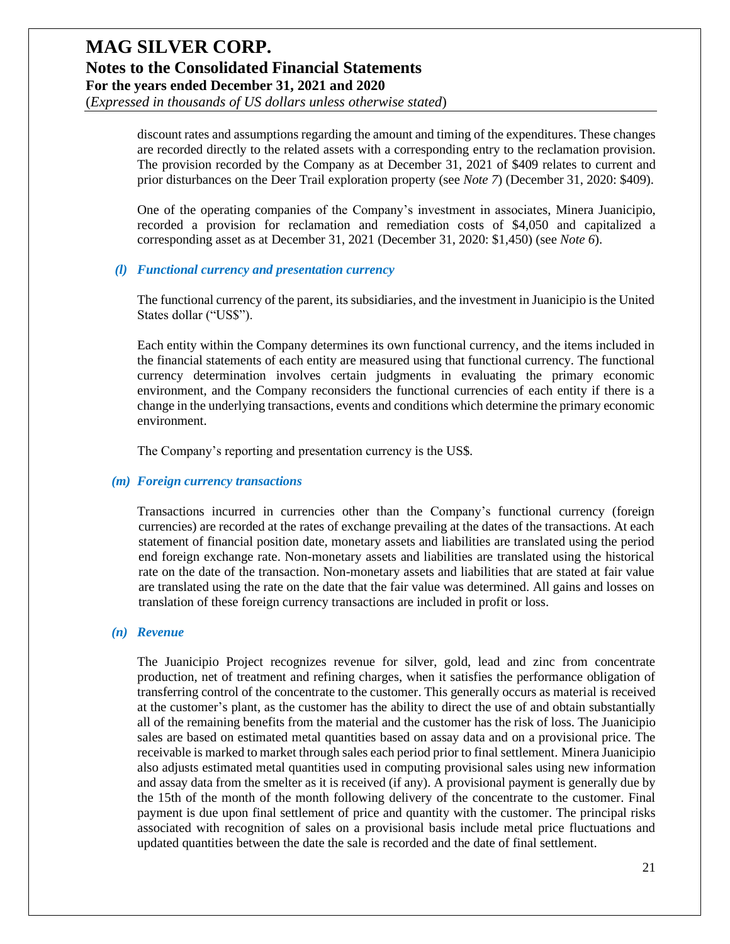discount rates and assumptions regarding the amount and timing of the expenditures. These changes are recorded directly to the related assets with a corresponding entry to the reclamation provision. The provision recorded by the Company as at December 31, 2021 of \$409 relates to current and prior disturbances on the Deer Trail exploration property (see *Note 7*) (December 31, 2020: \$409).

One of the operating companies of the Company's investment in associates, Minera Juanicipio, recorded a provision for reclamation and remediation costs of \$4,050 and capitalized a corresponding asset as at December 31, 2021 (December 31, 2020: \$1,450) (see *Note 6*).

#### *(l) Functional currency and presentation currency*

The functional currency of the parent, its subsidiaries, and the investment in Juanicipio is the United States dollar ("US\$").

Each entity within the Company determines its own functional currency, and the items included in the financial statements of each entity are measured using that functional currency. The functional currency determination involves certain judgments in evaluating the primary economic environment, and the Company reconsiders the functional currencies of each entity if there is a change in the underlying transactions, events and conditions which determine the primary economic environment.

The Company's reporting and presentation currency is the US\$.

#### *(m) Foreign currency transactions*

Transactions incurred in currencies other than the Company's functional currency (foreign currencies) are recorded at the rates of exchange prevailing at the dates of the transactions. At each statement of financial position date, monetary assets and liabilities are translated using the period end foreign exchange rate. Non-monetary assets and liabilities are translated using the historical rate on the date of the transaction. Non-monetary assets and liabilities that are stated at fair value are translated using the rate on the date that the fair value was determined. All gains and losses on translation of these foreign currency transactions are included in profit or loss.

#### *(n) Revenue*

The Juanicipio Project recognizes revenue for silver, gold, lead and zinc from concentrate production, net of treatment and refining charges, when it satisfies the performance obligation of transferring control of the concentrate to the customer. This generally occurs as material is received at the customer's plant, as the customer has the ability to direct the use of and obtain substantially all of the remaining benefits from the material and the customer has the risk of loss. The Juanicipio sales are based on estimated metal quantities based on assay data and on a provisional price. The receivable is marked to market through sales each period prior to final settlement. Minera Juanicipio also adjusts estimated metal quantities used in computing provisional sales using new information and assay data from the smelter as it is received (if any). A provisional payment is generally due by the 15th of the month of the month following delivery of the concentrate to the customer. Final payment is due upon final settlement of price and quantity with the customer. The principal risks associated with recognition of sales on a provisional basis include metal price fluctuations and updated quantities between the date the sale is recorded and the date of final settlement.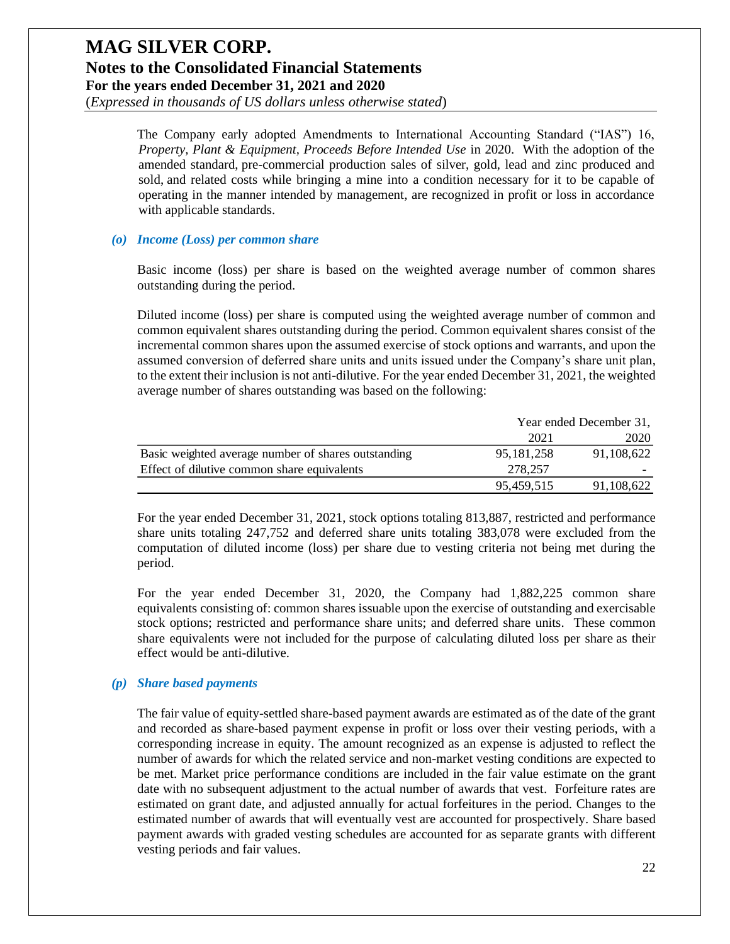(*Expressed in thousands of US dollars unless otherwise stated*)

The Company early adopted Amendments to International Accounting Standard ("IAS") 16, *Property, Plant & Equipment, Proceeds Before Intended Use* in 2020. With the adoption of the amended standard, pre-commercial production sales of silver, gold, lead and zinc produced and sold, and related costs while bringing a mine into a condition necessary for it to be capable of operating in the manner intended by management, are recognized in profit or loss in accordance with applicable standards.

### *(o) Income (Loss) per common share*

Basic income (loss) per share is based on the weighted average number of common shares outstanding during the period.

Diluted income (loss) per share is computed using the weighted average number of common and common equivalent shares outstanding during the period. Common equivalent shares consist of the incremental common shares upon the assumed exercise of stock options and warrants, and upon the assumed conversion of deferred share units and units issued under the Company's share unit plan, to the extent their inclusion is not anti-dilutive. For the year ended December 31, 2021, the weighted average number of shares outstanding was based on the following:

|                                                     |              | Year ended December 31, |
|-----------------------------------------------------|--------------|-------------------------|
|                                                     | 2021         | 2020                    |
| Basic weighted average number of shares outstanding | 95, 181, 258 | 91.108.622              |
| Effect of dilutive common share equivalents         | 278.257      |                         |
|                                                     | 95,459,515   | 91,108,622              |

For the year ended December 31, 2021, stock options totaling 813,887, restricted and performance share units totaling 247,752 and deferred share units totaling 383,078 were excluded from the computation of diluted income (loss) per share due to vesting criteria not being met during the period.

For the year ended December 31, 2020, the Company had 1,882,225 common share equivalents consisting of: common shares issuable upon the exercise of outstanding and exercisable stock options; restricted and performance share units; and deferred share units. These common share equivalents were not included for the purpose of calculating diluted loss per share as their effect would be anti-dilutive.

# *(p) Share based payments*

The fair value of equity-settled share-based payment awards are estimated as of the date of the grant and recorded as share-based payment expense in profit or loss over their vesting periods, with a corresponding increase in equity. The amount recognized as an expense is adjusted to reflect the number of awards for which the related service and non-market vesting conditions are expected to be met. Market price performance conditions are included in the fair value estimate on the grant date with no subsequent adjustment to the actual number of awards that vest. Forfeiture rates are estimated on grant date, and adjusted annually for actual forfeitures in the period. Changes to the estimated number of awards that will eventually vest are accounted for prospectively. Share based payment awards with graded vesting schedules are accounted for as separate grants with different vesting periods and fair values.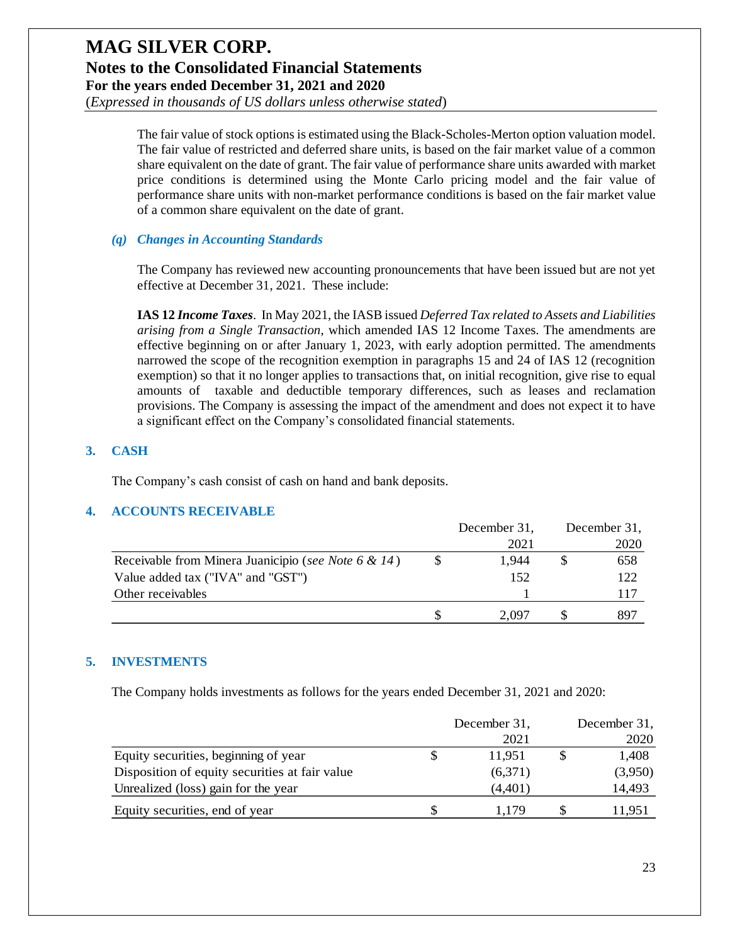The fair value of stock options is estimated using the Black-Scholes-Merton option valuation model. The fair value of restricted and deferred share units, is based on the fair market value of a common share equivalent on the date of grant. The fair value of performance share units awarded with market price conditions is determined using the Monte Carlo pricing model and the fair value of performance share units with non-market performance conditions is based on the fair market value of a common share equivalent on the date of grant.

# *(q) Changes in Accounting Standards*

The Company has reviewed new accounting pronouncements that have been issued but are not yet effective at December 31, 2021. These include:

**IAS 12** *Income Taxes*. In May 2021, the IASB issued *Deferred Tax related to Assets and Liabilities arising from a Single Transaction*, which amended IAS 12 Income Taxes. The amendments are effective beginning on or after January 1, 2023, with early adoption permitted. The amendments narrowed the scope of the recognition exemption in paragraphs 15 and 24 of IAS 12 (recognition exemption) so that it no longer applies to transactions that, on initial recognition, give rise to equal amounts of taxable and deductible temporary differences, such as leases and reclamation provisions. The Company is assessing the impact of the amendment and does not expect it to have a significant effect on the Company's consolidated financial statements.

# **3. CASH**

The Company's cash consist of cash on hand and bank deposits.

# **4. ACCOUNTS RECEIVABLE**

|                                                     | December 31, | December 31, |
|-----------------------------------------------------|--------------|--------------|
|                                                     | 2021         | 2020         |
| Receivable from Minera Juanicipio (see Note 6 & 14) | 1.944        | 658          |
| Value added tax ("IVA" and "GST")                   | 152          | 122          |
| Other receivables                                   |              | 117          |
|                                                     | 2.097        | 897          |

# **5. INVESTMENTS**

The Company holds investments as follows for the years ended December 31, 2021 and 2020:

|                                                |   | December 31, | December 31, |
|------------------------------------------------|---|--------------|--------------|
|                                                |   | 2021         | 2020         |
| Equity securities, beginning of year           | S | 11.951       | 1,408        |
| Disposition of equity securities at fair value |   | (6,371)      | (3,950)      |
| Unrealized (loss) gain for the year            |   | (4,401)      | 14,493       |
| Equity securities, end of year                 |   | 1.179        | 11.951       |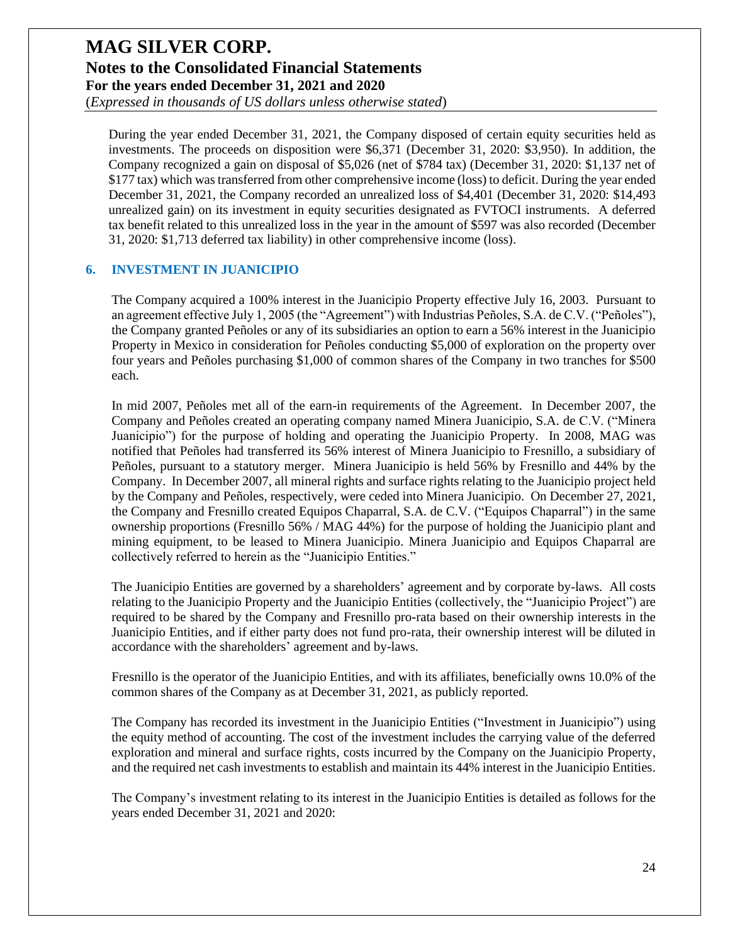(*Expressed in thousands of US dollars unless otherwise stated*)

During the year ended December 31, 2021, the Company disposed of certain equity securities held as investments. The proceeds on disposition were \$6,371 (December 31, 2020: \$3,950). In addition, the Company recognized a gain on disposal of \$5,026 (net of \$784 tax) (December 31, 2020: \$1,137 net of \$177 tax) which was transferred from other comprehensive income (loss) to deficit. During the year ended December 31, 2021, the Company recorded an unrealized loss of \$4,401 (December 31, 2020: \$14,493 unrealized gain) on its investment in equity securities designated as FVTOCI instruments. A deferred tax benefit related to this unrealized loss in the year in the amount of \$597 was also recorded (December 31, 2020: \$1,713 deferred tax liability) in other comprehensive income (loss).

# **6. INVESTMENT IN JUANICIPIO**

The Company acquired a 100% interest in the Juanicipio Property effective July 16, 2003. Pursuant to an agreement effective July 1, 2005 (the "Agreement") with Industrias Peñoles, S.A. de C.V. ("Peñoles"), the Company granted Peñoles or any of its subsidiaries an option to earn a 56% interest in the Juanicipio Property in Mexico in consideration for Peñoles conducting \$5,000 of exploration on the property over four years and Peñoles purchasing \$1,000 of common shares of the Company in two tranches for \$500 each.

In mid 2007, Peñoles met all of the earn-in requirements of the Agreement. In December 2007, the Company and Peñoles created an operating company named Minera Juanicipio, S.A. de C.V. ("Minera Juanicipio") for the purpose of holding and operating the Juanicipio Property. In 2008, MAG was notified that Peñoles had transferred its 56% interest of Minera Juanicipio to Fresnillo, a subsidiary of Peñoles, pursuant to a statutory merger. Minera Juanicipio is held 56% by Fresnillo and 44% by the Company. In December 2007, all mineral rights and surface rights relating to the Juanicipio project held by the Company and Peñoles, respectively, were ceded into Minera Juanicipio. On December 27, 2021, the Company and Fresnillo created Equipos Chaparral, S.A. de C.V. ("Equipos Chaparral") in the same ownership proportions (Fresnillo 56% / MAG 44%) for the purpose of holding the Juanicipio plant and mining equipment, to be leased to Minera Juanicipio. Minera Juanicipio and Equipos Chaparral are collectively referred to herein as the "Juanicipio Entities."

The Juanicipio Entities are governed by a shareholders' agreement and by corporate by-laws. All costs relating to the Juanicipio Property and the Juanicipio Entities (collectively, the "Juanicipio Project") are required to be shared by the Company and Fresnillo pro-rata based on their ownership interests in the Juanicipio Entities, and if either party does not fund pro-rata, their ownership interest will be diluted in accordance with the shareholders' agreement and by-laws.

Fresnillo is the operator of the Juanicipio Entities, and with its affiliates, beneficially owns 10.0% of the common shares of the Company as at December 31, 2021, as publicly reported.

The Company has recorded its investment in the Juanicipio Entities ("Investment in Juanicipio") using the equity method of accounting. The cost of the investment includes the carrying value of the deferred exploration and mineral and surface rights, costs incurred by the Company on the Juanicipio Property, and the required net cash investments to establish and maintain its 44% interest in the Juanicipio Entities.

The Company's investment relating to its interest in the Juanicipio Entities is detailed as follows for the years ended December 31, 2021 and 2020: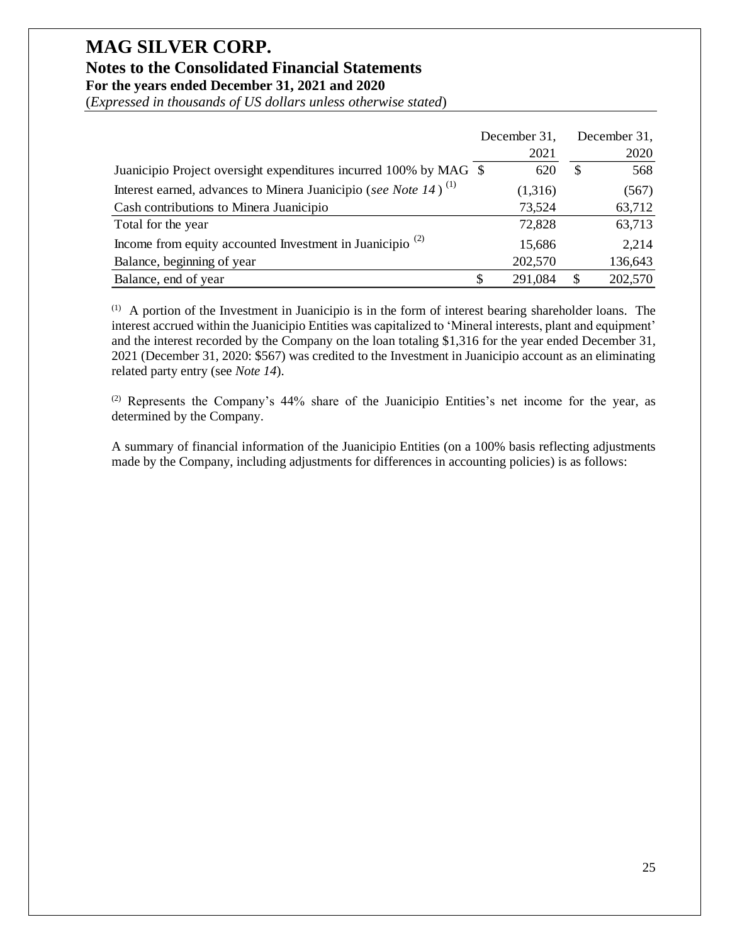(*Expressed in thousands of US dollars unless otherwise stated*)

|                                                                                                                                                                                                                                                                                                                                                                                                                                                                                    | December 31,  |               | December 31, |
|------------------------------------------------------------------------------------------------------------------------------------------------------------------------------------------------------------------------------------------------------------------------------------------------------------------------------------------------------------------------------------------------------------------------------------------------------------------------------------|---------------|---------------|--------------|
|                                                                                                                                                                                                                                                                                                                                                                                                                                                                                    | 2021          |               | 2020         |
| Juanicipio Project oversight expenditures incurred 100% by MAG \$                                                                                                                                                                                                                                                                                                                                                                                                                  | 620           | $\mathcal{S}$ | 568          |
| Interest earned, advances to Minera Juanicipio (see Note 14) <sup>(1)</sup>                                                                                                                                                                                                                                                                                                                                                                                                        | (1,316)       |               | (567)        |
| Cash contributions to Minera Juanicipio                                                                                                                                                                                                                                                                                                                                                                                                                                            | 73,524        |               | 63,712       |
| Total for the year                                                                                                                                                                                                                                                                                                                                                                                                                                                                 | 72,828        |               | 63,713       |
| Income from equity accounted Investment in Juanicipio <sup>(2)</sup>                                                                                                                                                                                                                                                                                                                                                                                                               | 15,686        |               | 2,214        |
| Balance, beginning of year                                                                                                                                                                                                                                                                                                                                                                                                                                                         | 202,570       |               | 136,643      |
| Balance, end of year                                                                                                                                                                                                                                                                                                                                                                                                                                                               | \$<br>291,084 | \$            | 202,570      |
| A portion of the Investment in Juanicipio is in the form of interest bearing shareholder loans. The<br>(1)<br>interest accrued within the Juanicipio Entities was capitalized to 'Mineral interests, plant and equipment'<br>and the interest recorded by the Company on the loan totaling \$1,316 for the year ended December 31,<br>2021 (December 31, 2020: \$567) was credited to the Investment in Juanicipio account as an eliminating<br>related party entry (see Note 14). |               |               |              |
| <sup>(2)</sup> Represents the Company's 44% share of the Juanicipio Entities's net income for the year, as<br>determined by the Company.                                                                                                                                                                                                                                                                                                                                           |               |               |              |
| A summary of financial information of the Juanicipio Entities (on a 100% basis reflecting adjustments<br>made by the Company, including adjustments for differences in accounting policies) is as follows:                                                                                                                                                                                                                                                                         |               |               |              |
|                                                                                                                                                                                                                                                                                                                                                                                                                                                                                    |               |               |              |
|                                                                                                                                                                                                                                                                                                                                                                                                                                                                                    |               |               |              |
|                                                                                                                                                                                                                                                                                                                                                                                                                                                                                    |               |               |              |
|                                                                                                                                                                                                                                                                                                                                                                                                                                                                                    |               |               |              |
|                                                                                                                                                                                                                                                                                                                                                                                                                                                                                    |               |               |              |
|                                                                                                                                                                                                                                                                                                                                                                                                                                                                                    |               |               |              |
|                                                                                                                                                                                                                                                                                                                                                                                                                                                                                    |               |               |              |
|                                                                                                                                                                                                                                                                                                                                                                                                                                                                                    |               |               |              |
|                                                                                                                                                                                                                                                                                                                                                                                                                                                                                    |               |               |              |
|                                                                                                                                                                                                                                                                                                                                                                                                                                                                                    |               |               |              |
|                                                                                                                                                                                                                                                                                                                                                                                                                                                                                    |               |               |              |
|                                                                                                                                                                                                                                                                                                                                                                                                                                                                                    |               |               |              |
|                                                                                                                                                                                                                                                                                                                                                                                                                                                                                    |               |               |              |
|                                                                                                                                                                                                                                                                                                                                                                                                                                                                                    |               |               |              |
|                                                                                                                                                                                                                                                                                                                                                                                                                                                                                    |               |               |              |
|                                                                                                                                                                                                                                                                                                                                                                                                                                                                                    |               |               |              |
|                                                                                                                                                                                                                                                                                                                                                                                                                                                                                    |               |               |              |
|                                                                                                                                                                                                                                                                                                                                                                                                                                                                                    |               |               |              |
|                                                                                                                                                                                                                                                                                                                                                                                                                                                                                    |               |               |              |
|                                                                                                                                                                                                                                                                                                                                                                                                                                                                                    |               |               | 25           |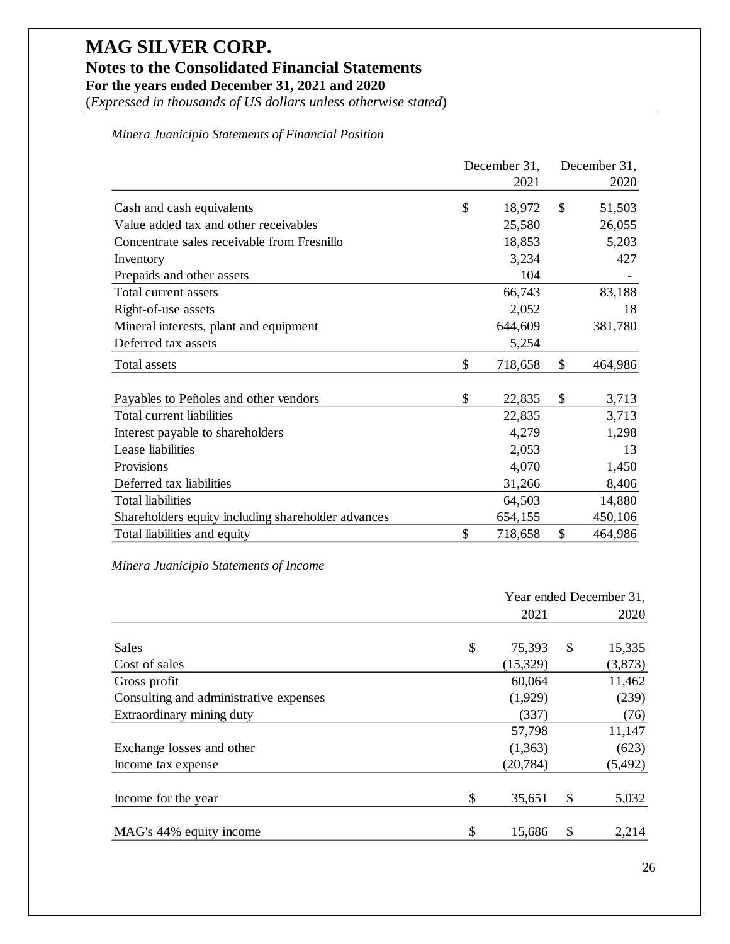(*Expressed in thousands of US dollars unless otherwise stated*)

# *Minera Juanicipio Statements of Financial Position*

|                                                    | December 31, |         |    | December 31, |  |  |
|----------------------------------------------------|--------------|---------|----|--------------|--|--|
|                                                    |              | 2021    |    | 2020         |  |  |
| Cash and cash equivalents                          | \$           | 18,972  | \$ | 51,503       |  |  |
| Value added tax and other receivables              |              | 25,580  |    | 26,055       |  |  |
| Concentrate sales receivable from Fresnillo        |              | 18,853  |    | 5,203        |  |  |
| Inventory                                          |              | 3,234   |    | 427          |  |  |
| Prepaids and other assets                          |              | 104     |    |              |  |  |
| Total current assets                               |              | 66,743  |    | 83,188       |  |  |
| Right-of-use assets                                |              | 2,052   |    | 18           |  |  |
| Mineral interests, plant and equipment             |              | 644,609 |    | 381,780      |  |  |
| Deferred tax assets                                |              | 5,254   |    |              |  |  |
| Total assets                                       | \$           | 718,658 | \$ | 464,986      |  |  |
| Payables to Peñoles and other vendors              | \$           | 22,835  | \$ | 3,713        |  |  |
| Total current liabilities                          |              | 22,835  |    | 3,713        |  |  |
| Interest payable to shareholders                   |              | 4,279   |    | 1,298        |  |  |
| Lease liabilities                                  |              | 2,053   |    | 13           |  |  |
| Provisions                                         |              | 4,070   |    | 1,450        |  |  |
| Deferred tax liabilities                           |              | 31,266  |    | 8,406        |  |  |
| <b>Total liabilities</b>                           |              | 64,503  |    | 14,880       |  |  |
| Shareholders equity including shareholder advances |              | 654,155 |    | 450,106      |  |  |
| Total liabilities and equity                       | \$           | 718,658 | \$ | 464,986      |  |  |

*Minera Juanicipio Statements of Income*

|                                        |              | Year ended December 31, |          |
|----------------------------------------|--------------|-------------------------|----------|
|                                        | 2021         |                         | 2020     |
|                                        |              |                         |          |
| Sales                                  | \$<br>75,393 | \$                      | 15,335   |
| Cost of sales                          | (15,329)     |                         | (3,873)  |
| Gross profit                           | 60,064       |                         | 11,462   |
| Consulting and administrative expenses | (1,929)      |                         | (239)    |
| Extraordinary mining duty              | (337)        |                         | (76)     |
|                                        | 57,798       |                         | 11,147   |
| Exchange losses and other              | (1,363)      |                         | (623)    |
| Income tax expense                     | (20, 784)    |                         | (5, 492) |
| Income for the year                    | \$<br>35,651 | \$                      | 5,032    |
| MAG's 44% equity income                | \$<br>15,686 | \$                      | 2,214    |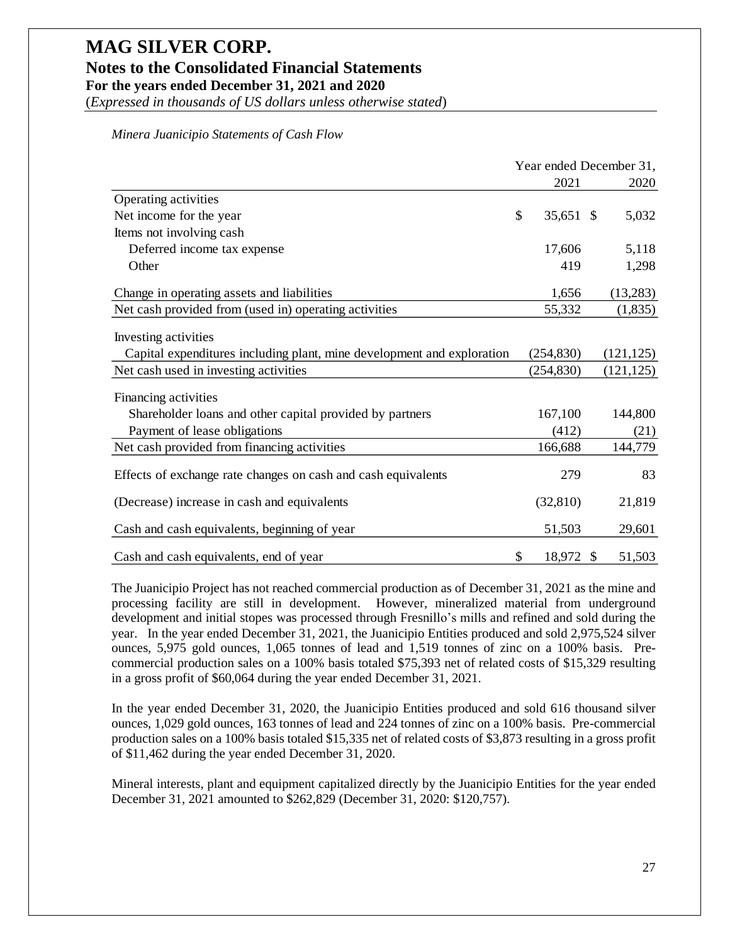(*Expressed in thousands of US dollars unless otherwise stated*)

### *Minera Juanicipio Statements of Cash Flow*

|                                                                        |                 |     | Year ended December 31, |
|------------------------------------------------------------------------|-----------------|-----|-------------------------|
|                                                                        | 2021            |     | 2020                    |
| Operating activities                                                   |                 |     |                         |
| Net income for the year                                                | \$<br>35,651 \$ |     | 5,032                   |
| Items not involving cash                                               |                 |     |                         |
| Deferred income tax expense                                            | 17,606          |     | 5,118                   |
| Other                                                                  | 419             |     | 1,298                   |
| Change in operating assets and liabilities                             | 1,656           |     | (13,283)                |
| Net cash provided from (used in) operating activities                  | 55,332          |     | (1, 835)                |
| Investing activities                                                   |                 |     |                         |
| Capital expenditures including plant, mine development and exploration | (254, 830)      |     | (121, 125)              |
| Net cash used in investing activities                                  | (254, 830)      |     | (121, 125)              |
| Financing activities                                                   |                 |     |                         |
| Shareholder loans and other capital provided by partners               | 167,100         |     | 144,800                 |
| Payment of lease obligations                                           | (412)           |     | (21)                    |
| Net cash provided from financing activities                            | 166,688         |     | 144,779                 |
| Effects of exchange rate changes on cash and cash equivalents          | 279             |     | 83                      |
| (Decrease) increase in cash and equivalents                            | (32, 810)       |     | 21,819                  |
| Cash and cash equivalents, beginning of year                           | 51,503          |     | 29,601                  |
| Cash and cash equivalents, end of year                                 | \$<br>18,972    | -\$ | 51,503                  |

The Juanicipio Project has not reached commercial production as of December 31, 2021 as the mine and processing facility are still in development. However, mineralized material from underground development and initial stopes was processed through Fresnillo's mills and refined and sold during the year. In the year ended December 31, 2021, the Juanicipio Entities produced and sold 2,975,524 silver ounces, 5,975 gold ounces, 1,065 tonnes of lead and 1,519 tonnes of zinc on a 100% basis. Precommercial production sales on a 100% basis totaled \$75,393 net of related costs of \$15,329 resulting in a gross profit of \$60,064 during the year ended December 31, 2021.

In the year ended December 31, 2020, the Juanicipio Entities produced and sold 616 thousand silver ounces, 1,029 gold ounces, 163 tonnes of lead and 224 tonnes of zinc on a 100% basis. Pre-commercial production sales on a 100% basis totaled \$15,335 net of related costs of \$3,873 resulting in a gross profit of \$11,462 during the year ended December 31, 2020.

Mineral interests, plant and equipment capitalized directly by the Juanicipio Entities for the year ended December 31, 2021 amounted to \$262,829 (December 31, 2020: \$120,757).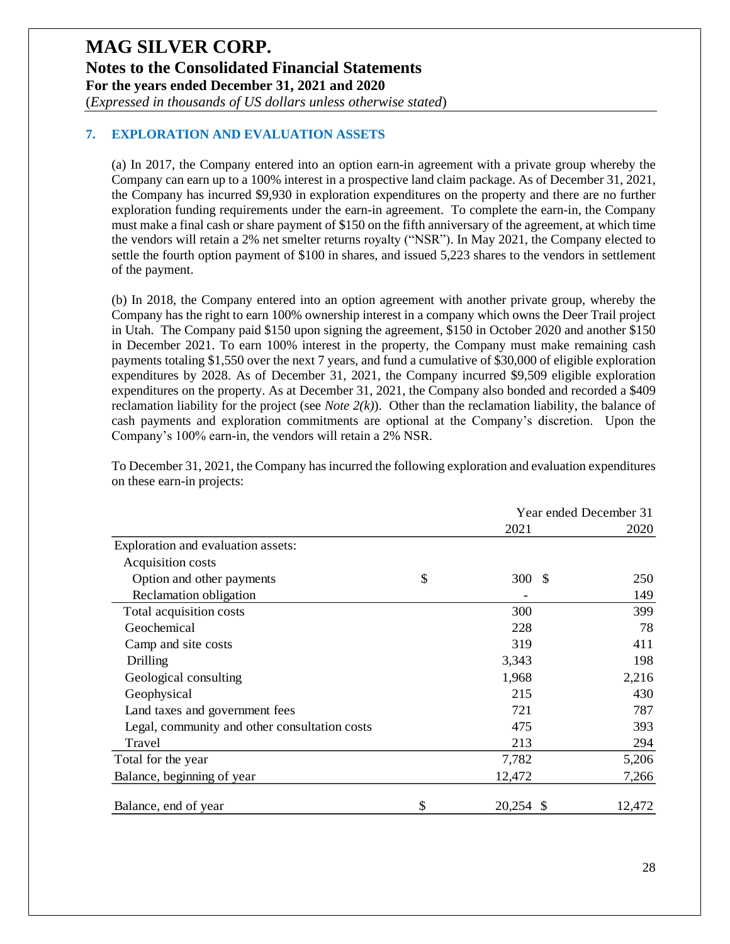# **7. EXPLORATION AND EVALUATION ASSETS**

(a) In 2017, the Company entered into an option earn-in agreement with a private group whereby the Company can earn up to a 100% interest in a prospective land claim package. As of December 31, 2021, the Company has incurred \$9,930 in exploration expenditures on the property and there are no further exploration funding requirements under the earn-in agreement. To complete the earn-in, the Company must make a final cash or share payment of \$150 on the fifth anniversary of the agreement, at which time the vendors will retain a 2% net smelter returns royalty ("NSR"). In May 2021, the Company elected to settle the fourth option payment of \$100 in shares, and issued 5,223 shares to the vendors in settlement of the payment.

(b) In 2018, the Company entered into an option agreement with another private group, whereby the Company has the right to earn 100% ownership interest in a company which owns the Deer Trail project in Utah. The Company paid \$150 upon signing the agreement, \$150 in October 2020 and another \$150 in December 2021. To earn 100% interest in the property, the Company must make remaining cash payments totaling \$1,550 over the next 7 years, and fund a cumulative of \$30,000 of eligible exploration expenditures by 2028. As of December 31, 2021, the Company incurred \$9,509 eligible exploration expenditures on the property. As at December 31, 2021, the Company also bonded and recorded a \$409 reclamation liability for the project (see *Note 2(k)*). Other than the reclamation liability, the balance of cash payments and exploration commitments are optional at the Company's discretion. Upon the Company's 100% earn-in, the vendors will retain a 2% NSR.

To December 31, 2021, the Company has incurred the following exploration and evaluation expenditures on these earn-in projects:

|                                               | Year ended December 31 |        |  |  |
|-----------------------------------------------|------------------------|--------|--|--|
|                                               | 2021                   | 2020   |  |  |
| Exploration and evaluation assets:            |                        |        |  |  |
| Acquisition costs                             |                        |        |  |  |
| Option and other payments                     | \$<br>300S             | 250    |  |  |
| Reclamation obligation                        |                        | 149    |  |  |
| Total acquisition costs                       | 300                    | 399    |  |  |
| Geochemical                                   | 228                    | 78     |  |  |
| Camp and site costs                           | 319                    | 411    |  |  |
| Drilling                                      | 3,343                  | 198    |  |  |
| Geological consulting                         | 1,968                  | 2,216  |  |  |
| Geophysical                                   | 215                    | 430    |  |  |
| Land taxes and government fees                | 721                    | 787    |  |  |
| Legal, community and other consultation costs | 475                    | 393    |  |  |
| Travel                                        | 213                    | 294    |  |  |
| Total for the year                            | 7,782                  | 5,206  |  |  |
| Balance, beginning of year                    | 12,472                 | 7,266  |  |  |
| Balance, end of year                          | \$<br>20,254 \$        | 12,472 |  |  |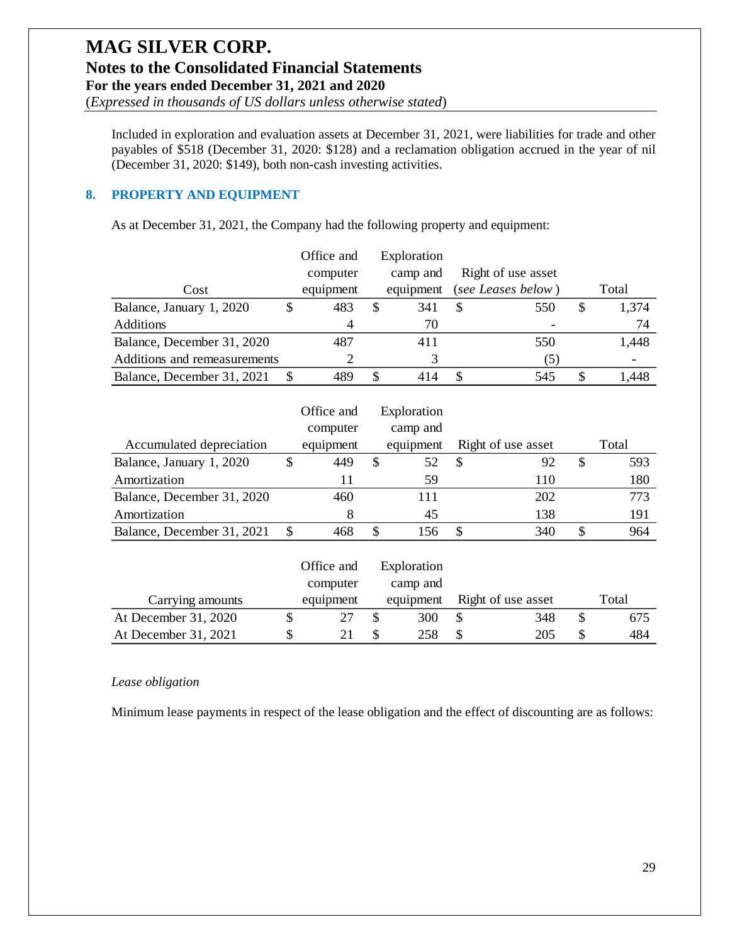(*Expressed in thousands of US dollars unless otherwise stated*)

Included in exploration and evaluation assets at December 31, 2021, were liabilities for trade and other payables of \$518 (December 31, 2020: \$128) and a reclamation obligation accrued in the year of nil (December 31, 2020: \$149), both non-cash investing activities.

# **8. PROPERTY AND EQUIPMENT**

As at December 31, 2021, the Company had the following property and equipment:

|   | Office and                   |    |           |             |     |                                          |       |
|---|------------------------------|----|-----------|-------------|-----|------------------------------------------|-------|
|   | computer                     |    | camp and  |             |     |                                          |       |
|   | equipment                    |    | equipment |             |     |                                          | Total |
| S | 483                          | S  | 341       | S           | 550 | S                                        | 1,374 |
|   | $\overline{4}$               |    | 70        |             |     |                                          | 74    |
|   | 487                          |    | 411       |             | 550 |                                          | 1,448 |
|   | 2                            |    | 3         |             | (5) |                                          |       |
| S | 489                          | \$ | 414       |             | 545 | S                                        | 1.448 |
|   | Additions and remeasurements |    |           | Exploration |     | Right of use asset<br>(see Leases below) |       |

|                            |    | Office and |    | Exploration |   |                    |    |       |
|----------------------------|----|------------|----|-------------|---|--------------------|----|-------|
|                            |    | computer   |    | camp and    |   |                    |    |       |
| Accumulated depreciation   |    | equipment  |    | equipment   |   | Right of use asset |    | Total |
| Balance, January 1, 2020   | S  | 449        | S  | 52          | S | 92                 | \$ | 593   |
| Amortization               |    | 11         |    | 59          |   | 110                |    | 180   |
| Balance, December 31, 2020 |    | 460        |    | 111         |   | 202                |    | 773   |
| Amortization               |    | 8          |    | 45          |   | 138                |    | 191   |
| Balance, December 31, 2021 | -S | 468        | \$ | 56          |   | 340                | S  | 964   |

|                      | Office and | Exploration |                    |       |
|----------------------|------------|-------------|--------------------|-------|
|                      | computer   | camp and    |                    |       |
| Carrying amounts     | equipment  | equipment   | Right of use asset | Total |
| At December 31, 2020 | 27         | 300         | 348                | 675   |
| At December 31, 2021 | 21         | 258         | 205                | 484   |

# *Lease obligation*

Minimum lease payments in respect of the lease obligation and the effect of discounting are as follows: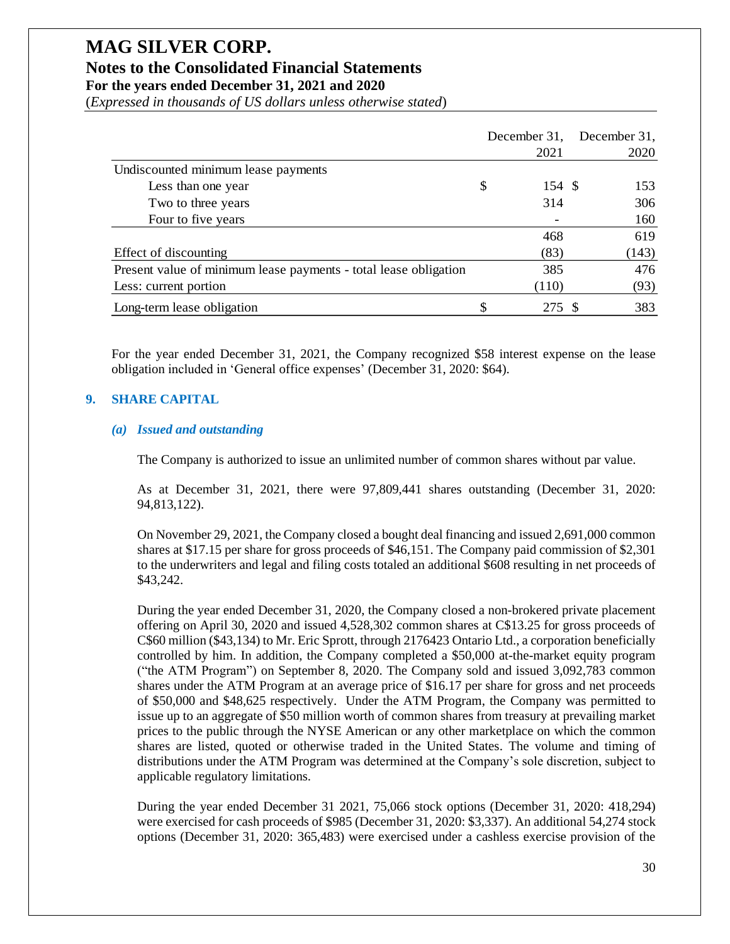(*Expressed in thousands of US dollars unless otherwise stated*)

|                                                                                                                                                                                                                                                                                                                                                                                                                                                                                                                                                                                                                                                                                                                                                                                                                                                                                                                                                                                                                                                                                                                                                     | December 31, | December 31, |
|-----------------------------------------------------------------------------------------------------------------------------------------------------------------------------------------------------------------------------------------------------------------------------------------------------------------------------------------------------------------------------------------------------------------------------------------------------------------------------------------------------------------------------------------------------------------------------------------------------------------------------------------------------------------------------------------------------------------------------------------------------------------------------------------------------------------------------------------------------------------------------------------------------------------------------------------------------------------------------------------------------------------------------------------------------------------------------------------------------------------------------------------------------|--------------|--------------|
|                                                                                                                                                                                                                                                                                                                                                                                                                                                                                                                                                                                                                                                                                                                                                                                                                                                                                                                                                                                                                                                                                                                                                     | 2021         | 2020         |
| Undiscounted minimum lease payments                                                                                                                                                                                                                                                                                                                                                                                                                                                                                                                                                                                                                                                                                                                                                                                                                                                                                                                                                                                                                                                                                                                 |              |              |
| Less than one year                                                                                                                                                                                                                                                                                                                                                                                                                                                                                                                                                                                                                                                                                                                                                                                                                                                                                                                                                                                                                                                                                                                                  | \$<br>154 \$ | 153          |
| Two to three years                                                                                                                                                                                                                                                                                                                                                                                                                                                                                                                                                                                                                                                                                                                                                                                                                                                                                                                                                                                                                                                                                                                                  | 314          | 306          |
| Four to five years                                                                                                                                                                                                                                                                                                                                                                                                                                                                                                                                                                                                                                                                                                                                                                                                                                                                                                                                                                                                                                                                                                                                  |              | 160          |
|                                                                                                                                                                                                                                                                                                                                                                                                                                                                                                                                                                                                                                                                                                                                                                                                                                                                                                                                                                                                                                                                                                                                                     | 468          | 619          |
| Effect of discounting                                                                                                                                                                                                                                                                                                                                                                                                                                                                                                                                                                                                                                                                                                                                                                                                                                                                                                                                                                                                                                                                                                                               | (83)<br>385  | (143)        |
| Present value of minimum lease payments - total lease obligation<br>Less: current portion                                                                                                                                                                                                                                                                                                                                                                                                                                                                                                                                                                                                                                                                                                                                                                                                                                                                                                                                                                                                                                                           | (110)        | 476<br>(93)  |
|                                                                                                                                                                                                                                                                                                                                                                                                                                                                                                                                                                                                                                                                                                                                                                                                                                                                                                                                                                                                                                                                                                                                                     |              |              |
| Long-term lease obligation                                                                                                                                                                                                                                                                                                                                                                                                                                                                                                                                                                                                                                                                                                                                                                                                                                                                                                                                                                                                                                                                                                                          | \$<br>275 \$ | 383          |
| obligation included in 'General office expenses' (December 31, 2020: \$64).<br><b>SHARE CAPITAL</b><br><b>Issued and outstanding</b><br>(a)                                                                                                                                                                                                                                                                                                                                                                                                                                                                                                                                                                                                                                                                                                                                                                                                                                                                                                                                                                                                         |              |              |
| The Company is authorized to issue an unlimited number of common shares without par value.                                                                                                                                                                                                                                                                                                                                                                                                                                                                                                                                                                                                                                                                                                                                                                                                                                                                                                                                                                                                                                                          |              |              |
| As at December 31, 2021, there were 97,809,441 shares outstanding (December 31, 2020:<br>94,813,122).                                                                                                                                                                                                                                                                                                                                                                                                                                                                                                                                                                                                                                                                                                                                                                                                                                                                                                                                                                                                                                               |              |              |
| On November 29, 2021, the Company closed a bought deal financing and issued 2,691,000 common<br>shares at \$17.15 per share for gross proceeds of \$46,151. The Company paid commission of \$2,301<br>to the underwriters and legal and filing costs totaled an additional \$608 resulting in net proceeds of<br>\$43,242.                                                                                                                                                                                                                                                                                                                                                                                                                                                                                                                                                                                                                                                                                                                                                                                                                          |              |              |
| During the year ended December 31, 2020, the Company closed a non-brokered private placement<br>offering on April 30, 2020 and issued 4,528,302 common shares at C\$13.25 for gross proceeds of<br>C\$60 million (\$43,134) to Mr. Eric Sprott, through 2176423 Ontario Ltd., a corporation beneficially<br>controlled by him. In addition, the Company completed a \$50,000 at-the-market equity program<br>("the ATM Program") on September 8, 2020. The Company sold and issued 3,092,783 common<br>shares under the ATM Program at an average price of \$16.17 per share for gross and net proceeds<br>of \$50,000 and \$48,625 respectively. Under the ATM Program, the Company was permitted to<br>issue up to an aggregate of \$50 million worth of common shares from treasury at prevailing market<br>prices to the public through the NYSE American or any other marketplace on which the common<br>shares are listed, quoted or otherwise traded in the United States. The volume and timing of<br>distributions under the ATM Program was determined at the Company's sole discretion, subject to<br>applicable regulatory limitations. |              |              |
| During the year ended December 31 2021, 75,066 stock options (December 31, 2020: 418,294)<br>were exercised for cash proceeds of \$985 (December 31, 2020: \$3,337). An additional 54,274 stock<br>options (December 31, 2020: 365,483) were exercised under a cashless exercise provision of the                                                                                                                                                                                                                                                                                                                                                                                                                                                                                                                                                                                                                                                                                                                                                                                                                                                   |              |              |
|                                                                                                                                                                                                                                                                                                                                                                                                                                                                                                                                                                                                                                                                                                                                                                                                                                                                                                                                                                                                                                                                                                                                                     |              | 30           |

# **9. SHARE CAPITAL**

# *(a) Issued and outstanding*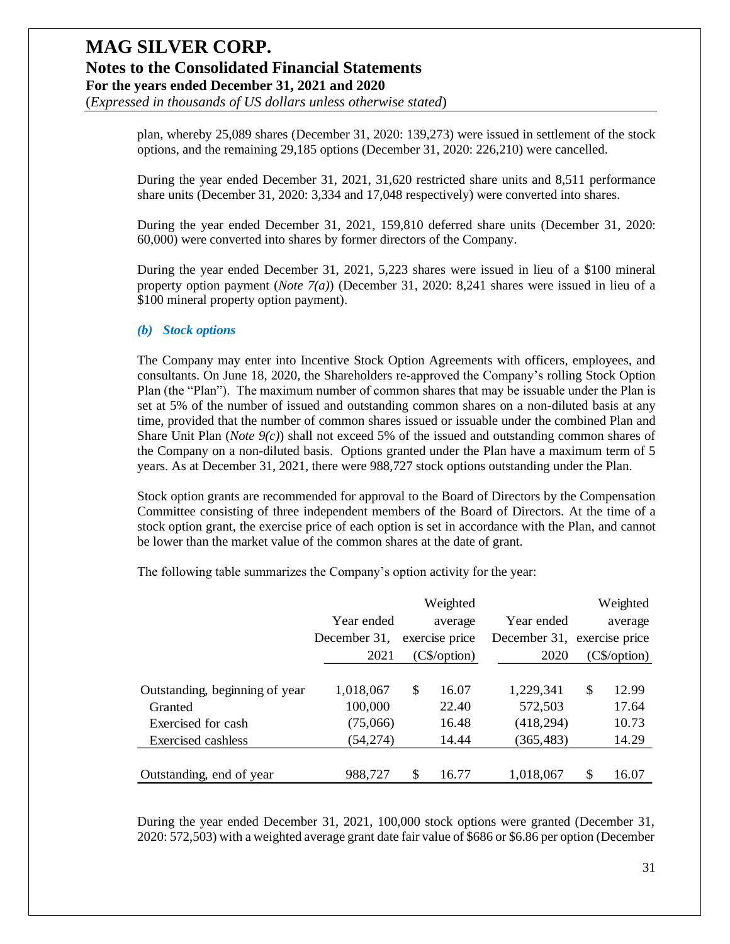plan, whereby 25,089 shares (December 31, 2020: 139,273) were issued in settlement of the stock options, and the remaining 29,185 options (December 31, 2020: 226,210) were cancelled.

During the year ended December 31, 2021, 31,620 restricted share units and 8,511 performance share units (December 31, 2020: 3,334 and 17,048 respectively) were converted into shares.

During the year ended December 31, 2021, 159,810 deferred share units (December 31, 2020: 60,000) were converted into shares by former directors of the Company.

During the year ended December 31, 2021, 5,223 shares were issued in lieu of a \$100 mineral property option payment (*Note 7(a)*) (December 31, 2020: 8,241 shares were issued in lieu of a \$100 mineral property option payment).

# *(b) Stock options*

The Company may enter into Incentive Stock Option Agreements with officers, employees, and consultants. On June 18, 2020, the Shareholders re-approved the Company's rolling Stock Option Plan (the "Plan"). The maximum number of common shares that may be issuable under the Plan is set at 5% of the number of issued and outstanding common shares on a non-diluted basis at any time, provided that the number of common shares issued or issuable under the combined Plan and Share Unit Plan (*Note 9(c)*) shall not exceed 5% of the issued and outstanding common shares of the Company on a non-diluted basis. Options granted under the Plan have a maximum term of 5 years. As at December 31, 2021, there were 988,727 stock options outstanding under the Plan.

Stock option grants are recommended for approval to the Board of Directors by the Compensation Committee consisting of three independent members of the Board of Directors. At the time of a stock option grant, the exercise price of each option is set in accordance with the Plan, and cannot be lower than the market value of the common shares at the date of grant.

The following table summarizes the Company's option activity for the year:

|                                |              | Weighted       |                             | Weighted        |
|--------------------------------|--------------|----------------|-----------------------------|-----------------|
|                                | Year ended   | average        | Year ended                  | average         |
|                                | December 31, | exercise price | December 31, exercise price |                 |
|                                | 2021         | $(C\$ /option) | 2020                        | $(C\$ {0ption}) |
|                                |              |                |                             |                 |
| Outstanding, beginning of year | 1,018,067    | \$<br>16.07    | 1,229,341                   | \$<br>12.99     |
| Granted                        | 100,000      | 22.40          | 572,503                     | 17.64           |
| Exercised for cash             | (75,066)     | 16.48          | (418, 294)                  | 10.73           |
| Exercised cashless             | (54, 274)    | 14.44          | (365, 483)                  | 14.29           |
|                                |              |                |                             |                 |
| Outstanding, end of year       | 988,727      | \$<br>16.77    | 1,018,067                   | \$<br>16.07     |

During the year ended December 31, 2021, 100,000 stock options were granted (December 31, 2020: 572,503) with a weighted average grant date fair value of \$686 or \$6.86 per option (December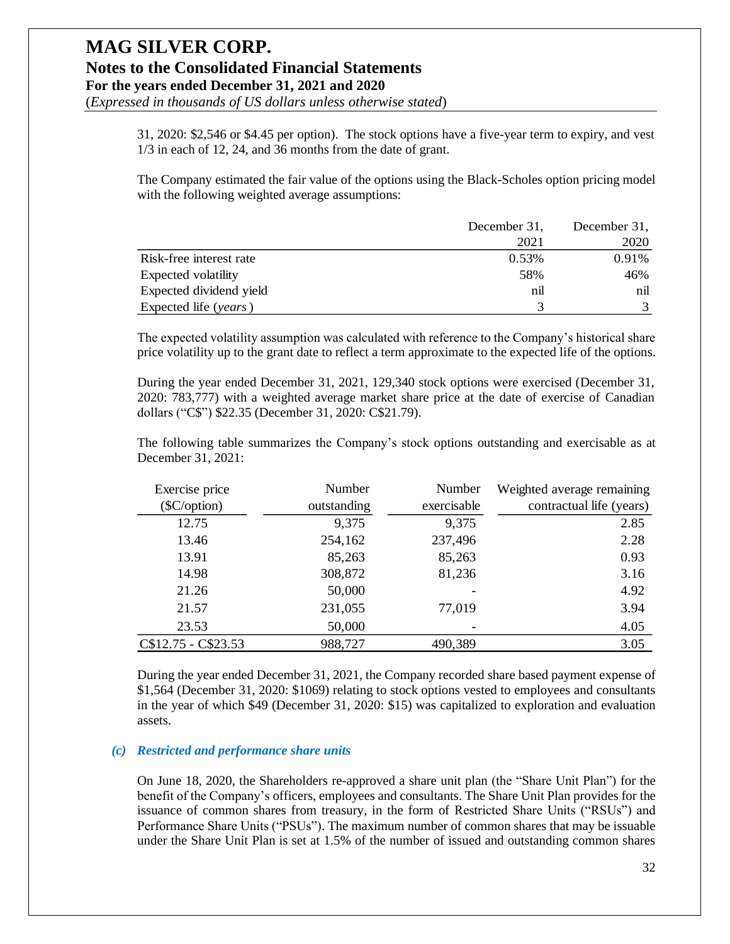31, 2020: \$2,546 or \$4.45 per option). The stock options have a five-year term to expiry, and vest 1/3 in each of 12, 24, and 36 months from the date of grant.

The Company estimated the fair value of the options using the Black-Scholes option pricing model with the following weighted average assumptions:

|                         | December 31, | December 31, |
|-------------------------|--------------|--------------|
|                         | 2021         | 2020         |
| Risk-free interest rate | 0.53%        | 0.91%        |
| Expected volatility     | 58%          | 46%          |
| Expected dividend yield | nil          | nil          |
| Expected life (years)   |              |              |

The expected volatility assumption was calculated with reference to the Company's historical share price volatility up to the grant date to reflect a term approximate to the expected life of the options.

During the year ended December 31, 2021, 129,340 stock options were exercised (December 31, 2020: 783,777) with a weighted average market share price at the date of exercise of Canadian dollars ("C\$") \$22.35 (December 31, 2020: C\$21.79).

The following table summarizes the Company's stock options outstanding and exercisable as at December 31, 2021:

| Exercise price<br>( <b>SC</b> /option) | Number<br>outstanding | Number<br>exercisable | Weighted average remaining<br>contractual life (years) |
|----------------------------------------|-----------------------|-----------------------|--------------------------------------------------------|
| 12.75                                  | 9,375                 | 9,375                 | 2.85                                                   |
| 13.46                                  | 254,162               | 237,496               | 2.28                                                   |
| 13.91                                  | 85,263                | 85,263                | 0.93                                                   |
| 14.98                                  | 308,872               | 81,236                | 3.16                                                   |
| 21.26                                  | 50,000                |                       | 4.92                                                   |
| 21.57                                  | 231,055               | 77,019                | 3.94                                                   |
| 23.53                                  | 50,000                |                       | 4.05                                                   |
| C\$12.75 - C\$23.53                    | 988,727               | 490,389               | 3.05                                                   |

During the year ended December 31, 2021, the Company recorded share based payment expense of \$1,564 (December 31, 2020: \$1069) relating to stock options vested to employees and consultants in the year of which \$49 (December 31, 2020: \$15) was capitalized to exploration and evaluation assets.

# *(c) Restricted and performance share units*

On June 18, 2020, the Shareholders re-approved a share unit plan (the "Share Unit Plan") for the benefit of the Company's officers, employees and consultants. The Share Unit Plan provides for the issuance of common shares from treasury, in the form of Restricted Share Units ("RSUs") and Performance Share Units ("PSUs"). The maximum number of common shares that may be issuable under the Share Unit Plan is set at 1.5% of the number of issued and outstanding common shares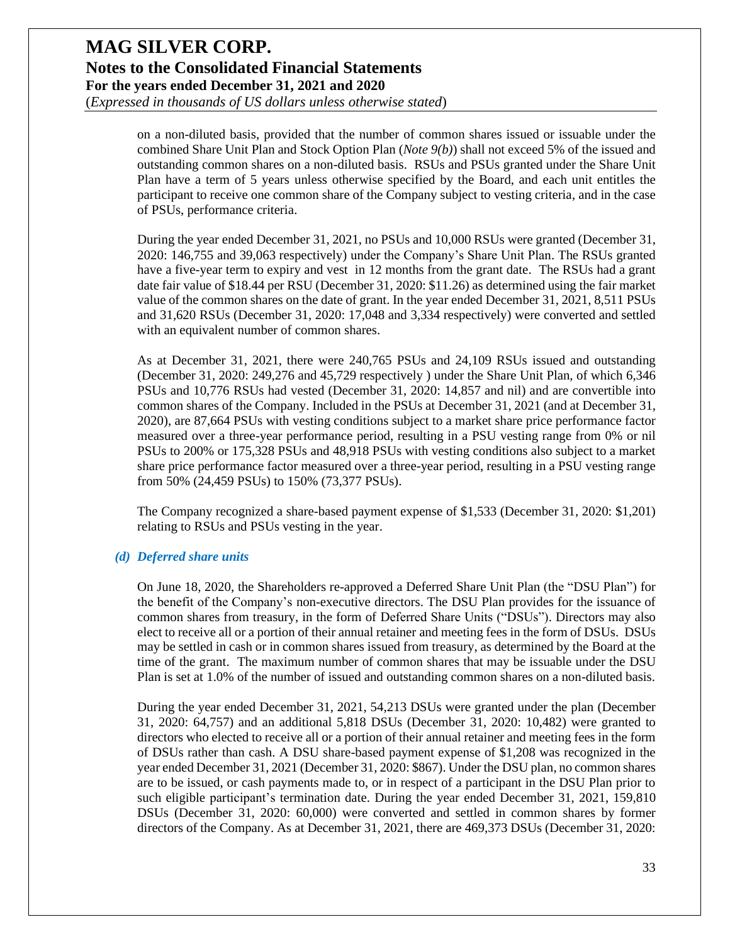on a non-diluted basis, provided that the number of common shares issued or issuable under the combined Share Unit Plan and Stock Option Plan (*Note 9(b)*) shall not exceed 5% of the issued and outstanding common shares on a non-diluted basis. RSUs and PSUs granted under the Share Unit Plan have a term of 5 years unless otherwise specified by the Board, and each unit entitles the participant to receive one common share of the Company subject to vesting criteria, and in the case of PSUs, performance criteria.

During the year ended December 31, 2021, no PSUs and 10,000 RSUs were granted (December 31, 2020: 146,755 and 39,063 respectively) under the Company's Share Unit Plan. The RSUs granted have a five-year term to expiry and vest in 12 months from the grant date. The RSUs had a grant date fair value of \$18.44 per RSU (December 31, 2020: \$11.26) as determined using the fair market value of the common shares on the date of grant. In the year ended December 31, 2021, 8,511 PSUs and 31,620 RSUs (December 31, 2020: 17,048 and 3,334 respectively) were converted and settled with an equivalent number of common shares.

As at December 31, 2021, there were 240,765 PSUs and 24,109 RSUs issued and outstanding (December 31, 2020: 249,276 and 45,729 respectively ) under the Share Unit Plan, of which 6,346 PSUs and 10,776 RSUs had vested (December 31, 2020: 14,857 and nil) and are convertible into common shares of the Company. Included in the PSUs at December 31, 2021 (and at December 31, 2020), are 87,664 PSUs with vesting conditions subject to a market share price performance factor measured over a three-year performance period, resulting in a PSU vesting range from 0% or nil PSUs to 200% or 175,328 PSUs and 48,918 PSUs with vesting conditions also subject to a market share price performance factor measured over a three-year period, resulting in a PSU vesting range from 50% (24,459 PSUs) to 150% (73,377 PSUs).

The Company recognized a share-based payment expense of \$1,533 (December 31, 2020: \$1,201) relating to RSUs and PSUs vesting in the year.

# *(d) Deferred share units*

On June 18, 2020, the Shareholders re-approved a Deferred Share Unit Plan (the "DSU Plan") for the benefit of the Company's non-executive directors. The DSU Plan provides for the issuance of common shares from treasury, in the form of Deferred Share Units ("DSUs"). Directors may also elect to receive all or a portion of their annual retainer and meeting fees in the form of DSUs. DSUs may be settled in cash or in common shares issued from treasury, as determined by the Board at the time of the grant. The maximum number of common shares that may be issuable under the DSU Plan is set at 1.0% of the number of issued and outstanding common shares on a non-diluted basis.

During the year ended December 31, 2021, 54,213 DSUs were granted under the plan (December 31, 2020: 64,757) and an additional 5,818 DSUs (December 31, 2020: 10,482) were granted to directors who elected to receive all or a portion of their annual retainer and meeting fees in the form of DSUs rather than cash. A DSU share-based payment expense of \$1,208 was recognized in the year ended December 31, 2021 (December 31, 2020: \$867). Under the DSU plan, no common shares are to be issued, or cash payments made to, or in respect of a participant in the DSU Plan prior to such eligible participant's termination date. During the year ended December 31, 2021, 159,810 DSUs (December 31, 2020: 60,000) were converted and settled in common shares by former directors of the Company. As at December 31, 2021, there are 469,373 DSUs (December 31, 2020: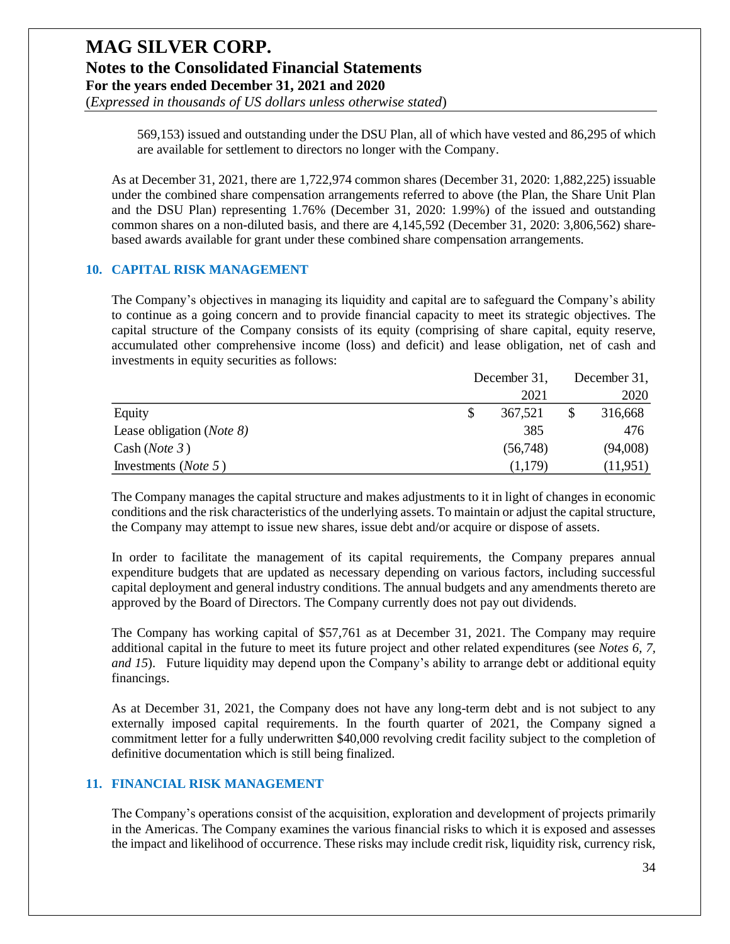(*Expressed in thousands of US dollars unless otherwise stated*)

569,153) issued and outstanding under the DSU Plan, all of which have vested and 86,295 of which are available for settlement to directors no longer with the Company.

As at December 31, 2021, there are 1,722,974 common shares (December 31, 2020: 1,882,225) issuable under the combined share compensation arrangements referred to above (the Plan, the Share Unit Plan and the DSU Plan) representing 1.76% (December 31, 2020: 1.99%) of the issued and outstanding common shares on a non-diluted basis, and there are 4,145,592 (December 31, 2020: 3,806,562) sharebased awards available for grant under these combined share compensation arrangements.

# **10. CAPITAL RISK MANAGEMENT**

The Company's objectives in managing its liquidity and capital are to safeguard the Company's ability to continue as a going concern and to provide financial capacity to meet its strategic objectives. The capital structure of the Company consists of its equity (comprising of share capital, equity reserve, accumulated other comprehensive income (loss) and deficit) and lease obligation, net of cash and investments in equity securities as follows:

|                                    | December 31, | December 31, |  |           |
|------------------------------------|--------------|--------------|--|-----------|
|                                    |              | 2021         |  | 2020      |
| Equity                             |              | 367,521      |  | 316,668   |
| Lease obligation ( <i>Note 8</i> ) |              | 385          |  | 476       |
| Cash( <i>Note</i> 3)               |              | (56,748)     |  | (94,008)  |
| Investments ( <i>Note</i> 5)       |              | (1,179)      |  | (11, 951) |

The Company manages the capital structure and makes adjustments to it in light of changes in economic conditions and the risk characteristics of the underlying assets. To maintain or adjust the capital structure, the Company may attempt to issue new shares, issue debt and/or acquire or dispose of assets.

In order to facilitate the management of its capital requirements, the Company prepares annual expenditure budgets that are updated as necessary depending on various factors, including successful capital deployment and general industry conditions. The annual budgets and any amendments thereto are approved by the Board of Directors. The Company currently does not pay out dividends.

The Company has working capital of \$57,761 as at December 31, 2021. The Company may require additional capital in the future to meet its future project and other related expenditures (see *Notes 6, 7, and 15*). Future liquidity may depend upon the Company's ability to arrange debt or additional equity financings.

As at December 31, 2021, the Company does not have any long-term debt and is not subject to any externally imposed capital requirements. In the fourth quarter of 2021, the Company signed a commitment letter for a fully underwritten \$40,000 revolving credit facility subject to the completion of definitive documentation which is still being finalized.

# **11. FINANCIAL RISK MANAGEMENT**

The Company's operations consist of the acquisition, exploration and development of projects primarily in the Americas. The Company examines the various financial risks to which it is exposed and assesses the impact and likelihood of occurrence. These risks may include credit risk, liquidity risk, currency risk,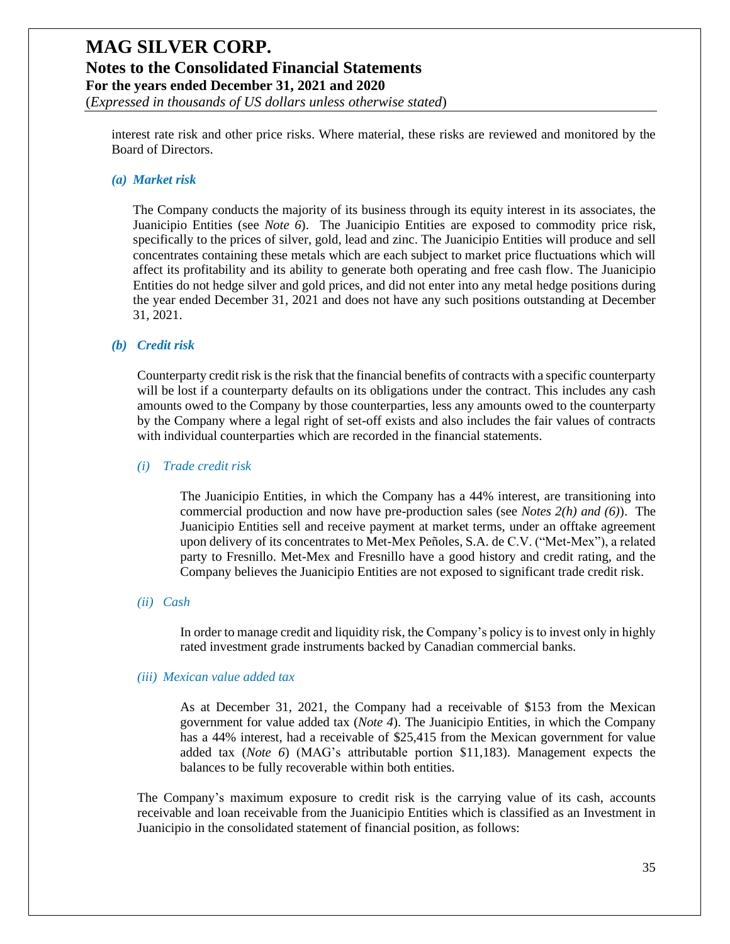(*Expressed in thousands of US dollars unless otherwise stated*)

interest rate risk and other price risks. Where material, these risks are reviewed and monitored by the Board of Directors.

# *(a) Market risk*

The Company conducts the majority of its business through its equity interest in its associates, the Juanicipio Entities (see *Note 6*). The Juanicipio Entities are exposed to commodity price risk, specifically to the prices of silver, gold, lead and zinc. The Juanicipio Entities will produce and sell concentrates containing these metals which are each subject to market price fluctuations which will affect its profitability and its ability to generate both operating and free cash flow. The Juanicipio Entities do not hedge silver and gold prices, and did not enter into any metal hedge positions during the year ended December 31, 2021 and does not have any such positions outstanding at December 31, 2021.

# *(b) Credit risk*

Counterparty credit risk is the risk that the financial benefits of contracts with a specific counterparty will be lost if a counterparty defaults on its obligations under the contract. This includes any cash amounts owed to the Company by those counterparties, less any amounts owed to the counterparty by the Company where a legal right of set-off exists and also includes the fair values of contracts with individual counterparties which are recorded in the financial statements.

# *(i) Trade credit risk*

The Juanicipio Entities, in which the Company has a 44% interest, are transitioning into commercial production and now have pre-production sales (see *Notes 2(h) and (6)*). The Juanicipio Entities sell and receive payment at market terms, under an offtake agreement upon delivery of its concentrates to Met-Mex Peñoles, S.A. de C.V. ("Met-Mex"), a related party to Fresnillo. Met-Mex and Fresnillo have a good history and credit rating, and the Company believes the Juanicipio Entities are not exposed to significant trade credit risk.

# *(ii) Cash*

In order to manage credit and liquidity risk, the Company's policy is to invest only in highly rated investment grade instruments backed by Canadian commercial banks.

#### *(iii) Mexican value added tax*

As at December 31, 2021, the Company had a receivable of \$153 from the Mexican government for value added tax (*Note 4*). The Juanicipio Entities, in which the Company has a 44% interest, had a receivable of \$25,415 from the Mexican government for value added tax (*Note 6*) (MAG's attributable portion \$11,183). Management expects the balances to be fully recoverable within both entities.

The Company's maximum exposure to credit risk is the carrying value of its cash, accounts receivable and loan receivable from the Juanicipio Entities which is classified as an Investment in Juanicipio in the consolidated statement of financial position, as follows: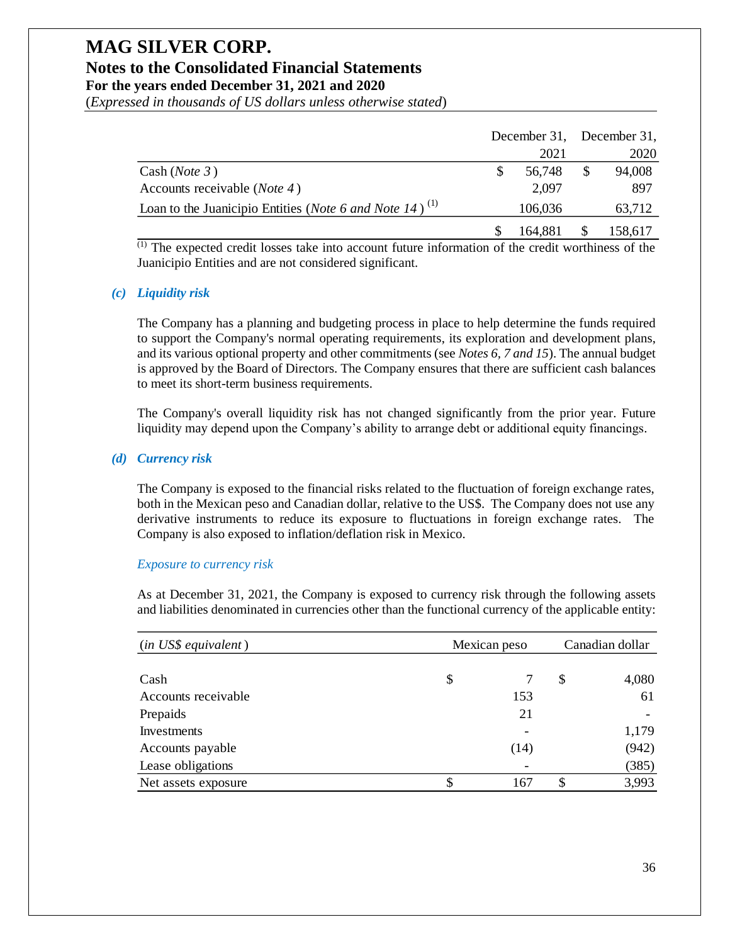(*Expressed in thousands of US dollars unless otherwise stated*)

|                                                                              |         |    | December 31, December 31, |
|------------------------------------------------------------------------------|---------|----|---------------------------|
|                                                                              | 2021    |    | 2020                      |
| Cash (Note 3)                                                                | 56,748  | S  | 94,008                    |
| Accounts receivable ( <i>Note 4</i> )                                        | 2,097   |    | 897                       |
| Loan to the Juanicipio Entities ( <i>Note 6 and Note 14</i> ) <sup>(1)</sup> | 106,036 |    | 63,712                    |
|                                                                              | 164,881 | \$ | 158,617                   |

# *(c) Liquidity risk*

# *(d) Currency risk*

# *Exposure to currency risk*

|                                                                                                                                                                                                                                                                                                                                                                                                                                                                                                                                                                 |              | December 31, | December 31,    |
|-----------------------------------------------------------------------------------------------------------------------------------------------------------------------------------------------------------------------------------------------------------------------------------------------------------------------------------------------------------------------------------------------------------------------------------------------------------------------------------------------------------------------------------------------------------------|--------------|--------------|-----------------|
|                                                                                                                                                                                                                                                                                                                                                                                                                                                                                                                                                                 |              | 2021         | 2020            |
| Cash ( <i>Note</i> $3$ )                                                                                                                                                                                                                                                                                                                                                                                                                                                                                                                                        | \$           | 56,748       | \$<br>94,008    |
| Accounts receivable ( <i>Note 4</i> )                                                                                                                                                                                                                                                                                                                                                                                                                                                                                                                           |              | 2,097        | 897             |
| Loan to the Juanicipio Entities (Note 6 and Note 14) <sup>(1)</sup>                                                                                                                                                                                                                                                                                                                                                                                                                                                                                             |              | 106,036      | 63,712          |
|                                                                                                                                                                                                                                                                                                                                                                                                                                                                                                                                                                 | \$           | 164,881      | \$<br>158,617   |
| $(1)$ The expected credit losses take into account future information of the credit worthiness of the<br>Juanicipio Entities and are not considered significant.                                                                                                                                                                                                                                                                                                                                                                                                |              |              |                 |
| <b>Liquidity risk</b>                                                                                                                                                                                                                                                                                                                                                                                                                                                                                                                                           |              |              |                 |
| The Company has a planning and budgeting process in place to help determine the funds required<br>to support the Company's normal operating requirements, its exploration and development plans,<br>and its various optional property and other commitments (see Notes 6, 7 and 15). The annual budget<br>is approved by the Board of Directors. The Company ensures that there are sufficient cash balances<br>to meet its short-term business requirements.<br>The Company's overall liquidity risk has not changed significantly from the prior year. Future |              |              |                 |
| liquidity may depend upon the Company's ability to arrange debt or additional equity financings.                                                                                                                                                                                                                                                                                                                                                                                                                                                                |              |              |                 |
| <b>Currency risk</b>                                                                                                                                                                                                                                                                                                                                                                                                                                                                                                                                            |              |              |                 |
| The Company is exposed to the financial risks related to the fluctuation of foreign exchange rates,<br>both in the Mexican peso and Canadian dollar, relative to the US\$. The Company does not use any<br>derivative instruments to reduce its exposure to fluctuations in foreign exchange rates.<br>Company is also exposed to inflation/deflation risk in Mexico.                                                                                                                                                                                           |              |              | The             |
| <b>Exposure to currency risk</b>                                                                                                                                                                                                                                                                                                                                                                                                                                                                                                                                |              |              |                 |
| As at December 31, 2021, the Company is exposed to currency risk through the following assets<br>and liabilities denominated in currencies other than the functional currency of the applicable entity:                                                                                                                                                                                                                                                                                                                                                         |              |              |                 |
| (in US\$ equivalent)                                                                                                                                                                                                                                                                                                                                                                                                                                                                                                                                            | Mexican peso |              | Canadian dollar |
| Cash                                                                                                                                                                                                                                                                                                                                                                                                                                                                                                                                                            | \$           | \$<br>7      | 4,080           |
| Accounts receivable                                                                                                                                                                                                                                                                                                                                                                                                                                                                                                                                             |              | 153          | 61              |
| Prepaids                                                                                                                                                                                                                                                                                                                                                                                                                                                                                                                                                        |              | 21           |                 |
| Investments                                                                                                                                                                                                                                                                                                                                                                                                                                                                                                                                                     |              |              | 1,179           |
| Accounts payable                                                                                                                                                                                                                                                                                                                                                                                                                                                                                                                                                |              | (14)         | (942)           |
| Lease obligations                                                                                                                                                                                                                                                                                                                                                                                                                                                                                                                                               |              |              | (385)           |
| Net assets exposure                                                                                                                                                                                                                                                                                                                                                                                                                                                                                                                                             | \$           | \$<br>167    | 3,993           |
|                                                                                                                                                                                                                                                                                                                                                                                                                                                                                                                                                                 |              |              |                 |
|                                                                                                                                                                                                                                                                                                                                                                                                                                                                                                                                                                 |              |              |                 |
|                                                                                                                                                                                                                                                                                                                                                                                                                                                                                                                                                                 |              |              |                 |
|                                                                                                                                                                                                                                                                                                                                                                                                                                                                                                                                                                 |              |              |                 |
|                                                                                                                                                                                                                                                                                                                                                                                                                                                                                                                                                                 |              |              | 36              |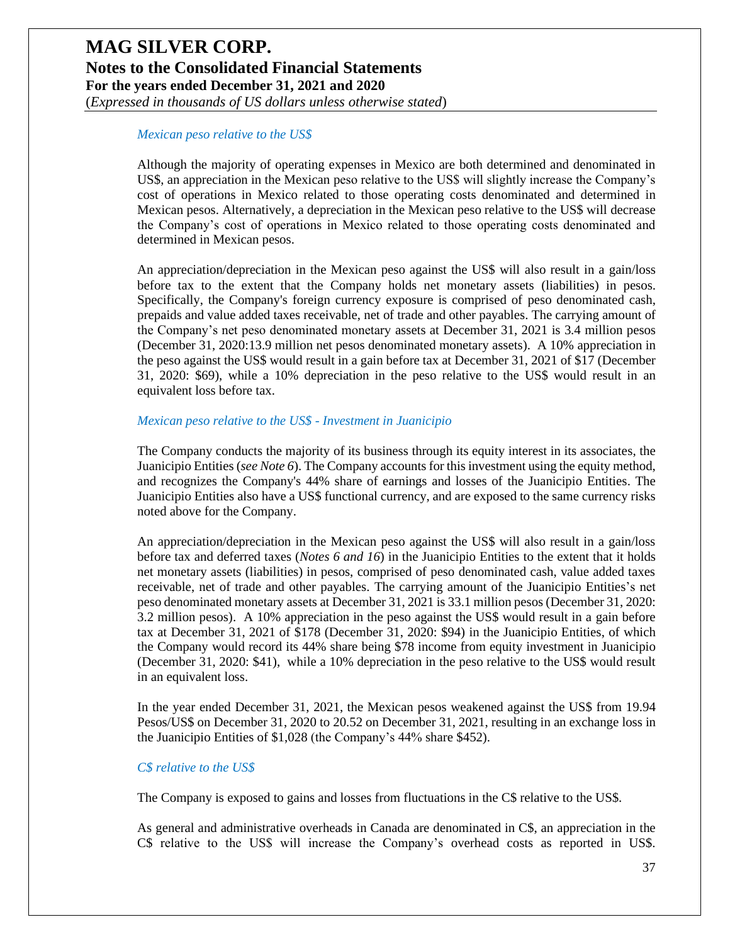### *Mexican peso relative to the US\$*

Although the majority of operating expenses in Mexico are both determined and denominated in US\$, an appreciation in the Mexican peso relative to the US\$ will slightly increase the Company's cost of operations in Mexico related to those operating costs denominated and determined in Mexican pesos. Alternatively, a depreciation in the Mexican peso relative to the US\$ will decrease the Company's cost of operations in Mexico related to those operating costs denominated and determined in Mexican pesos.

An appreciation/depreciation in the Mexican peso against the US\$ will also result in a gain/loss before tax to the extent that the Company holds net monetary assets (liabilities) in pesos. Specifically, the Company's foreign currency exposure is comprised of peso denominated cash, prepaids and value added taxes receivable, net of trade and other payables. The carrying amount of the Company's net peso denominated monetary assets at December 31, 2021 is 3.4 million pesos (December 31, 2020:13.9 million net pesos denominated monetary assets). A 10% appreciation in the peso against the US\$ would result in a gain before tax at December 31, 2021 of \$17 (December 31, 2020: \$69), while a 10% depreciation in the peso relative to the US\$ would result in an equivalent loss before tax.

### *Mexican peso relative to the US\$ - Investment in Juanicipio*

The Company conducts the majority of its business through its equity interest in its associates, the Juanicipio Entities(*see Note 6*). The Company accounts for this investment using the equity method, and recognizes the Company's 44% share of earnings and losses of the Juanicipio Entities. The Juanicipio Entities also have a US\$ functional currency, and are exposed to the same currency risks noted above for the Company.

An appreciation/depreciation in the Mexican peso against the US\$ will also result in a gain/loss before tax and deferred taxes (*Notes 6 and 16*) in the Juanicipio Entities to the extent that it holds net monetary assets (liabilities) in pesos, comprised of peso denominated cash, value added taxes receivable, net of trade and other payables. The carrying amount of the Juanicipio Entities's net peso denominated monetary assets at December 31, 2021 is 33.1 million pesos (December 31, 2020: 3.2 million pesos). A 10% appreciation in the peso against the US\$ would result in a gain before tax at December 31, 2021 of \$178 (December 31, 2020: \$94) in the Juanicipio Entities, of which the Company would record its 44% share being \$78 income from equity investment in Juanicipio (December 31, 2020: \$41), while a 10% depreciation in the peso relative to the US\$ would result in an equivalent loss.

In the year ended December 31, 2021, the Mexican pesos weakened against the US\$ from 19.94 Pesos/US\$ on December 31, 2020 to 20.52 on December 31, 2021, resulting in an exchange loss in the Juanicipio Entities of \$1,028 (the Company's 44% share \$452).

# *C\$ relative to the US\$*

The Company is exposed to gains and losses from fluctuations in the C\$ relative to the US\$.

As general and administrative overheads in Canada are denominated in C\$, an appreciation in the C\$ relative to the US\$ will increase the Company's overhead costs as reported in US\$.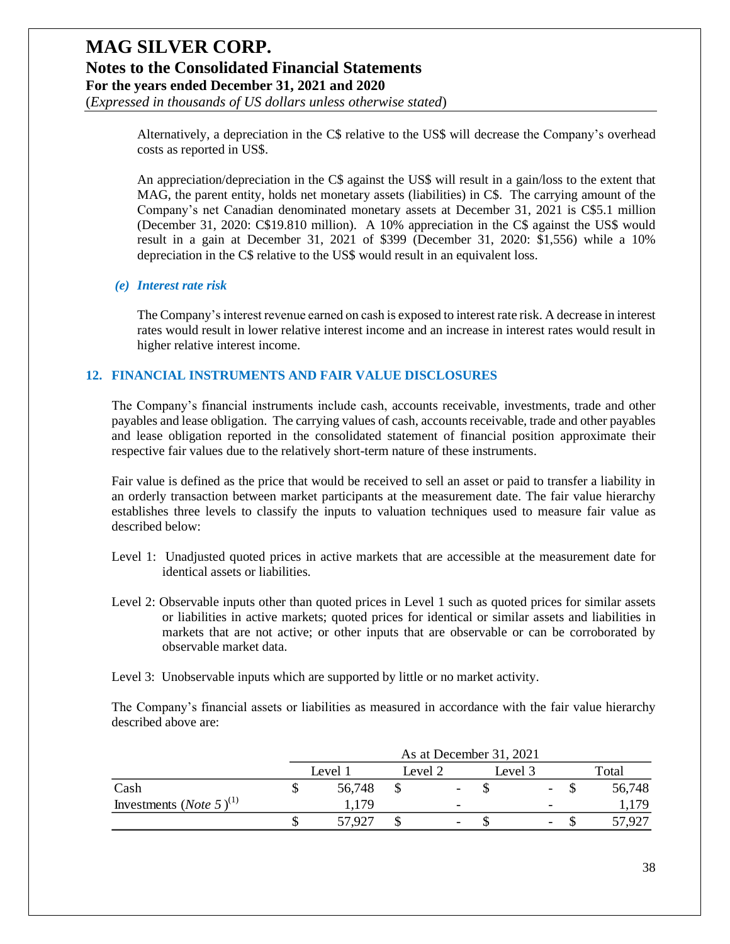(*Expressed in thousands of US dollars unless otherwise stated*)

Alternatively, a depreciation in the C\$ relative to the US\$ will decrease the Company's overhead costs as reported in US\$.

An appreciation/depreciation in the C\$ against the US\$ will result in a gain/loss to the extent that MAG, the parent entity, holds net monetary assets (liabilities) in C\$. The carrying amount of the Company's net Canadian denominated monetary assets at December 31, 2021 is C\$5.1 million (December 31, 2020: C\$19.810 million). A 10% appreciation in the C\$ against the US\$ would result in a gain at December 31, 2021 of \$399 (December 31, 2020: \$1,556) while a 10% depreciation in the C\$ relative to the US\$ would result in an equivalent loss.

# *(e) Interest rate risk*

The Company's interest revenue earned on cash is exposed to interest rate risk. A decrease in interest rates would result in lower relative interest income and an increase in interest rates would result in higher relative interest income.

# **12. FINANCIAL INSTRUMENTS AND FAIR VALUE DISCLOSURES**

The Company's financial instruments include cash, accounts receivable, investments, trade and other payables and lease obligation. The carrying values of cash, accounts receivable, trade and other payables and lease obligation reported in the consolidated statement of financial position approximate their respective fair values due to the relatively short-term nature of these instruments.

Fair value is defined as the price that would be received to sell an asset or paid to transfer a liability in an orderly transaction between market participants at the measurement date. The fair value hierarchy establishes three levels to classify the inputs to valuation techniques used to measure fair value as described below:

- Level 1: Unadjusted quoted prices in active markets that are accessible at the measurement date for identical assets or liabilities.
- Level 2: Observable inputs other than quoted prices in Level 1 such as quoted prices for similar assets or liabilities in active markets; quoted prices for identical or similar assets and liabilities in markets that are not active; or other inputs that are observable or can be corroborated by observable market data.

Level 3: Unobservable inputs which are supported by little or no market activity.

The Company's financial assets or liabilities as measured in accordance with the fair value hierarchy described above are:

|                                             | As at December 31, 2021 |  |         |         |                          |  |        |
|---------------------------------------------|-------------------------|--|---------|---------|--------------------------|--|--------|
|                                             | Level 1                 |  | Level 2 | Level 3 |                          |  | Total  |
| Cash                                        | 56,748                  |  |         |         | $\overline{\phantom{a}}$ |  | 56,748 |
| Investments ( <i>Note</i> 5) <sup>(1)</sup> | .,179                   |  |         |         |                          |  | .179   |
|                                             | 57,927                  |  |         |         | $\overline{\phantom{a}}$ |  | 57.927 |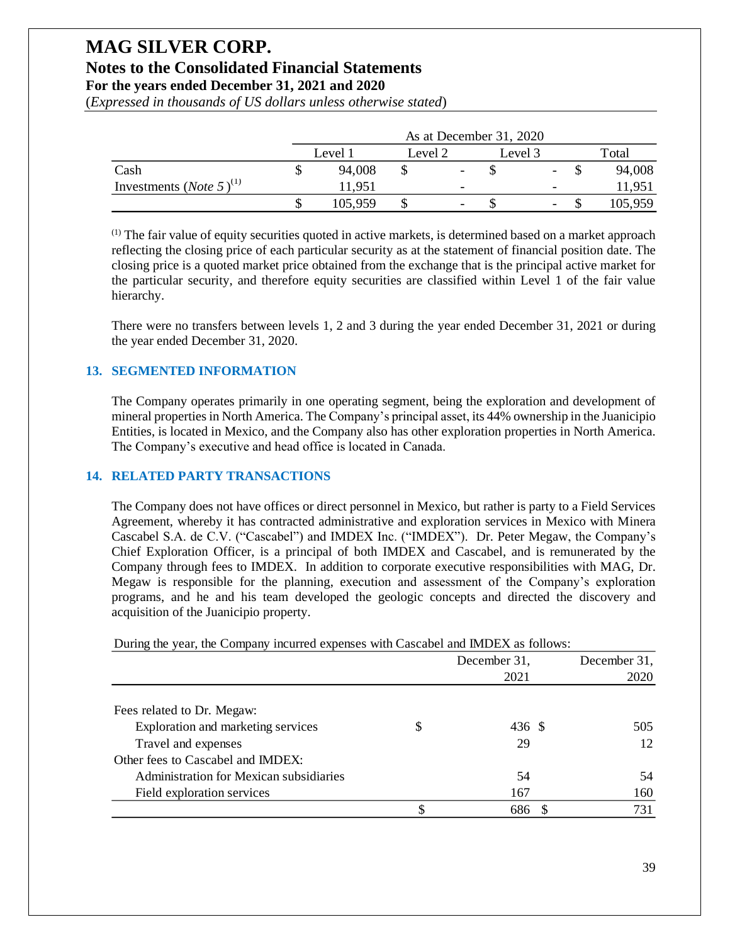|                                             |         |         |                          | As at December 31, 2020 |         |         |
|---------------------------------------------|---------|---------|--------------------------|-------------------------|---------|---------|
|                                             | Level 1 | Level 2 |                          |                         | Level 3 | Total   |
| Cash                                        | 94,008  |         |                          |                         | -       | 94,008  |
| Investments ( <i>Note</i> 5) <sup>(1)</sup> | 11,951  |         | $\overline{\phantom{0}}$ |                         |         | 11,951  |
|                                             | 105,959 |         |                          |                         | -       | 105,959 |

(*Expressed in thousands of US dollars unless otherwise stated*)

 $<sup>(1)</sup>$  The fair value of equity securities quoted in active markets, is determined based on a market approach</sup> reflecting the closing price of each particular security as at the statement of financial position date. The closing price is a quoted market price obtained from the exchange that is the principal active market for the particular security, and therefore equity securities are classified within Level 1 of the fair value hierarchy.

There were no transfers between levels 1, 2 and 3 during the year ended December 31, 2021 or during the year ended December 31, 2020.

# **13. SEGMENTED INFORMATION**

The Company operates primarily in one operating segment, being the exploration and development of mineral properties in North America. The Company's principal asset, its 44% ownership in the Juanicipio Entities, is located in Mexico, and the Company also has other exploration properties in North America. The Company's executive and head office is located in Canada.

# **14. RELATED PARTY TRANSACTIONS**

The Company does not have offices or direct personnel in Mexico, but rather is party to a Field Services Agreement, whereby it has contracted administrative and exploration services in Mexico with Minera Cascabel S.A. de C.V. ("Cascabel") and IMDEX Inc. ("IMDEX"). Dr. Peter Megaw, the Company's Chief Exploration Officer, is a principal of both IMDEX and Cascabel, and is remunerated by the Company through fees to IMDEX. In addition to corporate executive responsibilities with MAG, Dr. Megaw is responsible for the planning, execution and assessment of the Company's exploration programs, and he and his team developed the geologic concepts and directed the discovery and acquisition of the Juanicipio property.

|                                         | December 31, |  | December 31, |  |
|-----------------------------------------|--------------|--|--------------|--|
|                                         | 2021         |  | 2020         |  |
| Fees related to Dr. Megaw:              |              |  |              |  |
| Exploration and marketing services      | \$<br>436 \$ |  | 505          |  |
| Travel and expenses                     | 29           |  | 12           |  |
| Other fees to Cascabel and IMDEX:       |              |  |              |  |
| Administration for Mexican subsidiaries | 54           |  | 54           |  |
| Field exploration services              | 167          |  | 160          |  |
|                                         | 686          |  | 731          |  |

During the year, the Company incurred expenses with Cascabel and IMDEX as follows: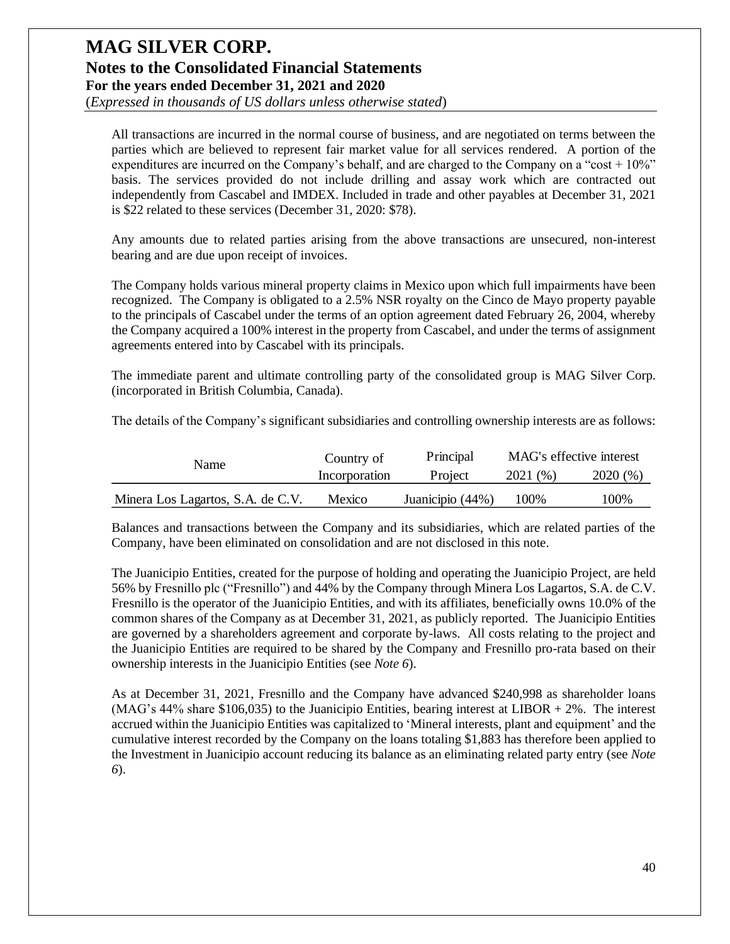All transactions are incurred in the normal course of business, and are negotiated on terms between the parties which are believed to represent fair market value for all services rendered. A portion of the expenditures are incurred on the Company's behalf, and are charged to the Company on a "cost  $+10\%$ " basis. The services provided do not include drilling and assay work which are contracted out independently from Cascabel and IMDEX. Included in trade and other payables at December 31, 2021 is \$22 related to these services (December 31, 2020: \$78).

Any amounts due to related parties arising from the above transactions are unsecured, non-interest bearing and are due upon receipt of invoices.

The Company holds various mineral property claims in Mexico upon which full impairments have been recognized. The Company is obligated to a 2.5% NSR royalty on the Cinco de Mayo property payable to the principals of Cascabel under the terms of an option agreement dated February 26, 2004, whereby the Company acquired a 100% interest in the property from Cascabel, and under the terms of assignment agreements entered into by Cascabel with its principals.

The immediate parent and ultimate controlling party of the consolidated group is MAG Silver Corp. (incorporated in British Columbia, Canada).

The details of the Company's significant subsidiaries and controlling ownership interests are as follows:

| Name                              | Country of    | Principal        | MAG's effective interest |         |  |
|-----------------------------------|---------------|------------------|--------------------------|---------|--|
|                                   | Incorporation | Project          | 2021 (%)                 | 2020(%) |  |
| Minera Los Lagartos, S.A. de C.V. | Mexico        | Juanicipio (44%) | 100%                     | 100%    |  |

Balances and transactions between the Company and its subsidiaries, which are related parties of the Company, have been eliminated on consolidation and are not disclosed in this note.

The Juanicipio Entities, created for the purpose of holding and operating the Juanicipio Project, are held 56% by Fresnillo plc ("Fresnillo") and 44% by the Company through Minera Los Lagartos, S.A. de C.V. Fresnillo is the operator of the Juanicipio Entities, and with its affiliates, beneficially owns 10.0% of the common shares of the Company as at December 31, 2021, as publicly reported. The Juanicipio Entities are governed by a shareholders agreement and corporate by-laws. All costs relating to the project and the Juanicipio Entities are required to be shared by the Company and Fresnillo pro-rata based on their ownership interests in the Juanicipio Entities (see *Note 6*).

As at December 31, 2021, Fresnillo and the Company have advanced \$240,998 as shareholder loans (MAG's 44% share \$106,035) to the Juanicipio Entities, bearing interest at LIBOR + 2%. The interest accrued within the Juanicipio Entities was capitalized to 'Mineral interests, plant and equipment' and the cumulative interest recorded by the Company on the loans totaling \$1,883 has therefore been applied to the Investment in Juanicipio account reducing its balance as an eliminating related party entry (see *Note 6*).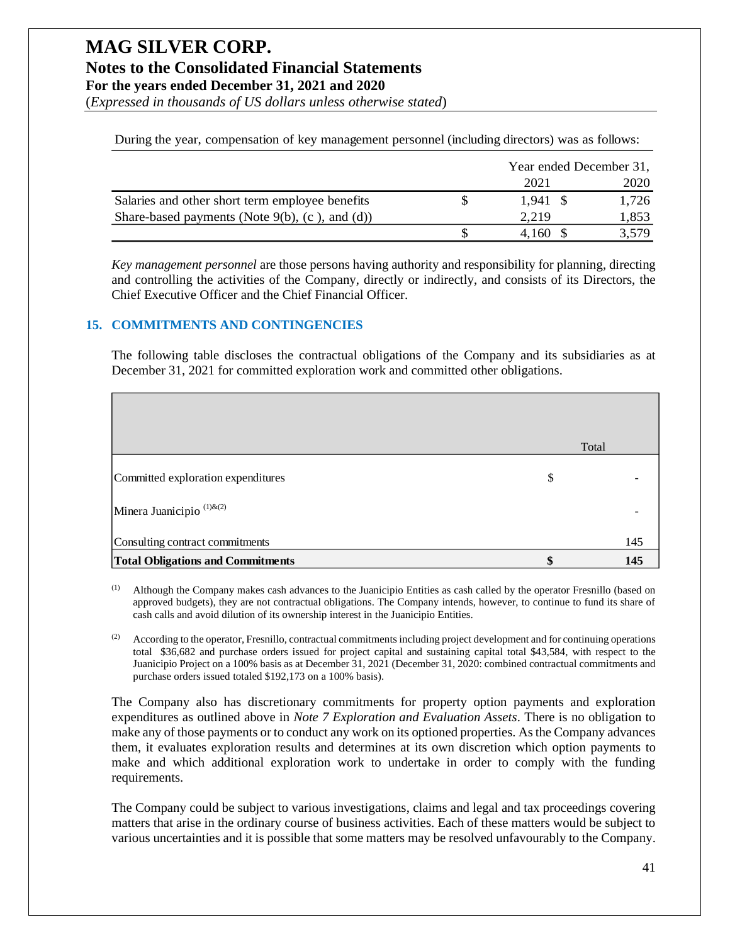(*Expressed in thousands of US dollars unless otherwise stated*)

|                                                   | Year ended December 31, |       |
|---------------------------------------------------|-------------------------|-------|
|                                                   | 2021                    | 2020  |
| Salaries and other short term employee benefits   | $1.941 \text{ S}$       | 1.726 |
| Share-based payments (Note $9(b)$ , (c), and (d)) | 2.219                   | 1,853 |
|                                                   | 4.160                   | 3.579 |

# **15. COMMITMENTS AND CONTINGENCIES**

|                                          | During the year, compensation of key management personnel (including directors) was as follows:                                                                                                                                                                                                                                                                                                                                                                                                                              |                  |               |                         |
|------------------------------------------|------------------------------------------------------------------------------------------------------------------------------------------------------------------------------------------------------------------------------------------------------------------------------------------------------------------------------------------------------------------------------------------------------------------------------------------------------------------------------------------------------------------------------|------------------|---------------|-------------------------|
|                                          |                                                                                                                                                                                                                                                                                                                                                                                                                                                                                                                              |                  |               | Year ended December 31, |
|                                          |                                                                                                                                                                                                                                                                                                                                                                                                                                                                                                                              | 2021             |               | 2020                    |
|                                          | Salaries and other short term employee benefits                                                                                                                                                                                                                                                                                                                                                                                                                                                                              | \$<br>1,941      | $\mathcal{S}$ | 1,726                   |
|                                          | Share-based payments (Note $9(b)$ , (c), and (d))                                                                                                                                                                                                                                                                                                                                                                                                                                                                            | 2,219            |               | 1,853                   |
|                                          |                                                                                                                                                                                                                                                                                                                                                                                                                                                                                                                              | \$<br>$4,160$ \$ |               | 3,579                   |
|                                          | Key management personnel are those persons having authority and responsibility for planning, directing<br>and controlling the activities of the Company, directly or indirectly, and consists of its Directors, the<br>Chief Executive Officer and the Chief Financial Officer.                                                                                                                                                                                                                                              |                  |               |                         |
|                                          | <b>COMMITMENTS AND CONTINGENCIES</b>                                                                                                                                                                                                                                                                                                                                                                                                                                                                                         |                  |               |                         |
|                                          | The following table discloses the contractual obligations of the Company and its subsidiaries as at<br>December 31, 2021 for committed exploration work and committed other obligations.                                                                                                                                                                                                                                                                                                                                     |                  |               |                         |
|                                          |                                                                                                                                                                                                                                                                                                                                                                                                                                                                                                                              |                  |               | Total                   |
|                                          |                                                                                                                                                                                                                                                                                                                                                                                                                                                                                                                              |                  |               |                         |
|                                          | Committed exploration expenditures                                                                                                                                                                                                                                                                                                                                                                                                                                                                                           | \$               |               |                         |
| Minera Juanicipio <sup>(1)&amp;(2)</sup> |                                                                                                                                                                                                                                                                                                                                                                                                                                                                                                                              |                  |               |                         |
|                                          | Consulting contract commitments                                                                                                                                                                                                                                                                                                                                                                                                                                                                                              |                  |               | 145                     |
|                                          | <b>Total Obligations and Commitments</b>                                                                                                                                                                                                                                                                                                                                                                                                                                                                                     | \$               |               | 145                     |
| (1)                                      | Although the Company makes cash advances to the Juanicipio Entities as cash called by the operator Fresnillo (based on<br>approved budgets), they are not contractual obligations. The Company intends, however, to continue to fund its share of<br>cash calls and avoid dilution of its ownership interest in the Juanicipio Entities.                                                                                                                                                                                     |                  |               |                         |
| (2)                                      | According to the operator, Fresnillo, contractual commitments including project development and for continuing operations<br>total \$36,682 and purchase orders issued for project capital and sustaining capital total \$43,584, with respect to the<br>Juanicipio Project on a 100% basis as at December 31, 2021 (December 31, 2020: combined contractual commitments and<br>purchase orders issued totaled \$192,173 on a 100% basis).                                                                                   |                  |               |                         |
| requirements.                            | The Company also has discretionary commitments for property option payments and exploration<br>expenditures as outlined above in <i>Note 7 Exploration and Evaluation Assets</i> . There is no obligation to<br>make any of those payments or to conduct any work on its optioned properties. As the Company advances<br>them, it evaluates exploration results and determines at its own discretion which option payments to<br>make and which additional exploration work to undertake in order to comply with the funding |                  |               |                         |
|                                          | The Company could be subject to various investigations, claims and legal and tax proceedings covering<br>matters that arise in the ordinary course of business activities. Each of these matters would be subject to<br>various uncertainties and it is possible that some matters may be resolved unfavourably to the Company.                                                                                                                                                                                              |                  |               |                         |
|                                          |                                                                                                                                                                                                                                                                                                                                                                                                                                                                                                                              |                  |               | 41                      |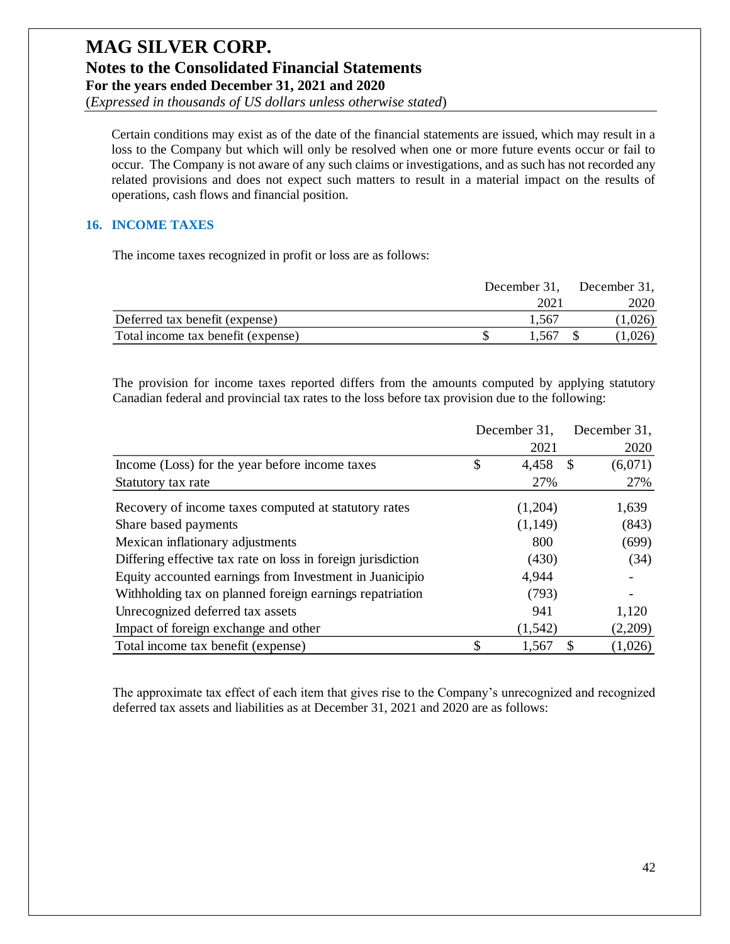(*Expressed in thousands of US dollars unless otherwise stated*)

Certain conditions may exist as of the date of the financial statements are issued, which may result in a loss to the Company but which will only be resolved when one or more future events occur or fail to occur. The Company is not aware of any such claims or investigations, and as such has not recorded any related provisions and does not expect such matters to result in a material impact on the results of operations, cash flows and financial position.

# **16. INCOME TAXES**

The income taxes recognized in profit or loss are as follows:

|                                    | December 31, | December 31, |
|------------------------------------|--------------|--------------|
|                                    | 202.         | 2020         |
| Deferred tax benefit (expense)     | 1.567        | (1,026)      |
| Total income tax benefit (expense) | l 567        | 1.026)       |

The provision for income taxes reported differs from the amounts computed by applying statutory Canadian federal and provincial tax rates to the loss before tax provision due to the following:

|                                                              | December 31. |    | December 31, |
|--------------------------------------------------------------|--------------|----|--------------|
|                                                              | 2021         |    | 2020         |
| Income (Loss) for the year before income taxes               | \$<br>4,458  | -S | (6,071)      |
| Statutory tax rate                                           | 27%          |    | 27%          |
| Recovery of income taxes computed at statutory rates         | (1,204)      |    | 1,639        |
| Share based payments                                         | (1, 149)     |    | (843)        |
| Mexican inflationary adjustments                             | 800          |    | (699)        |
| Differing effective tax rate on loss in foreign jurisdiction | (430)        |    | (34)         |
| Equity accounted earnings from Investment in Juanicipio      | 4,944        |    |              |
| Withholding tax on planned foreign earnings repatriation     | (793)        |    |              |
| Unrecognized deferred tax assets                             | 941          |    | 1,120        |
| Impact of foreign exchange and other                         | (1, 542)     |    | (2,209)      |
| Total income tax benefit (expense)                           | \$<br>1,567  |    | (1,026)      |

The approximate tax effect of each item that gives rise to the Company's unrecognized and recognized deferred tax assets and liabilities as at December 31, 2021 and 2020 are as follows: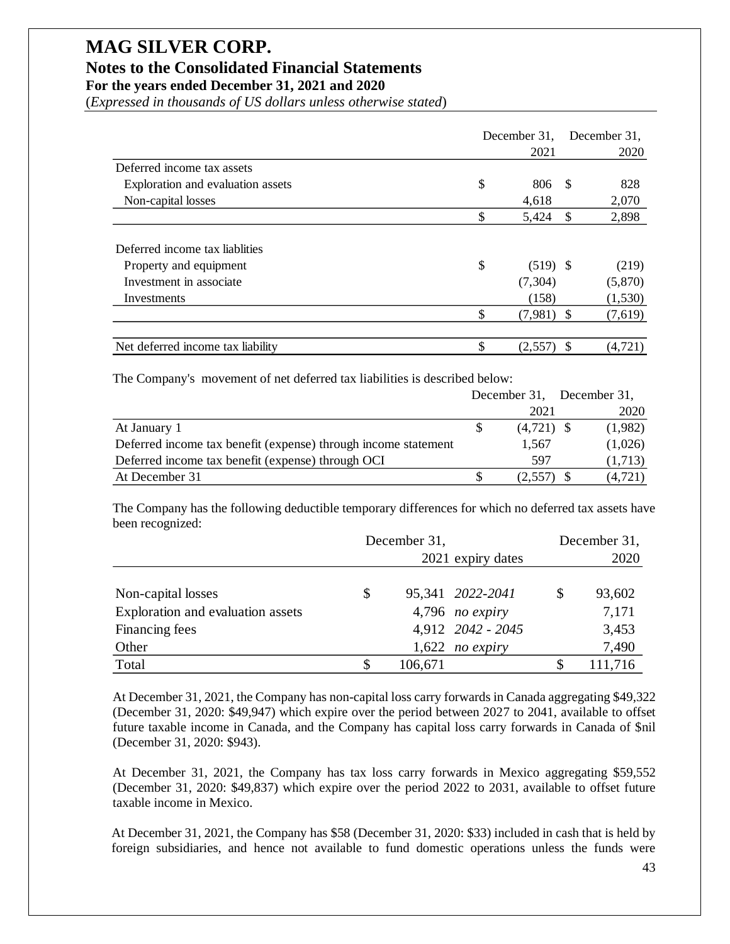# **MAG SILVER CORP. Notes to the Consolidated Financial Statements**

**For the years ended December 31, 2021 and 2020** 

(*Expressed in thousands of US dollars unless otherwise stated*)

|                                                                                                                                                                                                                                                                                                                                                    |              | December 31,      |                        |               | December 31,        |  |
|----------------------------------------------------------------------------------------------------------------------------------------------------------------------------------------------------------------------------------------------------------------------------------------------------------------------------------------------------|--------------|-------------------|------------------------|---------------|---------------------|--|
|                                                                                                                                                                                                                                                                                                                                                    |              |                   | 2021                   |               | 2020                |  |
| Deferred income tax assets                                                                                                                                                                                                                                                                                                                         |              |                   |                        |               |                     |  |
| Exploration and evaluation assets                                                                                                                                                                                                                                                                                                                  |              | \$                | 806                    | \$            | 828                 |  |
| Non-capital losses                                                                                                                                                                                                                                                                                                                                 |              |                   | 4,618                  |               | 2,070               |  |
|                                                                                                                                                                                                                                                                                                                                                    |              | \$                | 5,424                  | \$            | 2,898               |  |
|                                                                                                                                                                                                                                                                                                                                                    |              |                   |                        |               |                     |  |
| Deferred income tax liablities                                                                                                                                                                                                                                                                                                                     |              | \$                |                        |               |                     |  |
| Property and equipment<br>Investment in associate                                                                                                                                                                                                                                                                                                  |              |                   | $(519)$ \$<br>(7, 304) |               | (219)<br>(5,870)    |  |
| Investments                                                                                                                                                                                                                                                                                                                                        |              |                   | (158)                  |               |                     |  |
|                                                                                                                                                                                                                                                                                                                                                    |              | \$                | $(7,981)$ \$           |               | (1,530)<br>(7,619)  |  |
|                                                                                                                                                                                                                                                                                                                                                    |              |                   |                        |               |                     |  |
| Net deferred income tax liability                                                                                                                                                                                                                                                                                                                  |              | \$                | (2,557)                | $\mathcal{S}$ | (4, 721)            |  |
|                                                                                                                                                                                                                                                                                                                                                    |              |                   |                        |               |                     |  |
| The Company's movement of net deferred tax liabilities is described below:                                                                                                                                                                                                                                                                         |              |                   |                        |               |                     |  |
|                                                                                                                                                                                                                                                                                                                                                    |              |                   | December 31,           |               | December 31,        |  |
|                                                                                                                                                                                                                                                                                                                                                    |              |                   | 2021                   |               | 2020                |  |
| At January 1                                                                                                                                                                                                                                                                                                                                       |              | $\mathcal{S}$     | $(4,721)$ \$           |               | (1,982)             |  |
| Deferred income tax benefit (expense) through income statement                                                                                                                                                                                                                                                                                     |              |                   | 1,567                  |               | (1,026)             |  |
| Deferred income tax benefit (expense) through OCI<br>At December 31                                                                                                                                                                                                                                                                                |              | \$                | 597<br>$(2,557)$ \$    |               | (1,713)<br>(4, 721) |  |
| The Company has the following deductible temporary differences for which no deferred tax assets have<br>been recognized:                                                                                                                                                                                                                           | December 31, |                   |                        |               | December 31,        |  |
|                                                                                                                                                                                                                                                                                                                                                    |              |                   |                        |               |                     |  |
|                                                                                                                                                                                                                                                                                                                                                    |              | 2021 expiry dates |                        |               | 2020                |  |
| Non-capital losses                                                                                                                                                                                                                                                                                                                                 | \$           | 95,341 2022-2041  |                        | \$            | 93,602              |  |
| Exploration and evaluation assets                                                                                                                                                                                                                                                                                                                  |              | $4,796$ no expiry |                        |               | 7,171               |  |
| Financing fees                                                                                                                                                                                                                                                                                                                                     |              | 4,912 2042 - 2045 |                        |               | 3,453               |  |
| Other                                                                                                                                                                                                                                                                                                                                              |              |                   |                        |               | 7,490               |  |
| Total                                                                                                                                                                                                                                                                                                                                              | 106,671      | $1,622$ no expiry |                        | P             | 111,716             |  |
| At December 31, 2021, the Company has non-capital loss carry forwards in Canada aggregating \$49,322<br>(December 31, 2020: \$49,947) which expire over the period between 2027 to 2041, available to offset<br>future taxable income in Canada, and the Company has capital loss carry forwards in Canada of \$nil<br>(December 31, 2020: \$943). |              |                   |                        |               |                     |  |
| At December 31, 2021, the Company has tax loss carry forwards in Mexico aggregating \$59,552<br>(December 31, 2020: \$49,837) which expire over the period 2022 to 2031, available to offset future<br>taxable income in Mexico.                                                                                                                   |              |                   |                        |               |                     |  |
| At December 31, 2021, the Company has \$58 (December 31, 2020: \$33) included in cash that is held by<br>foreign subsidiaries, and hence not available to fund domestic operations unless the funds were                                                                                                                                           |              |                   |                        |               | 43                  |  |

|                                                                | December 31, December 31, |         |
|----------------------------------------------------------------|---------------------------|---------|
|                                                                | 2021                      | 2020    |
| At January 1                                                   | $(4,721)$ \$              | (1,982) |
| Deferred income tax benefit (expense) through income statement | 1,567                     | (1,026) |
| Deferred income tax benefit (expense) through OCI              | 597                       | (1,713) |
| At December 31                                                 | (2.557)                   | (4,721) |

|                                   | December 31, |         |                          | December 31, |         |  |
|-----------------------------------|--------------|---------|--------------------------|--------------|---------|--|
|                                   |              |         | 2021 expiry dates        |              | 2020    |  |
| Non-capital losses                | \$           |         | 95,341 2022-2041         |              | 93,602  |  |
| Exploration and evaluation assets |              |         | $4,796$ no expiry        |              | 7,171   |  |
| Financing fees                    |              |         | 4,912 2042 - 2045        |              | 3,453   |  |
| Other                             |              |         | $1,622$ <i>no expiry</i> |              | 7,490   |  |
| Total                             |              | 106,671 |                          |              | 111,716 |  |